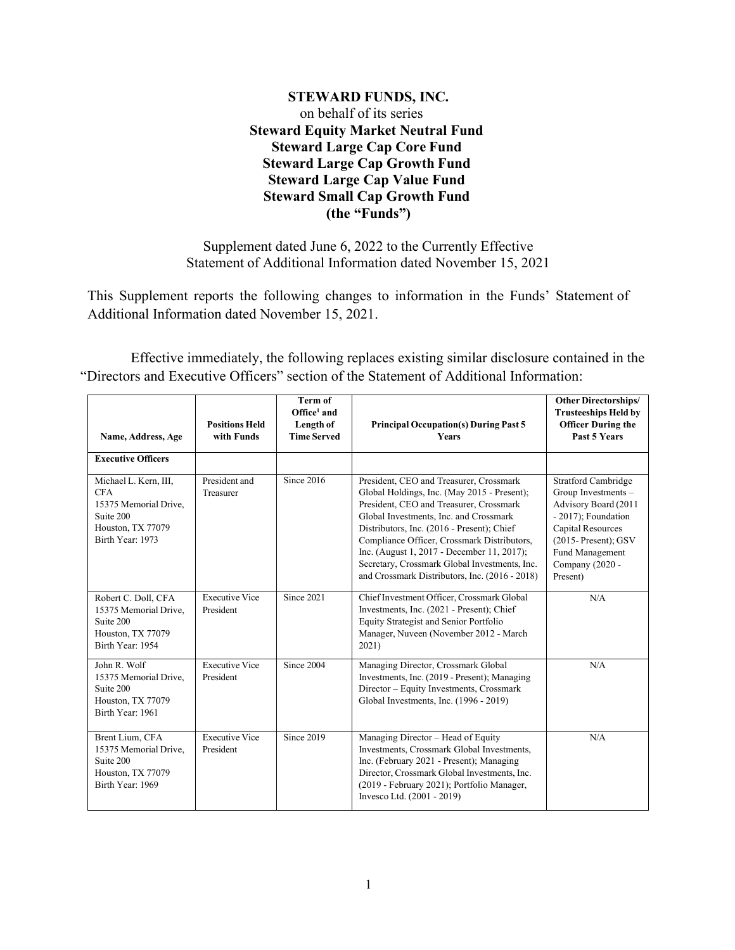# **STEWARD FUNDS, INC.** on behalf of its series **Steward Equity Market Neutral Fund Steward Large Cap Core Fund Steward Large Cap Growth Fund Steward Large Cap Value Fund Steward Small Cap Growth Fund (the "Funds")**

Supplement dated June 6, 2022 to the Currently Effective Statement of Additional Information dated November 15, 2021

This Supplement reports the following changes to information in the Funds' Statement of Additional Information dated November 15, 2021.

Effective immediately, the following replaces existing similar disclosure contained in the "Directors and Executive Officers" section of the Statement of Additional Information:

| Name, Address, Age                                                                                                 | <b>Positions Held</b><br>with Funds | <b>Term of</b><br>$Office1$ and<br>Length of<br><b>Time Served</b> | <b>Principal Occupation(s) During Past 5</b><br>Years                                                                                                                                                                                                                                                                                                                                                                     | <b>Other Directorships/</b><br><b>Trusteeships Held by</b><br><b>Officer During the</b><br>Past 5 Years                                                                                                   |
|--------------------------------------------------------------------------------------------------------------------|-------------------------------------|--------------------------------------------------------------------|---------------------------------------------------------------------------------------------------------------------------------------------------------------------------------------------------------------------------------------------------------------------------------------------------------------------------------------------------------------------------------------------------------------------------|-----------------------------------------------------------------------------------------------------------------------------------------------------------------------------------------------------------|
| <b>Executive Officers</b>                                                                                          |                                     |                                                                    |                                                                                                                                                                                                                                                                                                                                                                                                                           |                                                                                                                                                                                                           |
| Michael L. Kern, III,<br><b>CFA</b><br>15375 Memorial Drive.<br>Suite 200<br>Houston, TX 77079<br>Birth Year: 1973 | President and<br>Treasurer          | Since 2016                                                         | President, CEO and Treasurer, Crossmark<br>Global Holdings, Inc. (May 2015 - Present);<br>President, CEO and Treasurer, Crossmark<br>Global Investments, Inc. and Crossmark<br>Distributors, Inc. (2016 - Present); Chief<br>Compliance Officer, Crossmark Distributors,<br>Inc. (August 1, 2017 - December 11, 2017);<br>Secretary, Crossmark Global Investments, Inc.<br>and Crossmark Distributors, Inc. (2016 - 2018) | <b>Stratford Cambridge</b><br>Group Investments -<br>Advisory Board (2011<br>- 2017); Foundation<br><b>Capital Resources</b><br>$(2015 - Present);$ GSV<br>Fund Management<br>Company (2020 -<br>Present) |
| Robert C. Doll, CFA<br>15375 Memorial Drive,<br>Suite 200<br>Houston, TX 77079<br>Birth Year: 1954                 | <b>Executive Vice</b><br>President  | Since 2021                                                         | Chief Investment Officer, Crossmark Global<br>Investments, Inc. (2021 - Present); Chief<br>Equity Strategist and Senior Portfolio<br>Manager, Nuveen (November 2012 - March<br>2021)                                                                                                                                                                                                                                      | N/A                                                                                                                                                                                                       |
| John R. Wolf<br>15375 Memorial Drive.<br>Suite 200<br>Houston, TX 77079<br>Birth Year: 1961                        | <b>Executive Vice</b><br>President  | Since 2004                                                         | Managing Director, Crossmark Global<br>Investments, Inc. (2019 - Present); Managing<br>Director - Equity Investments, Crossmark<br>Global Investments, Inc. (1996 - 2019)                                                                                                                                                                                                                                                 | N/A                                                                                                                                                                                                       |
| Brent Lium, CFA<br>15375 Memorial Drive,<br>Suite 200<br>Houston, TX 77079<br>Birth Year: 1969                     | <b>Executive Vice</b><br>President  | Since 2019                                                         | Managing Director - Head of Equity<br>Investments, Crossmark Global Investments,<br>Inc. (February 2021 - Present); Managing<br>Director, Crossmark Global Investments, Inc.<br>(2019 - February 2021); Portfolio Manager,<br>Invesco Ltd. (2001 - 2019)                                                                                                                                                                  | N/A                                                                                                                                                                                                       |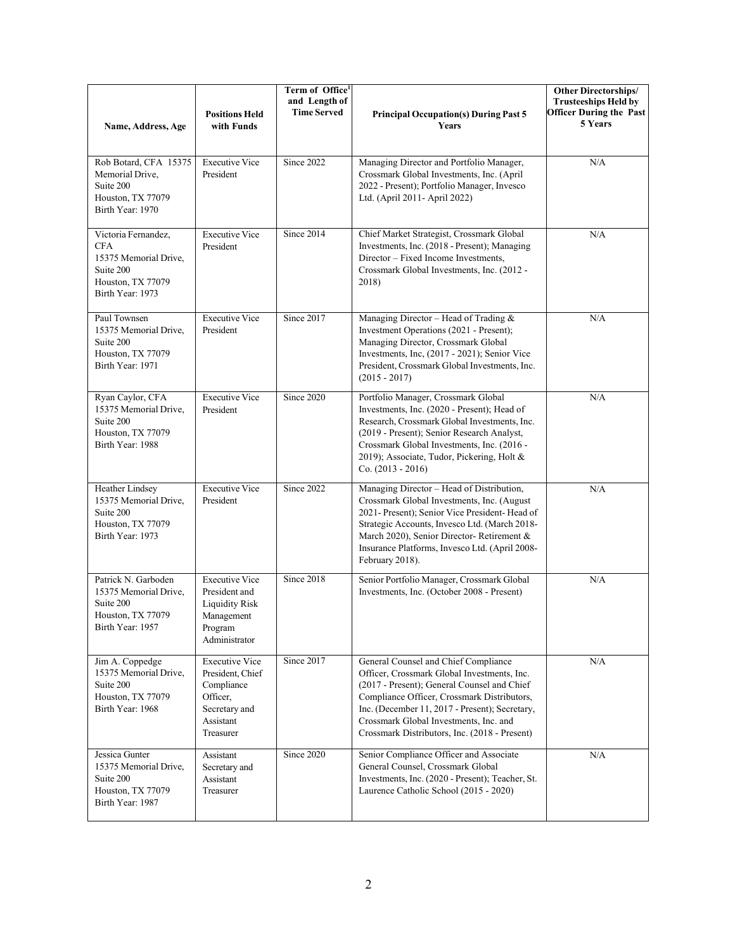| Name, Address, Age                                                                                               | <b>Positions Held</b><br>with Funds                                                                            | Term of Office <sup>1</sup><br>and Length of<br><b>Time Served</b> | <b>Principal Occupation(s) During Past 5</b><br>Years                                                                                                                                                                                                                                                                          | <b>Other Directorships/</b><br><b>Trusteeships Held by</b><br><b>Officer During the Past</b><br>5 Years |
|------------------------------------------------------------------------------------------------------------------|----------------------------------------------------------------------------------------------------------------|--------------------------------------------------------------------|--------------------------------------------------------------------------------------------------------------------------------------------------------------------------------------------------------------------------------------------------------------------------------------------------------------------------------|---------------------------------------------------------------------------------------------------------|
| Rob Botard, CFA 15375<br>Memorial Drive,<br>Suite 200<br>Houston, TX 77079<br>Birth Year: 1970                   | <b>Executive Vice</b><br>President                                                                             | Since 2022                                                         | Managing Director and Portfolio Manager,<br>Crossmark Global Investments, Inc. (April<br>2022 - Present); Portfolio Manager, Invesco<br>Ltd. (April 2011- April 2022)                                                                                                                                                          | N/A                                                                                                     |
| Victoria Fernandez,<br><b>CFA</b><br>15375 Memorial Drive.<br>Suite 200<br>Houston, TX 77079<br>Birth Year: 1973 | <b>Executive Vice</b><br>President                                                                             | Since 2014                                                         | Chief Market Strategist, Crossmark Global<br>Investments, Inc. (2018 - Present); Managing<br>Director - Fixed Income Investments,<br>Crossmark Global Investments, Inc. (2012 -<br>2018)                                                                                                                                       | N/A                                                                                                     |
| Paul Townsen<br>15375 Memorial Drive,<br>Suite 200<br>Houston, TX 77079<br>Birth Year: 1971                      | <b>Executive Vice</b><br>President                                                                             | Since 2017                                                         | Managing Director - Head of Trading &<br>Investment Operations (2021 - Present);<br>Managing Director, Crossmark Global<br>Investments, Inc, (2017 - 2021); Senior Vice<br>President, Crossmark Global Investments, Inc.<br>$(2015 - 2017)$                                                                                    | N/A                                                                                                     |
| Ryan Caylor, CFA<br>15375 Memorial Drive,<br>Suite 200<br>Houston, TX 77079<br>Birth Year: 1988                  | <b>Executive Vice</b><br>President                                                                             | Since 2020                                                         | Portfolio Manager, Crossmark Global<br>Investments, Inc. (2020 - Present); Head of<br>Research, Crossmark Global Investments, Inc.<br>(2019 - Present); Senior Research Analyst,<br>Crossmark Global Investments, Inc. (2016 -<br>2019); Associate, Tudor, Pickering, Holt &<br>$Co. (2013 - 2016)$                            | N/A                                                                                                     |
| Heather Lindsey<br>15375 Memorial Drive,<br>Suite 200<br>Houston, TX 77079<br>Birth Year: 1973                   | <b>Executive Vice</b><br>President                                                                             | Since 2022                                                         | Managing Director - Head of Distribution,<br>Crossmark Global Investments, Inc. (August<br>2021- Present); Senior Vice President-Head of<br>Strategic Accounts, Invesco Ltd. (March 2018-<br>March 2020), Senior Director-Retirement &<br>Insurance Platforms, Invesco Ltd. (April 2008-<br>February 2018).                    | N/A                                                                                                     |
| Patrick N. Garboden<br>15375 Memorial Drive,<br>Suite 200<br>Houston, TX 77079<br>Birth Year: 1957               | <b>Executive Vice</b><br>President and<br><b>Liquidity Risk</b><br>Management<br>Program<br>Administrator      | Since 2018                                                         | Senior Portfolio Manager, Crossmark Global<br>Investments, Inc. (October 2008 - Present)                                                                                                                                                                                                                                       | N/A                                                                                                     |
| Jim A. Coppedge<br>15375 Memorial Drive,<br>Suite 200<br>Houston, TX 77079<br>Birth Year: 1968                   | <b>Executive Vice</b><br>President, Chief<br>Compliance<br>Officer,<br>Secretary and<br>Assistant<br>Treasurer | Since 2017                                                         | General Counsel and Chief Compliance<br>Officer, Crossmark Global Investments, Inc.<br>(2017 - Present); General Counsel and Chief<br>Compliance Officer, Crossmark Distributors,<br>Inc. (December 11, 2017 - Present); Secretary,<br>Crossmark Global Investments, Inc. and<br>Crossmark Distributors, Inc. (2018 - Present) | N/A                                                                                                     |
| Jessica Gunter<br>15375 Memorial Drive,<br>Suite 200<br>Houston, TX 77079<br>Birth Year: 1987                    | Assistant<br>Secretary and<br>Assistant<br>Treasurer                                                           | Since 2020                                                         | Senior Compliance Officer and Associate<br>General Counsel, Crossmark Global<br>Investments, Inc. (2020 - Present); Teacher, St.<br>Laurence Catholic School (2015 - 2020)                                                                                                                                                     | N/A                                                                                                     |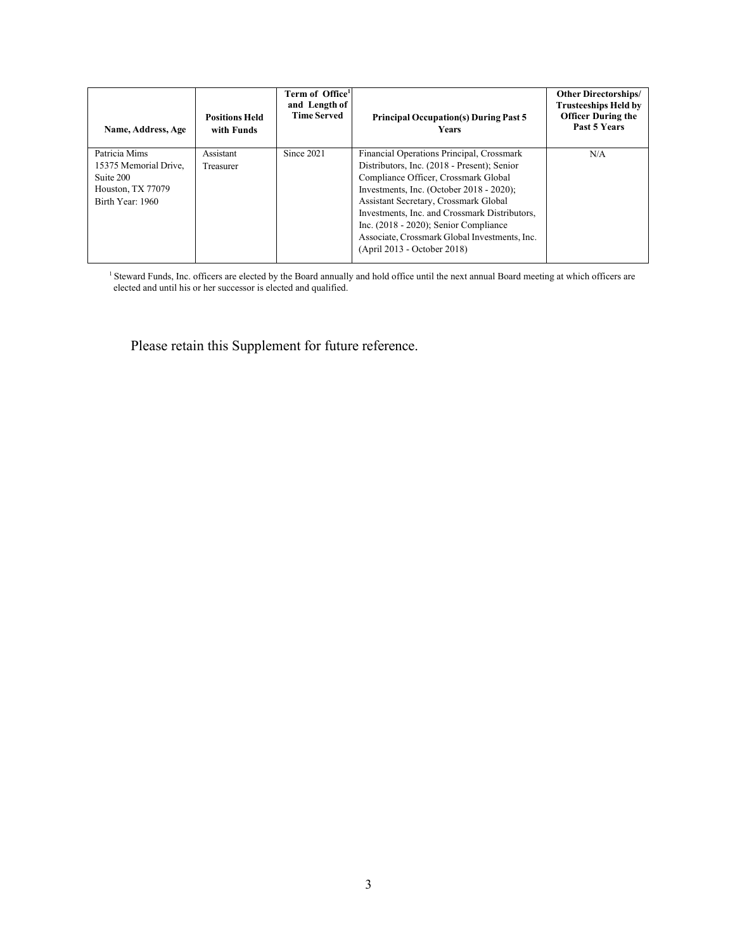| Name, Address, Age                                                                           | <b>Positions Held</b><br>with Funds | Term of Office <sup>1</sup><br>and Length of<br><b>Time Served</b> | <b>Principal Occupation(s) During Past 5</b><br><b>Years</b>                                                                                                                                                                                                                                                                                                                                          | <b>Other Directorships/</b><br>Trusteeships Held by<br><b>Officer During the</b><br>Past 5 Years |
|----------------------------------------------------------------------------------------------|-------------------------------------|--------------------------------------------------------------------|-------------------------------------------------------------------------------------------------------------------------------------------------------------------------------------------------------------------------------------------------------------------------------------------------------------------------------------------------------------------------------------------------------|--------------------------------------------------------------------------------------------------|
| Patricia Mims<br>15375 Memorial Drive.<br>Suite 200<br>Houston, TX 77079<br>Birth Year: 1960 | Assistant<br>Treasurer              | Since 2021                                                         | Financial Operations Principal, Crossmark<br>Distributors, Inc. (2018 - Present); Senior<br>Compliance Officer, Crossmark Global<br>Investments, Inc. (October $2018 - 2020$ );<br>Assistant Secretary, Crossmark Global<br>Investments, Inc. and Crossmark Distributors,<br>Inc. $(2018 - 2020)$ ; Senior Compliance<br>Associate, Crossmark Global Investments, Inc.<br>(April 2013 - October 2018) | N/A                                                                                              |

<sup>1</sup> Steward Funds, Inc. officers are elected by the Board annually and hold office until the next annual Board meeting at which officers are elected and until his or her successor is elected and qualified.

Please retain this Supplement for future reference.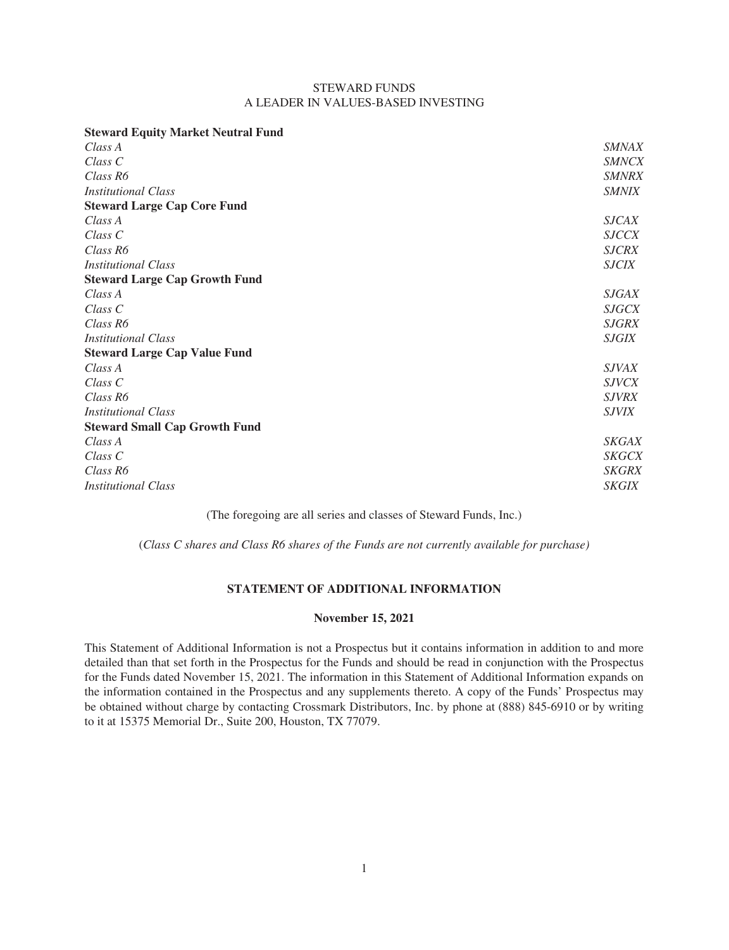# STEWARD FUNDS A LEADER IN VALUES-BASED INVESTING

| <b>Steward Equity Market Neutral Fund</b> |              |
|-------------------------------------------|--------------|
| Class A                                   | <b>SMNAX</b> |
| $Class\ C$                                | <b>SMNCX</b> |
| Class R6                                  | <b>SMNRX</b> |
| <i>Institutional Class</i>                | <b>SMNIX</b> |
| <b>Steward Large Cap Core Fund</b>        |              |
| Class A                                   | <b>SJCAX</b> |
| Class <sub>C</sub>                        | <b>SJCCX</b> |
| Class R6                                  | <b>SJCRX</b> |
| <i>Institutional Class</i>                | <b>SJCIX</b> |
| <b>Steward Large Cap Growth Fund</b>      |              |
| Class A                                   | <i>SJGAX</i> |
| $Class\ C$                                | <b>SJGCX</b> |
| Class R6                                  | <b>SJGRX</b> |
| <i>Institutional Class</i>                | <b>SJGIX</b> |
| <b>Steward Large Cap Value Fund</b>       |              |
| Class A                                   | <i>SJVAX</i> |
| Class <sub>C</sub>                        | <i>SJVCX</i> |
| Class R6                                  | <b>SJVRX</b> |
| <i>Institutional Class</i>                | <i>SJVIX</i> |
| <b>Steward Small Cap Growth Fund</b>      |              |
| Class A                                   | <b>SKGAX</b> |
| Class C                                   | <b>SKGCX</b> |
| Class R6                                  | <b>SKGRX</b> |
| <i>Institutional Class</i>                | <b>SKGIX</b> |
|                                           |              |

(The foregoing are all series and classes of Steward Funds, Inc.)

(*Class C shares and Class R6 shares of the Funds are not currently available for purchase)*

# **STATEMENT OF ADDITIONAL INFORMATION**

# **November 15, 2021**

This Statement of Additional Information is not a Prospectus but it contains information in addition to and more detailed than that set forth in the Prospectus for the Funds and should be read in conjunction with the Prospectus for the Funds dated November 15, 2021. The information in this Statement of Additional Information expands on the information contained in the Prospectus and any supplements thereto. A copy of the Funds' Prospectus may be obtained without charge by contacting Crossmark Distributors, Inc. by phone at (888) 845-6910 or by writing to it at 15375 Memorial Dr., Suite 200, Houston, TX 77079.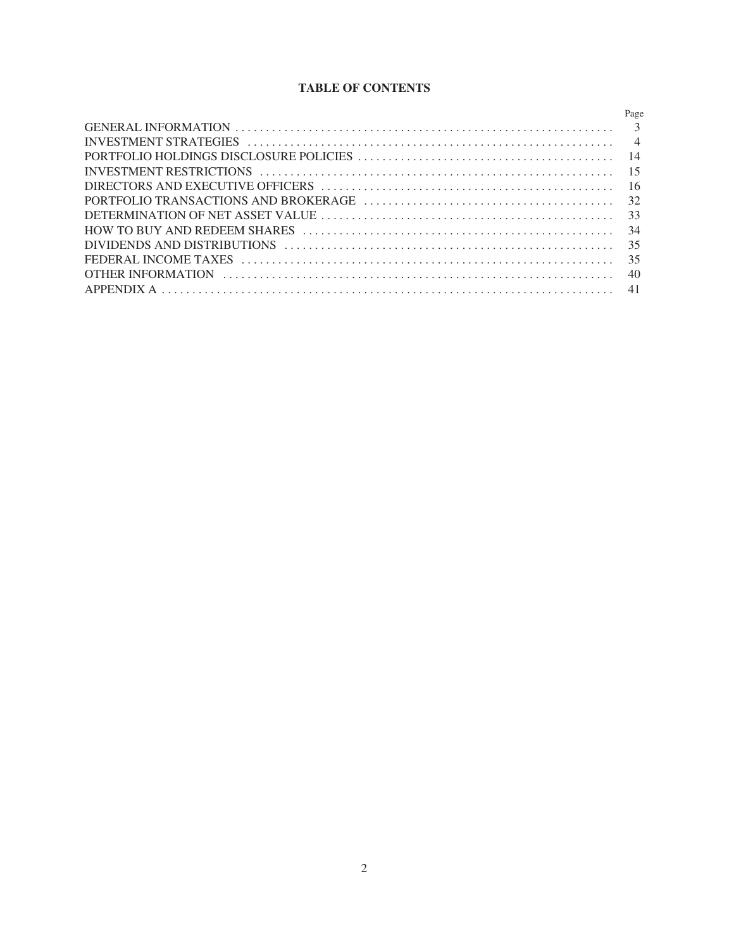# **TABLE OF CONTENTS**

| Page |
|------|
|      |
|      |
|      |
|      |
|      |
|      |
|      |
|      |
|      |
|      |
|      |
|      |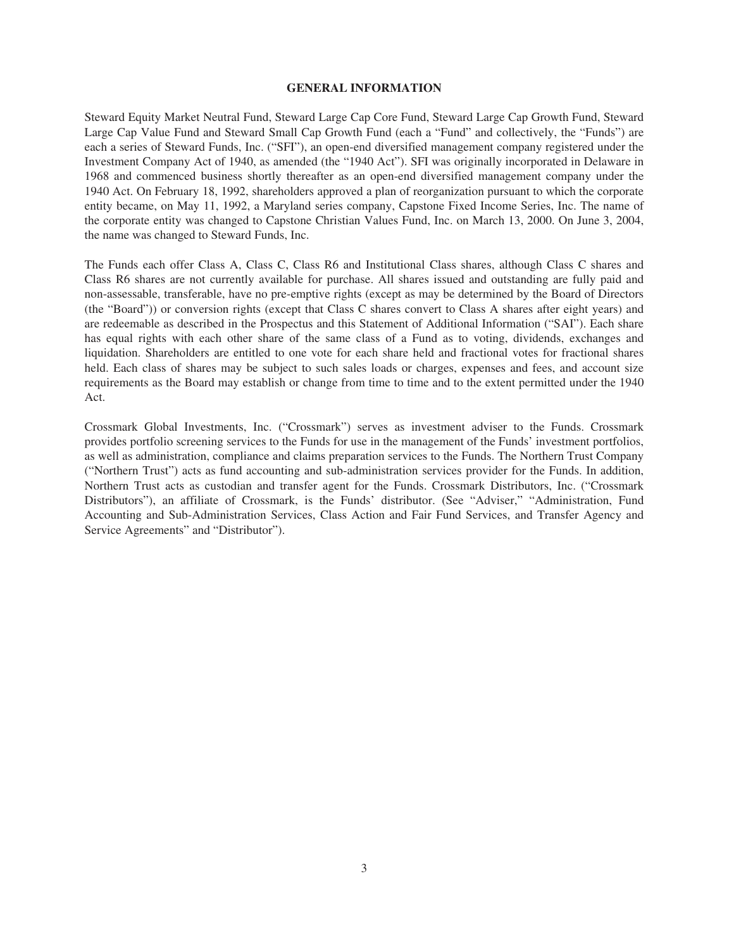#### **GENERAL INFORMATION**

<span id="page-5-0"></span>Steward Equity Market Neutral Fund, Steward Large Cap Core Fund, Steward Large Cap Growth Fund, Steward Large Cap Value Fund and Steward Small Cap Growth Fund (each a "Fund" and collectively, the "Funds") are each a series of Steward Funds, Inc. ("SFI"), an open-end diversified management company registered under the Investment Company Act of 1940, as amended (the "1940 Act"). SFI was originally incorporated in Delaware in 1968 and commenced business shortly thereafter as an open-end diversified management company under the 1940 Act. On February 18, 1992, shareholders approved a plan of reorganization pursuant to which the corporate entity became, on May 11, 1992, a Maryland series company, Capstone Fixed Income Series, Inc. The name of the corporate entity was changed to Capstone Christian Values Fund, Inc. on March 13, 2000. On June 3, 2004, the name was changed to Steward Funds, Inc.

The Funds each offer Class A, Class C, Class R6 and Institutional Class shares, although Class C shares and Class R6 shares are not currently available for purchase. All shares issued and outstanding are fully paid and non-assessable, transferable, have no pre-emptive rights (except as may be determined by the Board of Directors (the "Board")) or conversion rights (except that Class C shares convert to Class A shares after eight years) and are redeemable as described in the Prospectus and this Statement of Additional Information ("SAI"). Each share has equal rights with each other share of the same class of a Fund as to voting, dividends, exchanges and liquidation. Shareholders are entitled to one vote for each share held and fractional votes for fractional shares held. Each class of shares may be subject to such sales loads or charges, expenses and fees, and account size requirements as the Board may establish or change from time to time and to the extent permitted under the 1940 Act.

Crossmark Global Investments, Inc. ("Crossmark") serves as investment adviser to the Funds. Crossmark provides portfolio screening services to the Funds for use in the management of the Funds' investment portfolios, as well as administration, compliance and claims preparation services to the Funds. The Northern Trust Company ("Northern Trust") acts as fund accounting and sub-administration services provider for the Funds. In addition, Northern Trust acts as custodian and transfer agent for the Funds. Crossmark Distributors, Inc. ("Crossmark Distributors"), an affiliate of Crossmark, is the Funds' distributor. (See "Adviser," "Administration, Fund Accounting and Sub-Administration Services, Class Action and Fair Fund Services, and Transfer Agency and Service Agreements" and "Distributor").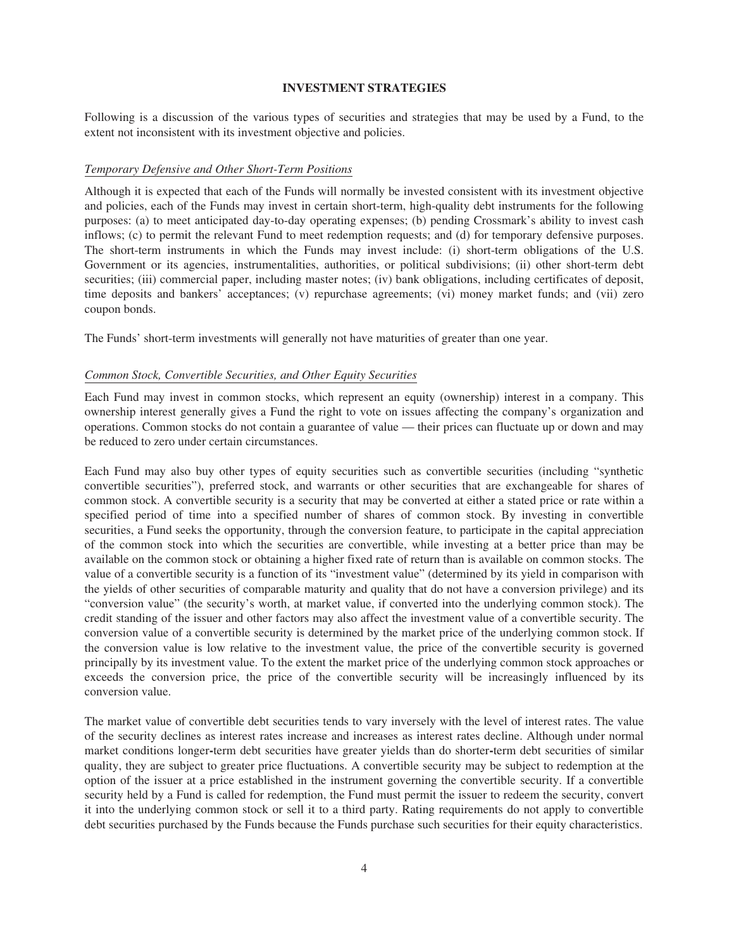#### **INVESTMENT STRATEGIES**

<span id="page-6-0"></span>Following is a discussion of the various types of securities and strategies that may be used by a Fund, to the extent not inconsistent with its investment objective and policies.

# *Temporary Defensive and Other Short-Term Positions*

Although it is expected that each of the Funds will normally be invested consistent with its investment objective and policies, each of the Funds may invest in certain short-term, high-quality debt instruments for the following purposes: (a) to meet anticipated day-to-day operating expenses; (b) pending Crossmark's ability to invest cash inflows; (c) to permit the relevant Fund to meet redemption requests; and (d) for temporary defensive purposes. The short-term instruments in which the Funds may invest include: (i) short-term obligations of the U.S. Government or its agencies, instrumentalities, authorities, or political subdivisions; (ii) other short-term debt securities; (iii) commercial paper, including master notes; (iv) bank obligations, including certificates of deposit, time deposits and bankers' acceptances; (v) repurchase agreements; (vi) money market funds; and (vii) zero coupon bonds.

The Funds' short-term investments will generally not have maturities of greater than one year.

# *Common Stock, Convertible Securities, and Other Equity Securities*

Each Fund may invest in common stocks, which represent an equity (ownership) interest in a company. This ownership interest generally gives a Fund the right to vote on issues affecting the company's organization and operations. Common stocks do not contain a guarantee of value — their prices can fluctuate up or down and may be reduced to zero under certain circumstances.

Each Fund may also buy other types of equity securities such as convertible securities (including "synthetic convertible securities"), preferred stock, and warrants or other securities that are exchangeable for shares of common stock. A convertible security is a security that may be converted at either a stated price or rate within a specified period of time into a specified number of shares of common stock. By investing in convertible securities, a Fund seeks the opportunity, through the conversion feature, to participate in the capital appreciation of the common stock into which the securities are convertible, while investing at a better price than may be available on the common stock or obtaining a higher fixed rate of return than is available on common stocks. The value of a convertible security is a function of its "investment value" (determined by its yield in comparison with the yields of other securities of comparable maturity and quality that do not have a conversion privilege) and its "conversion value" (the security's worth, at market value, if converted into the underlying common stock). The credit standing of the issuer and other factors may also affect the investment value of a convertible security. The conversion value of a convertible security is determined by the market price of the underlying common stock. If the conversion value is low relative to the investment value, the price of the convertible security is governed principally by its investment value. To the extent the market price of the underlying common stock approaches or exceeds the conversion price, the price of the convertible security will be increasingly influenced by its conversion value.

The market value of convertible debt securities tends to vary inversely with the level of interest rates. The value of the security declines as interest rates increase and increases as interest rates decline. Although under normal market conditions longer**-**term debt securities have greater yields than do shorter**-**term debt securities of similar quality, they are subject to greater price fluctuations. A convertible security may be subject to redemption at the option of the issuer at a price established in the instrument governing the convertible security. If a convertible security held by a Fund is called for redemption, the Fund must permit the issuer to redeem the security, convert it into the underlying common stock or sell it to a third party. Rating requirements do not apply to convertible debt securities purchased by the Funds because the Funds purchase such securities for their equity characteristics.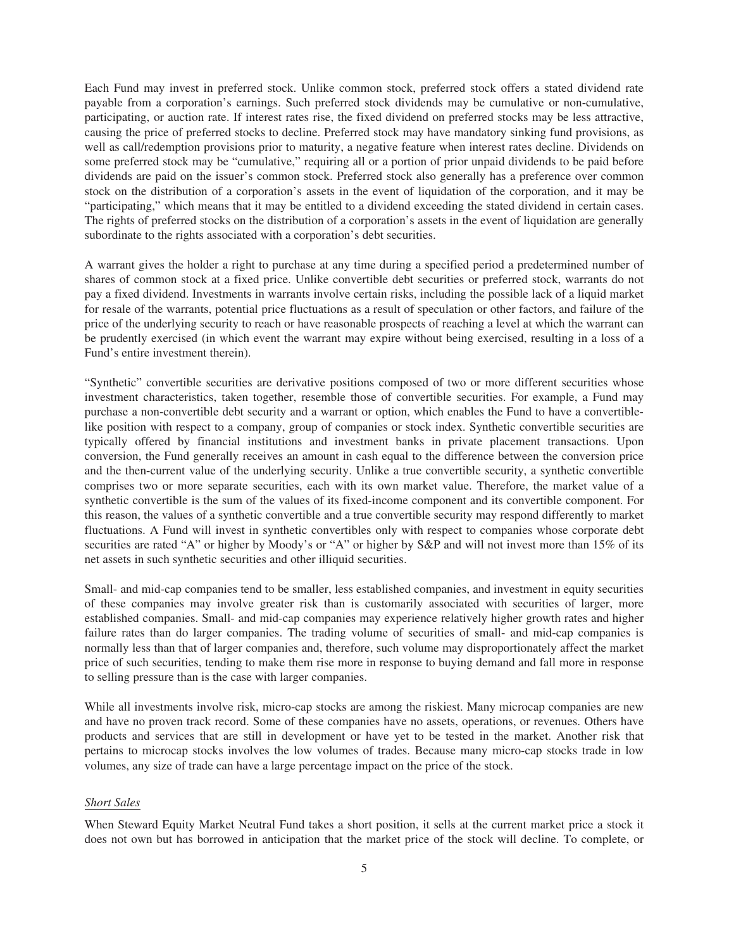Each Fund may invest in preferred stock. Unlike common stock, preferred stock offers a stated dividend rate payable from a corporation's earnings. Such preferred stock dividends may be cumulative or non-cumulative, participating, or auction rate. If interest rates rise, the fixed dividend on preferred stocks may be less attractive, causing the price of preferred stocks to decline. Preferred stock may have mandatory sinking fund provisions, as well as call/redemption provisions prior to maturity, a negative feature when interest rates decline. Dividends on some preferred stock may be "cumulative," requiring all or a portion of prior unpaid dividends to be paid before dividends are paid on the issuer's common stock. Preferred stock also generally has a preference over common stock on the distribution of a corporation's assets in the event of liquidation of the corporation, and it may be "participating," which means that it may be entitled to a dividend exceeding the stated dividend in certain cases. The rights of preferred stocks on the distribution of a corporation's assets in the event of liquidation are generally subordinate to the rights associated with a corporation's debt securities.

A warrant gives the holder a right to purchase at any time during a specified period a predetermined number of shares of common stock at a fixed price. Unlike convertible debt securities or preferred stock, warrants do not pay a fixed dividend. Investments in warrants involve certain risks, including the possible lack of a liquid market for resale of the warrants, potential price fluctuations as a result of speculation or other factors, and failure of the price of the underlying security to reach or have reasonable prospects of reaching a level at which the warrant can be prudently exercised (in which event the warrant may expire without being exercised, resulting in a loss of a Fund's entire investment therein).

"Synthetic" convertible securities are derivative positions composed of two or more different securities whose investment characteristics, taken together, resemble those of convertible securities. For example, a Fund may purchase a non-convertible debt security and a warrant or option, which enables the Fund to have a convertiblelike position with respect to a company, group of companies or stock index. Synthetic convertible securities are typically offered by financial institutions and investment banks in private placement transactions. Upon conversion, the Fund generally receives an amount in cash equal to the difference between the conversion price and the then-current value of the underlying security. Unlike a true convertible security, a synthetic convertible comprises two or more separate securities, each with its own market value. Therefore, the market value of a synthetic convertible is the sum of the values of its fixed-income component and its convertible component. For this reason, the values of a synthetic convertible and a true convertible security may respond differently to market fluctuations. A Fund will invest in synthetic convertibles only with respect to companies whose corporate debt securities are rated "A" or higher by Moody's or "A" or higher by S&P and will not invest more than 15% of its net assets in such synthetic securities and other illiquid securities.

Small- and mid-cap companies tend to be smaller, less established companies, and investment in equity securities of these companies may involve greater risk than is customarily associated with securities of larger, more established companies. Small- and mid-cap companies may experience relatively higher growth rates and higher failure rates than do larger companies. The trading volume of securities of small- and mid-cap companies is normally less than that of larger companies and, therefore, such volume may disproportionately affect the market price of such securities, tending to make them rise more in response to buying demand and fall more in response to selling pressure than is the case with larger companies.

While all investments involve risk, micro-cap stocks are among the riskiest. Many microcap companies are new and have no proven track record. Some of these companies have no assets, operations, or revenues. Others have products and services that are still in development or have yet to be tested in the market. Another risk that pertains to microcap stocks involves the low volumes of trades. Because many micro-cap stocks trade in low volumes, any size of trade can have a large percentage impact on the price of the stock.

# *Short Sales*

When Steward Equity Market Neutral Fund takes a short position, it sells at the current market price a stock it does not own but has borrowed in anticipation that the market price of the stock will decline. To complete, or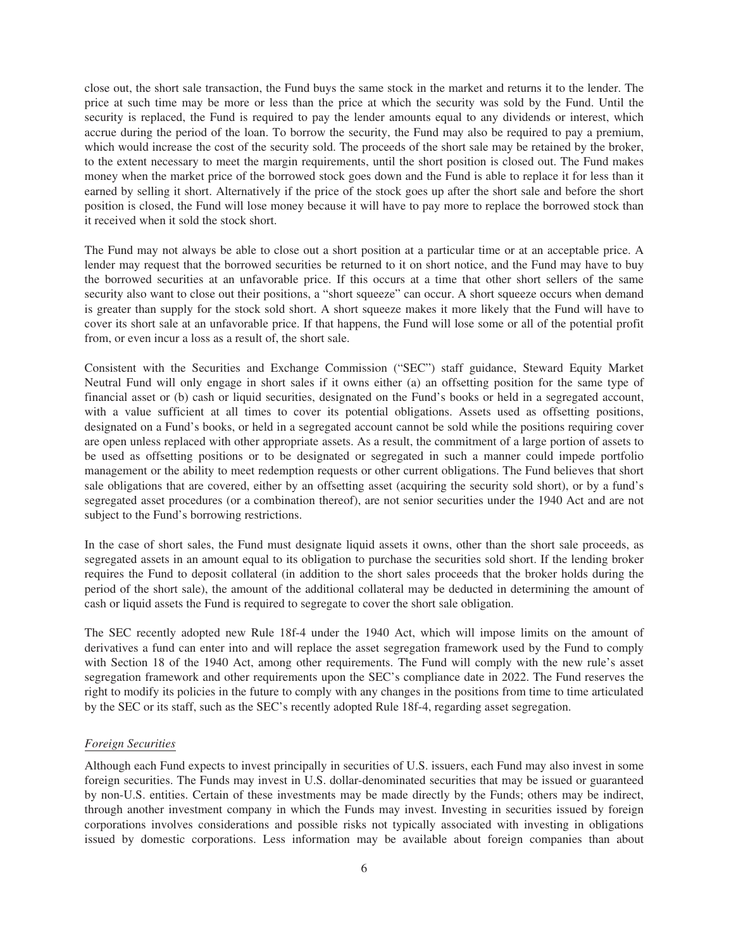close out, the short sale transaction, the Fund buys the same stock in the market and returns it to the lender. The price at such time may be more or less than the price at which the security was sold by the Fund. Until the security is replaced, the Fund is required to pay the lender amounts equal to any dividends or interest, which accrue during the period of the loan. To borrow the security, the Fund may also be required to pay a premium, which would increase the cost of the security sold. The proceeds of the short sale may be retained by the broker, to the extent necessary to meet the margin requirements, until the short position is closed out. The Fund makes money when the market price of the borrowed stock goes down and the Fund is able to replace it for less than it earned by selling it short. Alternatively if the price of the stock goes up after the short sale and before the short position is closed, the Fund will lose money because it will have to pay more to replace the borrowed stock than it received when it sold the stock short.

The Fund may not always be able to close out a short position at a particular time or at an acceptable price. A lender may request that the borrowed securities be returned to it on short notice, and the Fund may have to buy the borrowed securities at an unfavorable price. If this occurs at a time that other short sellers of the same security also want to close out their positions, a "short squeeze" can occur. A short squeeze occurs when demand is greater than supply for the stock sold short. A short squeeze makes it more likely that the Fund will have to cover its short sale at an unfavorable price. If that happens, the Fund will lose some or all of the potential profit from, or even incur a loss as a result of, the short sale.

Consistent with the Securities and Exchange Commission ("SEC") staff guidance, Steward Equity Market Neutral Fund will only engage in short sales if it owns either (a) an offsetting position for the same type of financial asset or (b) cash or liquid securities, designated on the Fund's books or held in a segregated account, with a value sufficient at all times to cover its potential obligations. Assets used as offsetting positions, designated on a Fund's books, or held in a segregated account cannot be sold while the positions requiring cover are open unless replaced with other appropriate assets. As a result, the commitment of a large portion of assets to be used as offsetting positions or to be designated or segregated in such a manner could impede portfolio management or the ability to meet redemption requests or other current obligations. The Fund believes that short sale obligations that are covered, either by an offsetting asset (acquiring the security sold short), or by a fund's segregated asset procedures (or a combination thereof), are not senior securities under the 1940 Act and are not subject to the Fund's borrowing restrictions.

In the case of short sales, the Fund must designate liquid assets it owns, other than the short sale proceeds, as segregated assets in an amount equal to its obligation to purchase the securities sold short. If the lending broker requires the Fund to deposit collateral (in addition to the short sales proceeds that the broker holds during the period of the short sale), the amount of the additional collateral may be deducted in determining the amount of cash or liquid assets the Fund is required to segregate to cover the short sale obligation.

The SEC recently adopted new Rule 18f-4 under the 1940 Act, which will impose limits on the amount of derivatives a fund can enter into and will replace the asset segregation framework used by the Fund to comply with Section 18 of the 1940 Act, among other requirements. The Fund will comply with the new rule's asset segregation framework and other requirements upon the SEC's compliance date in 2022. The Fund reserves the right to modify its policies in the future to comply with any changes in the positions from time to time articulated by the SEC or its staff, such as the SEC's recently adopted Rule 18f-4, regarding asset segregation.

# *Foreign Securities*

Although each Fund expects to invest principally in securities of U.S. issuers, each Fund may also invest in some foreign securities. The Funds may invest in U.S. dollar-denominated securities that may be issued or guaranteed by non-U.S. entities. Certain of these investments may be made directly by the Funds; others may be indirect, through another investment company in which the Funds may invest. Investing in securities issued by foreign corporations involves considerations and possible risks not typically associated with investing in obligations issued by domestic corporations. Less information may be available about foreign companies than about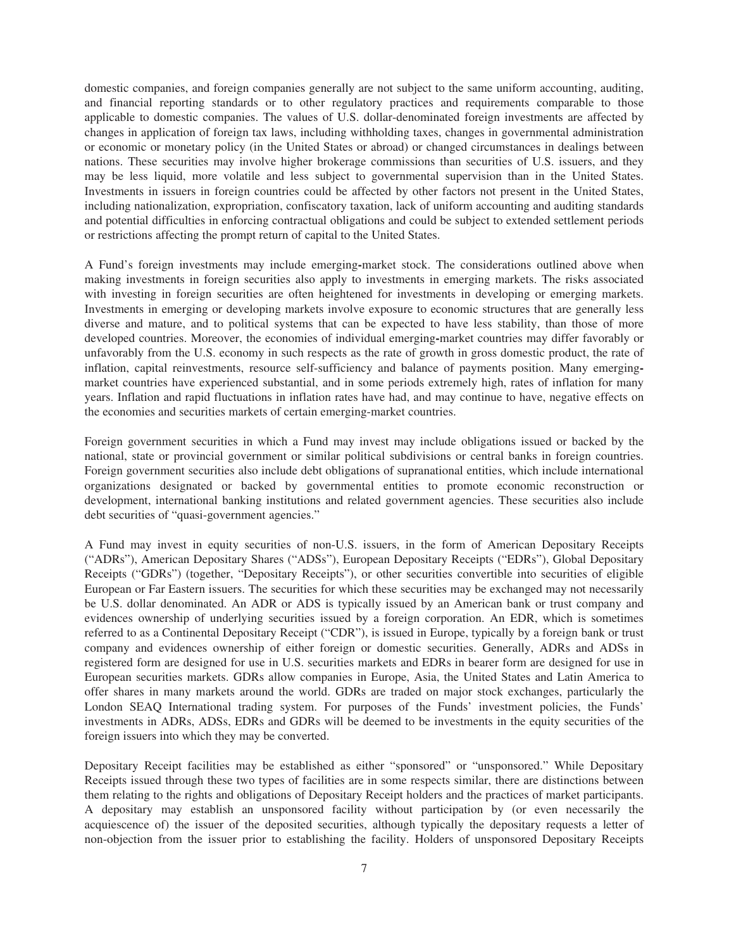domestic companies, and foreign companies generally are not subject to the same uniform accounting, auditing, and financial reporting standards or to other regulatory practices and requirements comparable to those applicable to domestic companies. The values of U.S. dollar-denominated foreign investments are affected by changes in application of foreign tax laws, including withholding taxes, changes in governmental administration or economic or monetary policy (in the United States or abroad) or changed circumstances in dealings between nations. These securities may involve higher brokerage commissions than securities of U.S. issuers, and they may be less liquid, more volatile and less subject to governmental supervision than in the United States. Investments in issuers in foreign countries could be affected by other factors not present in the United States, including nationalization, expropriation, confiscatory taxation, lack of uniform accounting and auditing standards and potential difficulties in enforcing contractual obligations and could be subject to extended settlement periods or restrictions affecting the prompt return of capital to the United States.

A Fund's foreign investments may include emerging**-**market stock. The considerations outlined above when making investments in foreign securities also apply to investments in emerging markets. The risks associated with investing in foreign securities are often heightened for investments in developing or emerging markets. Investments in emerging or developing markets involve exposure to economic structures that are generally less diverse and mature, and to political systems that can be expected to have less stability, than those of more developed countries. Moreover, the economies of individual emerging**-**market countries may differ favorably or unfavorably from the U.S. economy in such respects as the rate of growth in gross domestic product, the rate of inflation, capital reinvestments, resource self-sufficiency and balance of payments position. Many emergingmarket countries have experienced substantial, and in some periods extremely high, rates of inflation for many years. Inflation and rapid fluctuations in inflation rates have had, and may continue to have, negative effects on the economies and securities markets of certain emerging-market countries.

Foreign government securities in which a Fund may invest may include obligations issued or backed by the national, state or provincial government or similar political subdivisions or central banks in foreign countries. Foreign government securities also include debt obligations of supranational entities, which include international organizations designated or backed by governmental entities to promote economic reconstruction or development, international banking institutions and related government agencies. These securities also include debt securities of "quasi-government agencies."

A Fund may invest in equity securities of non-U.S. issuers, in the form of American Depositary Receipts ("ADRs"), American Depositary Shares ("ADSs"), European Depositary Receipts ("EDRs"), Global Depositary Receipts ("GDRs") (together, "Depositary Receipts"), or other securities convertible into securities of eligible European or Far Eastern issuers. The securities for which these securities may be exchanged may not necessarily be U.S. dollar denominated. An ADR or ADS is typically issued by an American bank or trust company and evidences ownership of underlying securities issued by a foreign corporation. An EDR, which is sometimes referred to as a Continental Depositary Receipt ("CDR"), is issued in Europe, typically by a foreign bank or trust company and evidences ownership of either foreign or domestic securities. Generally, ADRs and ADSs in registered form are designed for use in U.S. securities markets and EDRs in bearer form are designed for use in European securities markets. GDRs allow companies in Europe, Asia, the United States and Latin America to offer shares in many markets around the world. GDRs are traded on major stock exchanges, particularly the London SEAQ International trading system. For purposes of the Funds' investment policies, the Funds' investments in ADRs, ADSs, EDRs and GDRs will be deemed to be investments in the equity securities of the foreign issuers into which they may be converted.

Depositary Receipt facilities may be established as either "sponsored" or "unsponsored." While Depositary Receipts issued through these two types of facilities are in some respects similar, there are distinctions between them relating to the rights and obligations of Depositary Receipt holders and the practices of market participants. A depositary may establish an unsponsored facility without participation by (or even necessarily the acquiescence of) the issuer of the deposited securities, although typically the depositary requests a letter of non-objection from the issuer prior to establishing the facility. Holders of unsponsored Depositary Receipts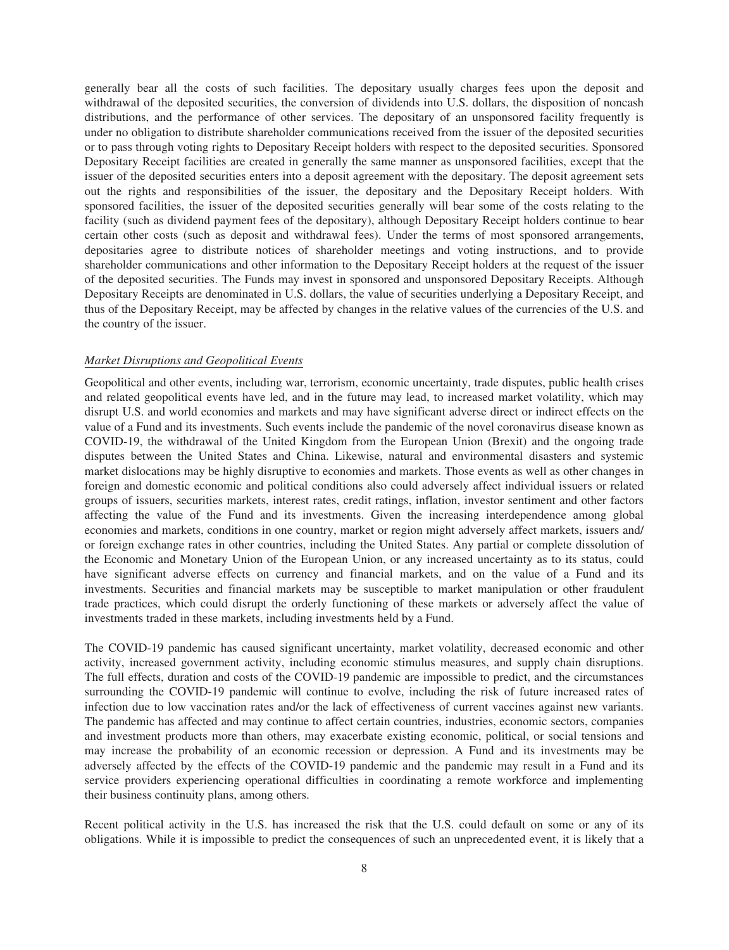generally bear all the costs of such facilities. The depositary usually charges fees upon the deposit and withdrawal of the deposited securities, the conversion of dividends into U.S. dollars, the disposition of noncash distributions, and the performance of other services. The depositary of an unsponsored facility frequently is under no obligation to distribute shareholder communications received from the issuer of the deposited securities or to pass through voting rights to Depositary Receipt holders with respect to the deposited securities. Sponsored Depositary Receipt facilities are created in generally the same manner as unsponsored facilities, except that the issuer of the deposited securities enters into a deposit agreement with the depositary. The deposit agreement sets out the rights and responsibilities of the issuer, the depositary and the Depositary Receipt holders. With sponsored facilities, the issuer of the deposited securities generally will bear some of the costs relating to the facility (such as dividend payment fees of the depositary), although Depositary Receipt holders continue to bear certain other costs (such as deposit and withdrawal fees). Under the terms of most sponsored arrangements, depositaries agree to distribute notices of shareholder meetings and voting instructions, and to provide shareholder communications and other information to the Depositary Receipt holders at the request of the issuer of the deposited securities. The Funds may invest in sponsored and unsponsored Depositary Receipts. Although Depositary Receipts are denominated in U.S. dollars, the value of securities underlying a Depositary Receipt, and thus of the Depositary Receipt, may be affected by changes in the relative values of the currencies of the U.S. and the country of the issuer.

# *Market Disruptions and Geopolitical Events*

Geopolitical and other events, including war, terrorism, economic uncertainty, trade disputes, public health crises and related geopolitical events have led, and in the future may lead, to increased market volatility, which may disrupt U.S. and world economies and markets and may have significant adverse direct or indirect effects on the value of a Fund and its investments. Such events include the pandemic of the novel coronavirus disease known as COVID-19, the withdrawal of the United Kingdom from the European Union (Brexit) and the ongoing trade disputes between the United States and China. Likewise, natural and environmental disasters and systemic market dislocations may be highly disruptive to economies and markets. Those events as well as other changes in foreign and domestic economic and political conditions also could adversely affect individual issuers or related groups of issuers, securities markets, interest rates, credit ratings, inflation, investor sentiment and other factors affecting the value of the Fund and its investments. Given the increasing interdependence among global economies and markets, conditions in one country, market or region might adversely affect markets, issuers and/ or foreign exchange rates in other countries, including the United States. Any partial or complete dissolution of the Economic and Monetary Union of the European Union, or any increased uncertainty as to its status, could have significant adverse effects on currency and financial markets, and on the value of a Fund and its investments. Securities and financial markets may be susceptible to market manipulation or other fraudulent trade practices, which could disrupt the orderly functioning of these markets or adversely affect the value of investments traded in these markets, including investments held by a Fund.

The COVID-19 pandemic has caused significant uncertainty, market volatility, decreased economic and other activity, increased government activity, including economic stimulus measures, and supply chain disruptions. The full effects, duration and costs of the COVID-19 pandemic are impossible to predict, and the circumstances surrounding the COVID-19 pandemic will continue to evolve, including the risk of future increased rates of infection due to low vaccination rates and/or the lack of effectiveness of current vaccines against new variants. The pandemic has affected and may continue to affect certain countries, industries, economic sectors, companies and investment products more than others, may exacerbate existing economic, political, or social tensions and may increase the probability of an economic recession or depression. A Fund and its investments may be adversely affected by the effects of the COVID-19 pandemic and the pandemic may result in a Fund and its service providers experiencing operational difficulties in coordinating a remote workforce and implementing their business continuity plans, among others.

Recent political activity in the U.S. has increased the risk that the U.S. could default on some or any of its obligations. While it is impossible to predict the consequences of such an unprecedented event, it is likely that a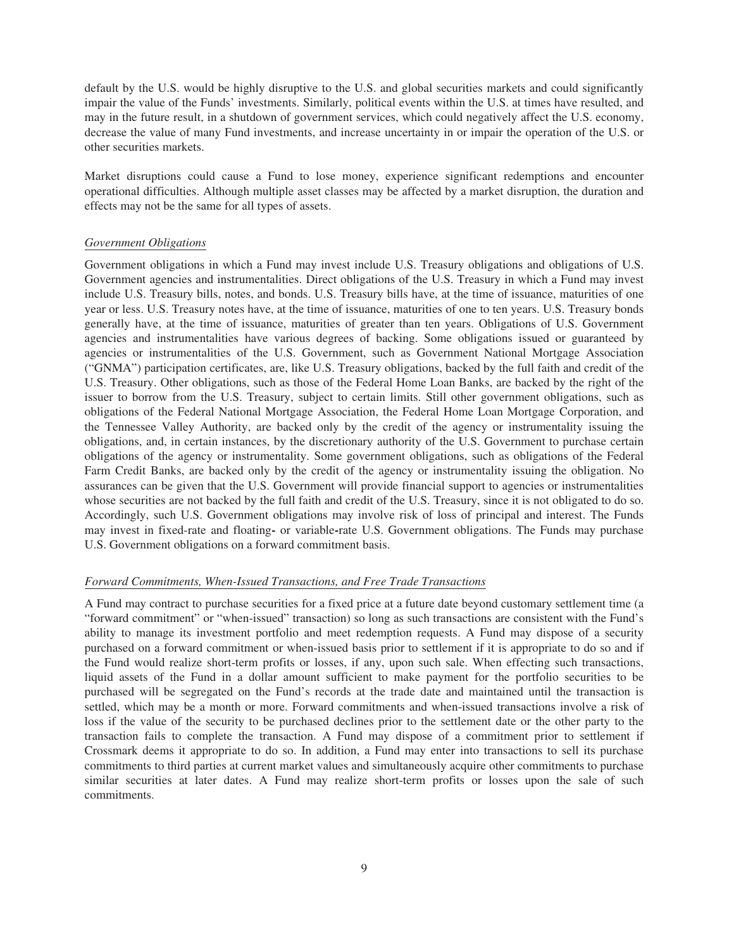default by the U.S. would be highly disruptive to the U.S. and global securities markets and could significantly impair the value of the Funds' investments. Similarly, political events within the U.S. at times have resulted, and may in the future result, in a shutdown of government services, which could negatively affect the U.S. economy, decrease the value of many Fund investments, and increase uncertainty in or impair the operation of the U.S. or other securities markets.

Market disruptions could cause a Fund to lose money, experience significant redemptions and encounter operational difficulties. Although multiple asset classes may be affected by a market disruption, the duration and effects may not be the same for all types of assets.

# *Government Obligations*

Government obligations in which a Fund may invest include U.S. Treasury obligations and obligations of U.S. Government agencies and instrumentalities. Direct obligations of the U.S. Treasury in which a Fund may invest include U.S. Treasury bills, notes, and bonds. U.S. Treasury bills have, at the time of issuance, maturities of one year or less. U.S. Treasury notes have, at the time of issuance, maturities of one to ten years. U.S. Treasury bonds generally have, at the time of issuance, maturities of greater than ten years. Obligations of U.S. Government agencies and instrumentalities have various degrees of backing. Some obligations issued or guaranteed by agencies or instrumentalities of the U.S. Government, such as Government National Mortgage Association ("GNMA") participation certificates, are, like U.S. Treasury obligations, backed by the full faith and credit of the U.S. Treasury. Other obligations, such as those of the Federal Home Loan Banks, are backed by the right of the issuer to borrow from the U.S. Treasury, subject to certain limits. Still other government obligations, such as obligations of the Federal National Mortgage Association, the Federal Home Loan Mortgage Corporation, and the Tennessee Valley Authority, are backed only by the credit of the agency or instrumentality issuing the obligations, and, in certain instances, by the discretionary authority of the U.S. Government to purchase certain obligations of the agency or instrumentality. Some government obligations, such as obligations of the Federal Farm Credit Banks, are backed only by the credit of the agency or instrumentality issuing the obligation. No assurances can be given that the U.S. Government will provide financial support to agencies or instrumentalities whose securities are not backed by the full faith and credit of the U.S. Treasury, since it is not obligated to do so. Accordingly, such U.S. Government obligations may involve risk of loss of principal and interest. The Funds may invest in fixed-rate and floating**-** or variable**-**rate U.S. Government obligations. The Funds may purchase U.S. Government obligations on a forward commitment basis.

# *Forward Commitments, When-Issued Transactions, and Free Trade Transactions*

A Fund may contract to purchase securities for a fixed price at a future date beyond customary settlement time (a "forward commitment" or "when-issued" transaction) so long as such transactions are consistent with the Fund's ability to manage its investment portfolio and meet redemption requests. A Fund may dispose of a security purchased on a forward commitment or when-issued basis prior to settlement if it is appropriate to do so and if the Fund would realize short-term profits or losses, if any, upon such sale. When effecting such transactions, liquid assets of the Fund in a dollar amount sufficient to make payment for the portfolio securities to be purchased will be segregated on the Fund's records at the trade date and maintained until the transaction is settled, which may be a month or more. Forward commitments and when-issued transactions involve a risk of loss if the value of the security to be purchased declines prior to the settlement date or the other party to the transaction fails to complete the transaction. A Fund may dispose of a commitment prior to settlement if Crossmark deems it appropriate to do so. In addition, a Fund may enter into transactions to sell its purchase commitments to third parties at current market values and simultaneously acquire other commitments to purchase similar securities at later dates. A Fund may realize short-term profits or losses upon the sale of such commitments.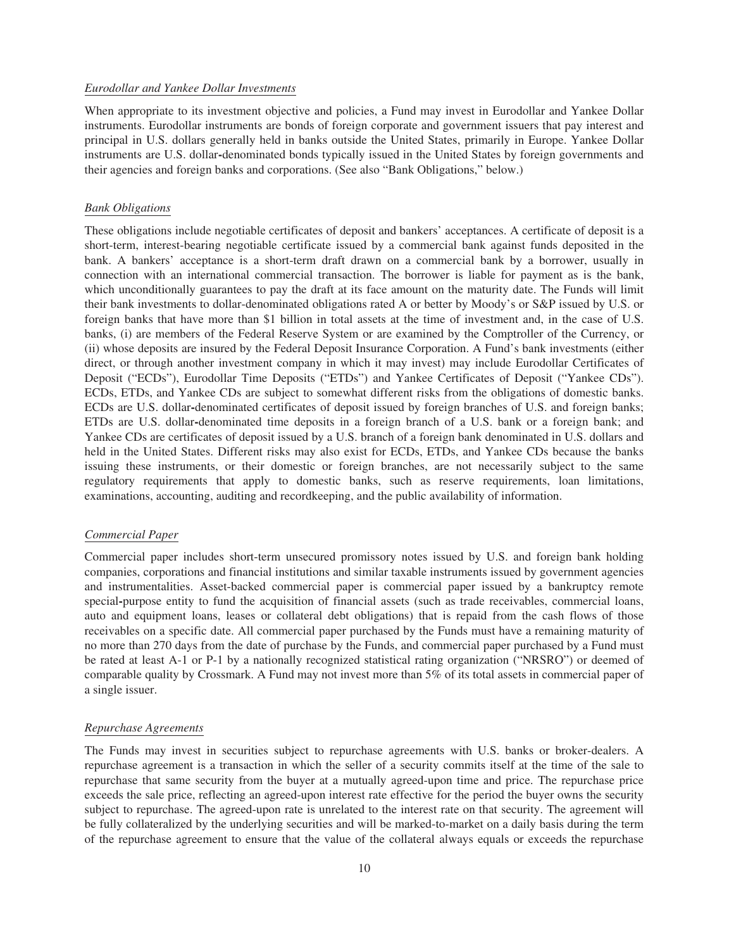# *Eurodollar and Yankee Dollar Investments*

When appropriate to its investment objective and policies, a Fund may invest in Eurodollar and Yankee Dollar instruments. Eurodollar instruments are bonds of foreign corporate and government issuers that pay interest and principal in U.S. dollars generally held in banks outside the United States, primarily in Europe. Yankee Dollar instruments are U.S. dollar**-**denominated bonds typically issued in the United States by foreign governments and their agencies and foreign banks and corporations. (See also "Bank Obligations," below.)

# *Bank Obligations*

These obligations include negotiable certificates of deposit and bankers' acceptances. A certificate of deposit is a short-term, interest-bearing negotiable certificate issued by a commercial bank against funds deposited in the bank. A bankers' acceptance is a short-term draft drawn on a commercial bank by a borrower, usually in connection with an international commercial transaction. The borrower is liable for payment as is the bank, which unconditionally guarantees to pay the draft at its face amount on the maturity date. The Funds will limit their bank investments to dollar-denominated obligations rated A or better by Moody's or S&P issued by U.S. or foreign banks that have more than \$1 billion in total assets at the time of investment and, in the case of U.S. banks, (i) are members of the Federal Reserve System or are examined by the Comptroller of the Currency, or (ii) whose deposits are insured by the Federal Deposit Insurance Corporation. A Fund's bank investments (either direct, or through another investment company in which it may invest) may include Eurodollar Certificates of Deposit ("ECDs"), Eurodollar Time Deposits ("ETDs") and Yankee Certificates of Deposit ("Yankee CDs"). ECDs, ETDs, and Yankee CDs are subject to somewhat different risks from the obligations of domestic banks. ECDs are U.S. dollar**-**denominated certificates of deposit issued by foreign branches of U.S. and foreign banks; ETDs are U.S. dollar**-**denominated time deposits in a foreign branch of a U.S. bank or a foreign bank; and Yankee CDs are certificates of deposit issued by a U.S. branch of a foreign bank denominated in U.S. dollars and held in the United States. Different risks may also exist for ECDs, ETDs, and Yankee CDs because the banks issuing these instruments, or their domestic or foreign branches, are not necessarily subject to the same regulatory requirements that apply to domestic banks, such as reserve requirements, loan limitations, examinations, accounting, auditing and recordkeeping, and the public availability of information.

# *Commercial Paper*

Commercial paper includes short-term unsecured promissory notes issued by U.S. and foreign bank holding companies, corporations and financial institutions and similar taxable instruments issued by government agencies and instrumentalities. Asset-backed commercial paper is commercial paper issued by a bankruptcy remote special**-**purpose entity to fund the acquisition of financial assets (such as trade receivables, commercial loans, auto and equipment loans, leases or collateral debt obligations) that is repaid from the cash flows of those receivables on a specific date. All commercial paper purchased by the Funds must have a remaining maturity of no more than 270 days from the date of purchase by the Funds, and commercial paper purchased by a Fund must be rated at least A-1 or P-1 by a nationally recognized statistical rating organization ("NRSRO") or deemed of comparable quality by Crossmark. A Fund may not invest more than 5% of its total assets in commercial paper of a single issuer.

#### *Repurchase Agreements*

The Funds may invest in securities subject to repurchase agreements with U.S. banks or broker-dealers. A repurchase agreement is a transaction in which the seller of a security commits itself at the time of the sale to repurchase that same security from the buyer at a mutually agreed-upon time and price. The repurchase price exceeds the sale price, reflecting an agreed-upon interest rate effective for the period the buyer owns the security subject to repurchase. The agreed-upon rate is unrelated to the interest rate on that security. The agreement will be fully collateralized by the underlying securities and will be marked-to-market on a daily basis during the term of the repurchase agreement to ensure that the value of the collateral always equals or exceeds the repurchase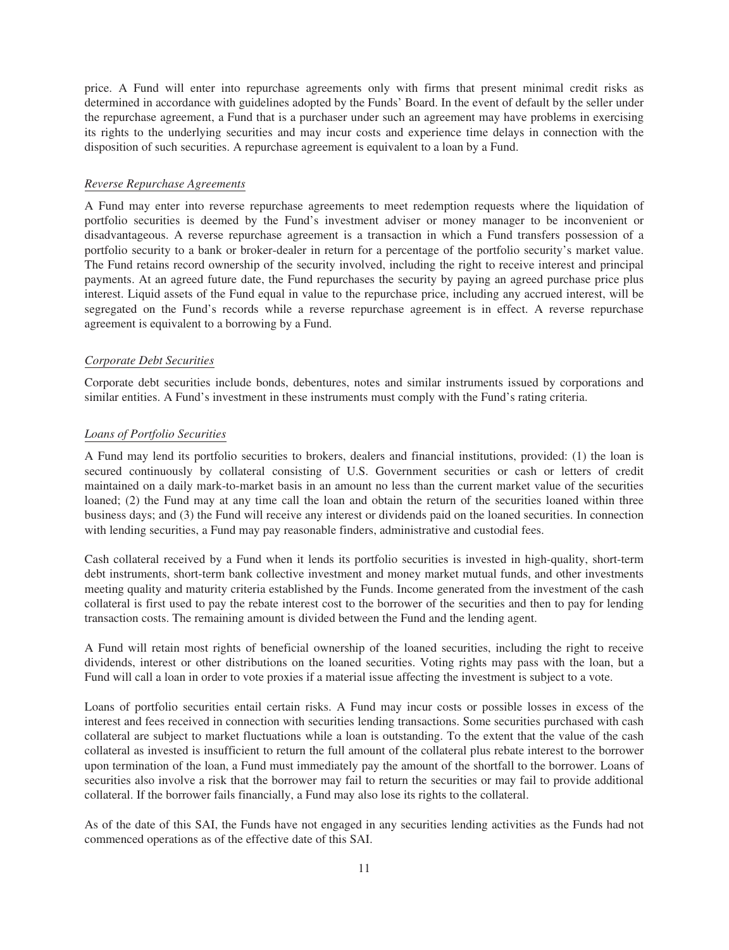price. A Fund will enter into repurchase agreements only with firms that present minimal credit risks as determined in accordance with guidelines adopted by the Funds' Board. In the event of default by the seller under the repurchase agreement, a Fund that is a purchaser under such an agreement may have problems in exercising its rights to the underlying securities and may incur costs and experience time delays in connection with the disposition of such securities. A repurchase agreement is equivalent to a loan by a Fund.

# *Reverse Repurchase Agreements*

A Fund may enter into reverse repurchase agreements to meet redemption requests where the liquidation of portfolio securities is deemed by the Fund's investment adviser or money manager to be inconvenient or disadvantageous. A reverse repurchase agreement is a transaction in which a Fund transfers possession of a portfolio security to a bank or broker-dealer in return for a percentage of the portfolio security's market value. The Fund retains record ownership of the security involved, including the right to receive interest and principal payments. At an agreed future date, the Fund repurchases the security by paying an agreed purchase price plus interest. Liquid assets of the Fund equal in value to the repurchase price, including any accrued interest, will be segregated on the Fund's records while a reverse repurchase agreement is in effect. A reverse repurchase agreement is equivalent to a borrowing by a Fund.

# *Corporate Debt Securities*

Corporate debt securities include bonds, debentures, notes and similar instruments issued by corporations and similar entities. A Fund's investment in these instruments must comply with the Fund's rating criteria.

# *Loans of Portfolio Securities*

A Fund may lend its portfolio securities to brokers, dealers and financial institutions, provided: (1) the loan is secured continuously by collateral consisting of U.S. Government securities or cash or letters of credit maintained on a daily mark-to-market basis in an amount no less than the current market value of the securities loaned; (2) the Fund may at any time call the loan and obtain the return of the securities loaned within three business days; and (3) the Fund will receive any interest or dividends paid on the loaned securities. In connection with lending securities, a Fund may pay reasonable finders, administrative and custodial fees.

Cash collateral received by a Fund when it lends its portfolio securities is invested in high-quality, short-term debt instruments, short-term bank collective investment and money market mutual funds, and other investments meeting quality and maturity criteria established by the Funds. Income generated from the investment of the cash collateral is first used to pay the rebate interest cost to the borrower of the securities and then to pay for lending transaction costs. The remaining amount is divided between the Fund and the lending agent.

A Fund will retain most rights of beneficial ownership of the loaned securities, including the right to receive dividends, interest or other distributions on the loaned securities. Voting rights may pass with the loan, but a Fund will call a loan in order to vote proxies if a material issue affecting the investment is subject to a vote.

Loans of portfolio securities entail certain risks. A Fund may incur costs or possible losses in excess of the interest and fees received in connection with securities lending transactions. Some securities purchased with cash collateral are subject to market fluctuations while a loan is outstanding. To the extent that the value of the cash collateral as invested is insufficient to return the full amount of the collateral plus rebate interest to the borrower upon termination of the loan, a Fund must immediately pay the amount of the shortfall to the borrower. Loans of securities also involve a risk that the borrower may fail to return the securities or may fail to provide additional collateral. If the borrower fails financially, a Fund may also lose its rights to the collateral.

As of the date of this SAI, the Funds have not engaged in any securities lending activities as the Funds had not commenced operations as of the effective date of this SAI.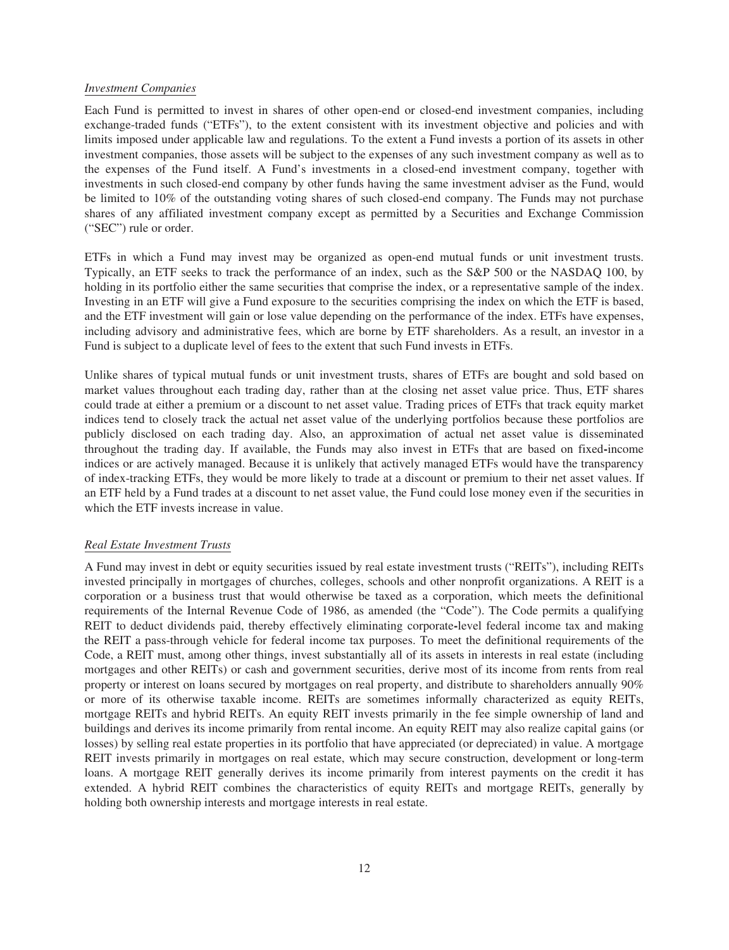# *Investment Companies*

Each Fund is permitted to invest in shares of other open-end or closed-end investment companies, including exchange-traded funds ("ETFs"), to the extent consistent with its investment objective and policies and with limits imposed under applicable law and regulations. To the extent a Fund invests a portion of its assets in other investment companies, those assets will be subject to the expenses of any such investment company as well as to the expenses of the Fund itself. A Fund's investments in a closed-end investment company, together with investments in such closed-end company by other funds having the same investment adviser as the Fund, would be limited to 10% of the outstanding voting shares of such closed-end company. The Funds may not purchase shares of any affiliated investment company except as permitted by a Securities and Exchange Commission ("SEC") rule or order.

ETFs in which a Fund may invest may be organized as open-end mutual funds or unit investment trusts. Typically, an ETF seeks to track the performance of an index, such as the S&P 500 or the NASDAQ 100, by holding in its portfolio either the same securities that comprise the index, or a representative sample of the index. Investing in an ETF will give a Fund exposure to the securities comprising the index on which the ETF is based, and the ETF investment will gain or lose value depending on the performance of the index. ETFs have expenses, including advisory and administrative fees, which are borne by ETF shareholders. As a result, an investor in a Fund is subject to a duplicate level of fees to the extent that such Fund invests in ETFs.

Unlike shares of typical mutual funds or unit investment trusts, shares of ETFs are bought and sold based on market values throughout each trading day, rather than at the closing net asset value price. Thus, ETF shares could trade at either a premium or a discount to net asset value. Trading prices of ETFs that track equity market indices tend to closely track the actual net asset value of the underlying portfolios because these portfolios are publicly disclosed on each trading day. Also, an approximation of actual net asset value is disseminated throughout the trading day. If available, the Funds may also invest in ETFs that are based on fixed**-**income indices or are actively managed. Because it is unlikely that actively managed ETFs would have the transparency of index-tracking ETFs, they would be more likely to trade at a discount or premium to their net asset values. If an ETF held by a Fund trades at a discount to net asset value, the Fund could lose money even if the securities in which the ETF invests increase in value.

# *Real Estate Investment Trusts*

A Fund may invest in debt or equity securities issued by real estate investment trusts ("REITs"), including REITs invested principally in mortgages of churches, colleges, schools and other nonprofit organizations. A REIT is a corporation or a business trust that would otherwise be taxed as a corporation, which meets the definitional requirements of the Internal Revenue Code of 1986, as amended (the "Code"). The Code permits a qualifying REIT to deduct dividends paid, thereby effectively eliminating corporate**-**level federal income tax and making the REIT a pass-through vehicle for federal income tax purposes. To meet the definitional requirements of the Code, a REIT must, among other things, invest substantially all of its assets in interests in real estate (including mortgages and other REITs) or cash and government securities, derive most of its income from rents from real property or interest on loans secured by mortgages on real property, and distribute to shareholders annually 90% or more of its otherwise taxable income. REITs are sometimes informally characterized as equity REITs, mortgage REITs and hybrid REITs. An equity REIT invests primarily in the fee simple ownership of land and buildings and derives its income primarily from rental income. An equity REIT may also realize capital gains (or losses) by selling real estate properties in its portfolio that have appreciated (or depreciated) in value. A mortgage REIT invests primarily in mortgages on real estate, which may secure construction, development or long-term loans. A mortgage REIT generally derives its income primarily from interest payments on the credit it has extended. A hybrid REIT combines the characteristics of equity REITs and mortgage REITs, generally by holding both ownership interests and mortgage interests in real estate.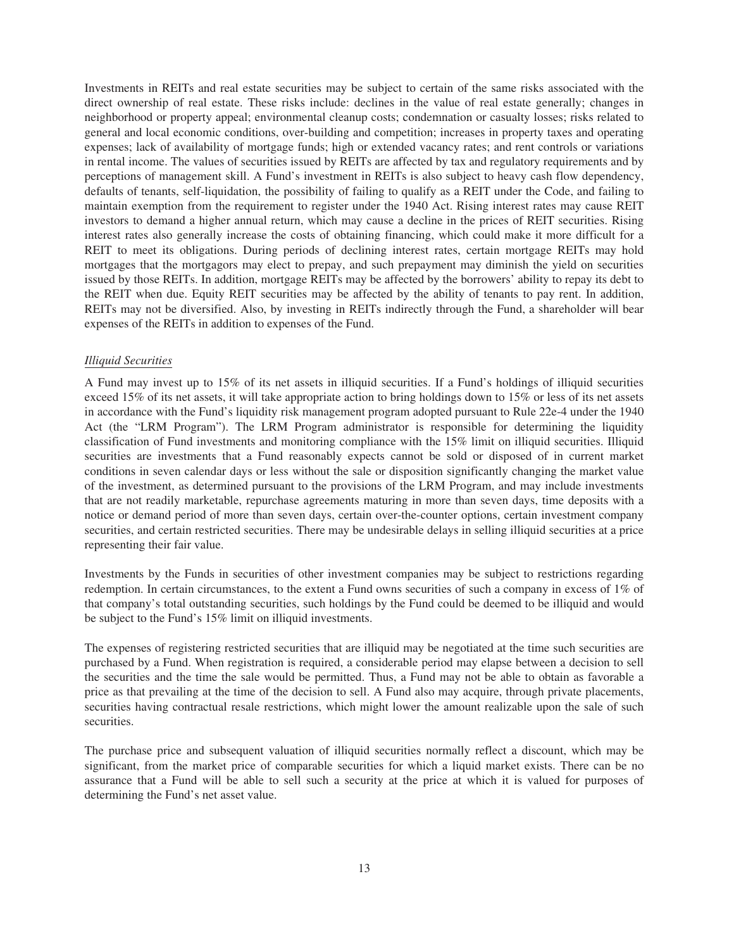Investments in REITs and real estate securities may be subject to certain of the same risks associated with the direct ownership of real estate. These risks include: declines in the value of real estate generally; changes in neighborhood or property appeal; environmental cleanup costs; condemnation or casualty losses; risks related to general and local economic conditions, over-building and competition; increases in property taxes and operating expenses; lack of availability of mortgage funds; high or extended vacancy rates; and rent controls or variations in rental income. The values of securities issued by REITs are affected by tax and regulatory requirements and by perceptions of management skill. A Fund's investment in REITs is also subject to heavy cash flow dependency, defaults of tenants, self-liquidation, the possibility of failing to qualify as a REIT under the Code, and failing to maintain exemption from the requirement to register under the 1940 Act. Rising interest rates may cause REIT investors to demand a higher annual return, which may cause a decline in the prices of REIT securities. Rising interest rates also generally increase the costs of obtaining financing, which could make it more difficult for a REIT to meet its obligations. During periods of declining interest rates, certain mortgage REITs may hold mortgages that the mortgagors may elect to prepay, and such prepayment may diminish the yield on securities issued by those REITs. In addition, mortgage REITs may be affected by the borrowers' ability to repay its debt to the REIT when due. Equity REIT securities may be affected by the ability of tenants to pay rent. In addition, REITs may not be diversified. Also, by investing in REITs indirectly through the Fund, a shareholder will bear expenses of the REITs in addition to expenses of the Fund.

# *Illiquid Securities*

A Fund may invest up to 15% of its net assets in illiquid securities. If a Fund's holdings of illiquid securities exceed 15% of its net assets, it will take appropriate action to bring holdings down to 15% or less of its net assets in accordance with the Fund's liquidity risk management program adopted pursuant to Rule 22e-4 under the 1940 Act (the "LRM Program"). The LRM Program administrator is responsible for determining the liquidity classification of Fund investments and monitoring compliance with the 15% limit on illiquid securities. Illiquid securities are investments that a Fund reasonably expects cannot be sold or disposed of in current market conditions in seven calendar days or less without the sale or disposition significantly changing the market value of the investment, as determined pursuant to the provisions of the LRM Program, and may include investments that are not readily marketable, repurchase agreements maturing in more than seven days, time deposits with a notice or demand period of more than seven days, certain over-the-counter options, certain investment company securities, and certain restricted securities. There may be undesirable delays in selling illiquid securities at a price representing their fair value.

Investments by the Funds in securities of other investment companies may be subject to restrictions regarding redemption. In certain circumstances, to the extent a Fund owns securities of such a company in excess of 1% of that company's total outstanding securities, such holdings by the Fund could be deemed to be illiquid and would be subject to the Fund's 15% limit on illiquid investments.

The expenses of registering restricted securities that are illiquid may be negotiated at the time such securities are purchased by a Fund. When registration is required, a considerable period may elapse between a decision to sell the securities and the time the sale would be permitted. Thus, a Fund may not be able to obtain as favorable a price as that prevailing at the time of the decision to sell. A Fund also may acquire, through private placements, securities having contractual resale restrictions, which might lower the amount realizable upon the sale of such securities.

The purchase price and subsequent valuation of illiquid securities normally reflect a discount, which may be significant, from the market price of comparable securities for which a liquid market exists. There can be no assurance that a Fund will be able to sell such a security at the price at which it is valued for purposes of determining the Fund's net asset value.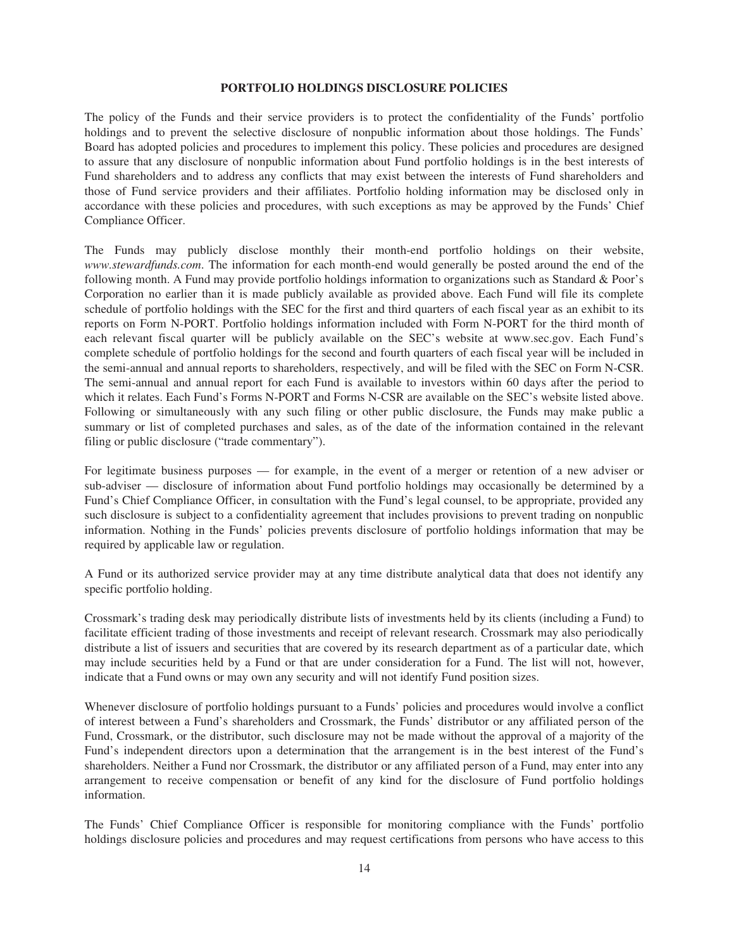# **PORTFOLIO HOLDINGS DISCLOSURE POLICIES**

<span id="page-16-0"></span>The policy of the Funds and their service providers is to protect the confidentiality of the Funds' portfolio holdings and to prevent the selective disclosure of nonpublic information about those holdings. The Funds' Board has adopted policies and procedures to implement this policy. These policies and procedures are designed to assure that any disclosure of nonpublic information about Fund portfolio holdings is in the best interests of Fund shareholders and to address any conflicts that may exist between the interests of Fund shareholders and those of Fund service providers and their affiliates. Portfolio holding information may be disclosed only in accordance with these policies and procedures, with such exceptions as may be approved by the Funds' Chief Compliance Officer.

The Funds may publicly disclose monthly their month-end portfolio holdings on their website, *www.stewardfunds.com*. The information for each month-end would generally be posted around the end of the following month. A Fund may provide portfolio holdings information to organizations such as Standard & Poor's Corporation no earlier than it is made publicly available as provided above. Each Fund will file its complete schedule of portfolio holdings with the SEC for the first and third quarters of each fiscal year as an exhibit to its reports on Form N-PORT. Portfolio holdings information included with Form N-PORT for the third month of each relevant fiscal quarter will be publicly available on the SEC's website at www.sec.gov. Each Fund's complete schedule of portfolio holdings for the second and fourth quarters of each fiscal year will be included in the semi-annual and annual reports to shareholders, respectively, and will be filed with the SEC on Form N-CSR. The semi-annual and annual report for each Fund is available to investors within 60 days after the period to which it relates. Each Fund's Forms N-PORT and Forms N-CSR are available on the SEC's website listed above. Following or simultaneously with any such filing or other public disclosure, the Funds may make public a summary or list of completed purchases and sales, as of the date of the information contained in the relevant filing or public disclosure ("trade commentary").

For legitimate business purposes — for example, in the event of a merger or retention of a new adviser or sub-adviser — disclosure of information about Fund portfolio holdings may occasionally be determined by a Fund's Chief Compliance Officer, in consultation with the Fund's legal counsel, to be appropriate, provided any such disclosure is subject to a confidentiality agreement that includes provisions to prevent trading on nonpublic information. Nothing in the Funds' policies prevents disclosure of portfolio holdings information that may be required by applicable law or regulation.

A Fund or its authorized service provider may at any time distribute analytical data that does not identify any specific portfolio holding.

Crossmark's trading desk may periodically distribute lists of investments held by its clients (including a Fund) to facilitate efficient trading of those investments and receipt of relevant research. Crossmark may also periodically distribute a list of issuers and securities that are covered by its research department as of a particular date, which may include securities held by a Fund or that are under consideration for a Fund. The list will not, however, indicate that a Fund owns or may own any security and will not identify Fund position sizes.

Whenever disclosure of portfolio holdings pursuant to a Funds' policies and procedures would involve a conflict of interest between a Fund's shareholders and Crossmark, the Funds' distributor or any affiliated person of the Fund, Crossmark, or the distributor, such disclosure may not be made without the approval of a majority of the Fund's independent directors upon a determination that the arrangement is in the best interest of the Fund's shareholders. Neither a Fund nor Crossmark, the distributor or any affiliated person of a Fund, may enter into any arrangement to receive compensation or benefit of any kind for the disclosure of Fund portfolio holdings information.

The Funds' Chief Compliance Officer is responsible for monitoring compliance with the Funds' portfolio holdings disclosure policies and procedures and may request certifications from persons who have access to this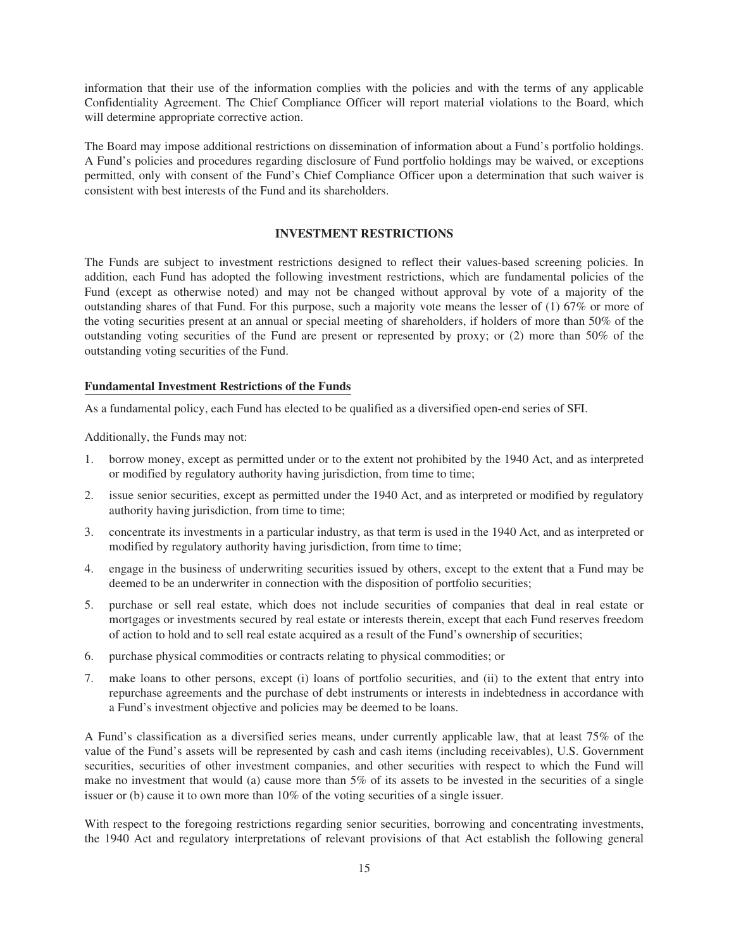information that their use of the information complies with the policies and with the terms of any applicable Confidentiality Agreement. The Chief Compliance Officer will report material violations to the Board, which will determine appropriate corrective action.

The Board may impose additional restrictions on dissemination of information about a Fund's portfolio holdings. A Fund's policies and procedures regarding disclosure of Fund portfolio holdings may be waived, or exceptions permitted, only with consent of the Fund's Chief Compliance Officer upon a determination that such waiver is consistent with best interests of the Fund and its shareholders.

# **INVESTMENT RESTRICTIONS**

<span id="page-17-0"></span>The Funds are subject to investment restrictions designed to reflect their values-based screening policies. In addition, each Fund has adopted the following investment restrictions, which are fundamental policies of the Fund (except as otherwise noted) and may not be changed without approval by vote of a majority of the outstanding shares of that Fund. For this purpose, such a majority vote means the lesser of (1) 67% or more of the voting securities present at an annual or special meeting of shareholders, if holders of more than 50% of the outstanding voting securities of the Fund are present or represented by proxy; or (2) more than 50% of the outstanding voting securities of the Fund.

# **Fundamental Investment Restrictions of the Funds**

As a fundamental policy, each Fund has elected to be qualified as a diversified open-end series of SFI.

Additionally, the Funds may not:

- 1. borrow money, except as permitted under or to the extent not prohibited by the 1940 Act, and as interpreted or modified by regulatory authority having jurisdiction, from time to time;
- 2. issue senior securities, except as permitted under the 1940 Act, and as interpreted or modified by regulatory authority having jurisdiction, from time to time;
- 3. concentrate its investments in a particular industry, as that term is used in the 1940 Act, and as interpreted or modified by regulatory authority having jurisdiction, from time to time;
- 4. engage in the business of underwriting securities issued by others, except to the extent that a Fund may be deemed to be an underwriter in connection with the disposition of portfolio securities;
- 5. purchase or sell real estate, which does not include securities of companies that deal in real estate or mortgages or investments secured by real estate or interests therein, except that each Fund reserves freedom of action to hold and to sell real estate acquired as a result of the Fund's ownership of securities;
- 6. purchase physical commodities or contracts relating to physical commodities; or
- 7. make loans to other persons, except (i) loans of portfolio securities, and (ii) to the extent that entry into repurchase agreements and the purchase of debt instruments or interests in indebtedness in accordance with a Fund's investment objective and policies may be deemed to be loans.

A Fund's classification as a diversified series means, under currently applicable law, that at least 75% of the value of the Fund's assets will be represented by cash and cash items (including receivables), U.S. Government securities, securities of other investment companies, and other securities with respect to which the Fund will make no investment that would (a) cause more than 5% of its assets to be invested in the securities of a single issuer or (b) cause it to own more than 10% of the voting securities of a single issuer.

With respect to the foregoing restrictions regarding senior securities, borrowing and concentrating investments, the 1940 Act and regulatory interpretations of relevant provisions of that Act establish the following general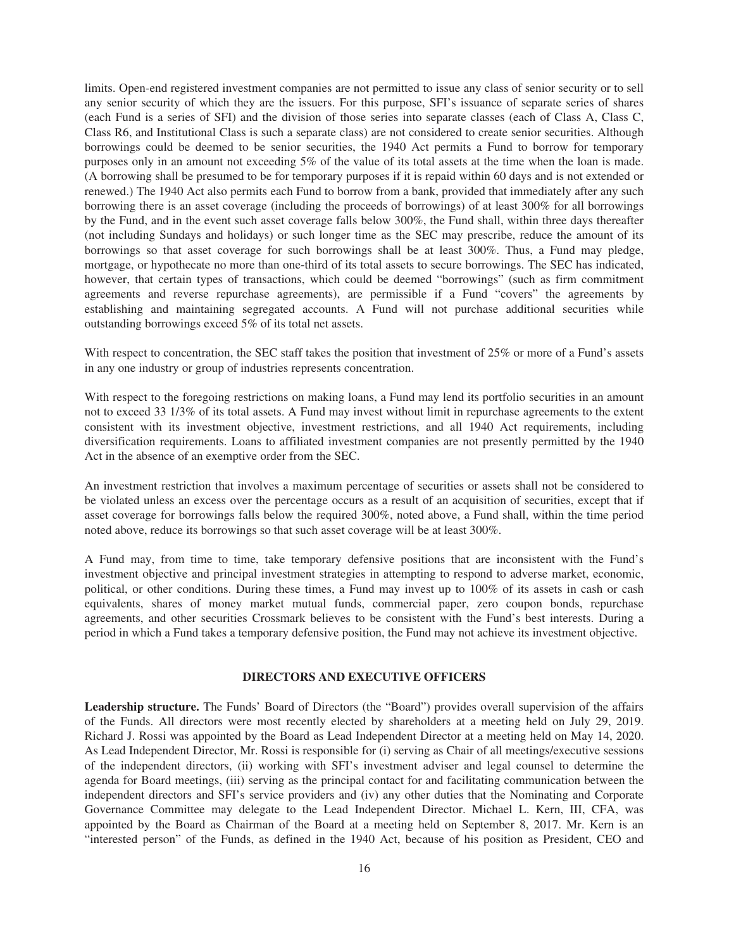limits. Open-end registered investment companies are not permitted to issue any class of senior security or to sell any senior security of which they are the issuers. For this purpose, SFI's issuance of separate series of shares (each Fund is a series of SFI) and the division of those series into separate classes (each of Class A, Class C, Class R6, and Institutional Class is such a separate class) are not considered to create senior securities. Although borrowings could be deemed to be senior securities, the 1940 Act permits a Fund to borrow for temporary purposes only in an amount not exceeding 5% of the value of its total assets at the time when the loan is made. (A borrowing shall be presumed to be for temporary purposes if it is repaid within 60 days and is not extended or renewed.) The 1940 Act also permits each Fund to borrow from a bank, provided that immediately after any such borrowing there is an asset coverage (including the proceeds of borrowings) of at least 300% for all borrowings by the Fund, and in the event such asset coverage falls below 300%, the Fund shall, within three days thereafter (not including Sundays and holidays) or such longer time as the SEC may prescribe, reduce the amount of its borrowings so that asset coverage for such borrowings shall be at least 300%. Thus, a Fund may pledge, mortgage, or hypothecate no more than one-third of its total assets to secure borrowings. The SEC has indicated, however, that certain types of transactions, which could be deemed "borrowings" (such as firm commitment agreements and reverse repurchase agreements), are permissible if a Fund "covers" the agreements by establishing and maintaining segregated accounts. A Fund will not purchase additional securities while outstanding borrowings exceed 5% of its total net assets.

With respect to concentration, the SEC staff takes the position that investment of 25% or more of a Fund's assets in any one industry or group of industries represents concentration.

With respect to the foregoing restrictions on making loans, a Fund may lend its portfolio securities in an amount not to exceed 33 1/3% of its total assets. A Fund may invest without limit in repurchase agreements to the extent consistent with its investment objective, investment restrictions, and all 1940 Act requirements, including diversification requirements. Loans to affiliated investment companies are not presently permitted by the 1940 Act in the absence of an exemptive order from the SEC.

An investment restriction that involves a maximum percentage of securities or assets shall not be considered to be violated unless an excess over the percentage occurs as a result of an acquisition of securities, except that if asset coverage for borrowings falls below the required 300%, noted above, a Fund shall, within the time period noted above, reduce its borrowings so that such asset coverage will be at least 300%.

A Fund may, from time to time, take temporary defensive positions that are inconsistent with the Fund's investment objective and principal investment strategies in attempting to respond to adverse market, economic, political, or other conditions. During these times, a Fund may invest up to 100% of its assets in cash or cash equivalents, shares of money market mutual funds, commercial paper, zero coupon bonds, repurchase agreements, and other securities Crossmark believes to be consistent with the Fund's best interests. During a period in which a Fund takes a temporary defensive position, the Fund may not achieve its investment objective.

# **DIRECTORS AND EXECUTIVE OFFICERS**

<span id="page-18-0"></span>**Leadership structure.** The Funds' Board of Directors (the "Board") provides overall supervision of the affairs of the Funds. All directors were most recently elected by shareholders at a meeting held on July 29, 2019. Richard J. Rossi was appointed by the Board as Lead Independent Director at a meeting held on May 14, 2020. As Lead Independent Director, Mr. Rossi is responsible for (i) serving as Chair of all meetings/executive sessions of the independent directors, (ii) working with SFI's investment adviser and legal counsel to determine the agenda for Board meetings, (iii) serving as the principal contact for and facilitating communication between the independent directors and SFI's service providers and (iv) any other duties that the Nominating and Corporate Governance Committee may delegate to the Lead Independent Director. Michael L. Kern, III, CFA, was appointed by the Board as Chairman of the Board at a meeting held on September 8, 2017. Mr. Kern is an "interested person" of the Funds, as defined in the 1940 Act, because of his position as President, CEO and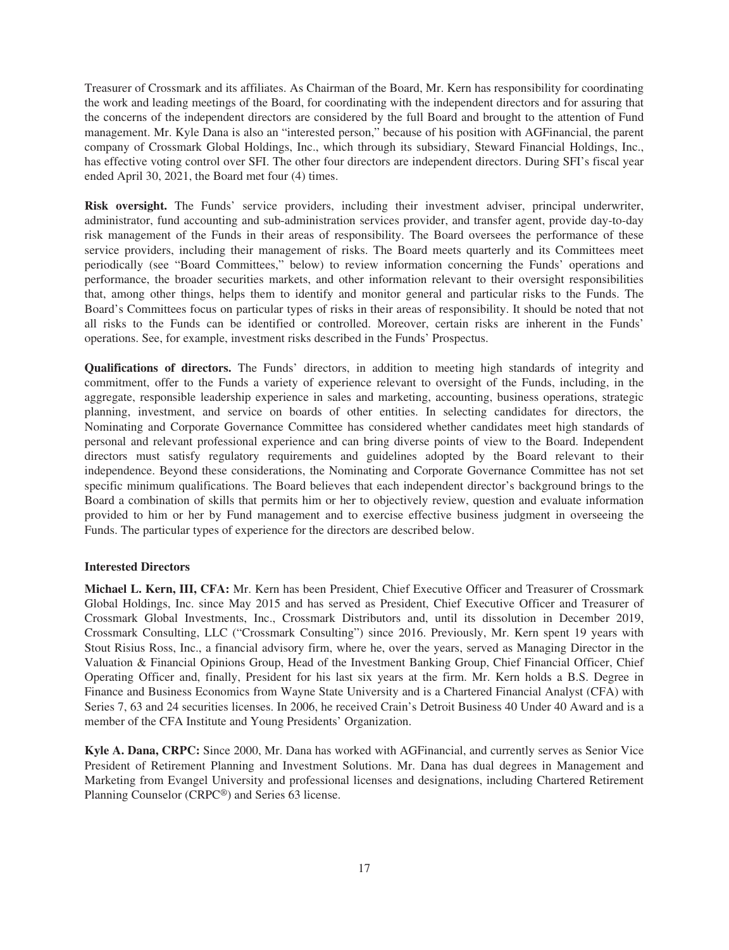Treasurer of Crossmark and its affiliates. As Chairman of the Board, Mr. Kern has responsibility for coordinating the work and leading meetings of the Board, for coordinating with the independent directors and for assuring that the concerns of the independent directors are considered by the full Board and brought to the attention of Fund management. Mr. Kyle Dana is also an "interested person," because of his position with AGFinancial, the parent company of Crossmark Global Holdings, Inc., which through its subsidiary, Steward Financial Holdings, Inc., has effective voting control over SFI. The other four directors are independent directors. During SFI's fiscal year ended April 30, 2021, the Board met four (4) times.

**Risk oversight.** The Funds' service providers, including their investment adviser, principal underwriter, administrator, fund accounting and sub-administration services provider, and transfer agent, provide day-to-day risk management of the Funds in their areas of responsibility. The Board oversees the performance of these service providers, including their management of risks. The Board meets quarterly and its Committees meet periodically (see "Board Committees," below) to review information concerning the Funds' operations and performance, the broader securities markets, and other information relevant to their oversight responsibilities that, among other things, helps them to identify and monitor general and particular risks to the Funds. The Board's Committees focus on particular types of risks in their areas of responsibility. It should be noted that not all risks to the Funds can be identified or controlled. Moreover, certain risks are inherent in the Funds' operations. See, for example, investment risks described in the Funds' Prospectus.

**Qualifications of directors.** The Funds' directors, in addition to meeting high standards of integrity and commitment, offer to the Funds a variety of experience relevant to oversight of the Funds, including, in the aggregate, responsible leadership experience in sales and marketing, accounting, business operations, strategic planning, investment, and service on boards of other entities. In selecting candidates for directors, the Nominating and Corporate Governance Committee has considered whether candidates meet high standards of personal and relevant professional experience and can bring diverse points of view to the Board. Independent directors must satisfy regulatory requirements and guidelines adopted by the Board relevant to their independence. Beyond these considerations, the Nominating and Corporate Governance Committee has not set specific minimum qualifications. The Board believes that each independent director's background brings to the Board a combination of skills that permits him or her to objectively review, question and evaluate information provided to him or her by Fund management and to exercise effective business judgment in overseeing the Funds. The particular types of experience for the directors are described below.

# **Interested Directors**

**Michael L. Kern, III, CFA:** Mr. Kern has been President, Chief Executive Officer and Treasurer of Crossmark Global Holdings, Inc. since May 2015 and has served as President, Chief Executive Officer and Treasurer of Crossmark Global Investments, Inc., Crossmark Distributors and, until its dissolution in December 2019, Crossmark Consulting, LLC ("Crossmark Consulting") since 2016. Previously, Mr. Kern spent 19 years with Stout Risius Ross, Inc., a financial advisory firm, where he, over the years, served as Managing Director in the Valuation & Financial Opinions Group, Head of the Investment Banking Group, Chief Financial Officer, Chief Operating Officer and, finally, President for his last six years at the firm. Mr. Kern holds a B.S. Degree in Finance and Business Economics from Wayne State University and is a Chartered Financial Analyst (CFA) with Series 7, 63 and 24 securities licenses. In 2006, he received Crain's Detroit Business 40 Under 40 Award and is a member of the CFA Institute and Young Presidents' Organization.

**Kyle A. Dana, CRPC:** Since 2000, Mr. Dana has worked with AGFinancial, and currently serves as Senior Vice President of Retirement Planning and Investment Solutions. Mr. Dana has dual degrees in Management and Marketing from Evangel University and professional licenses and designations, including Chartered Retirement Planning Counselor (CRPC®) and Series 63 license.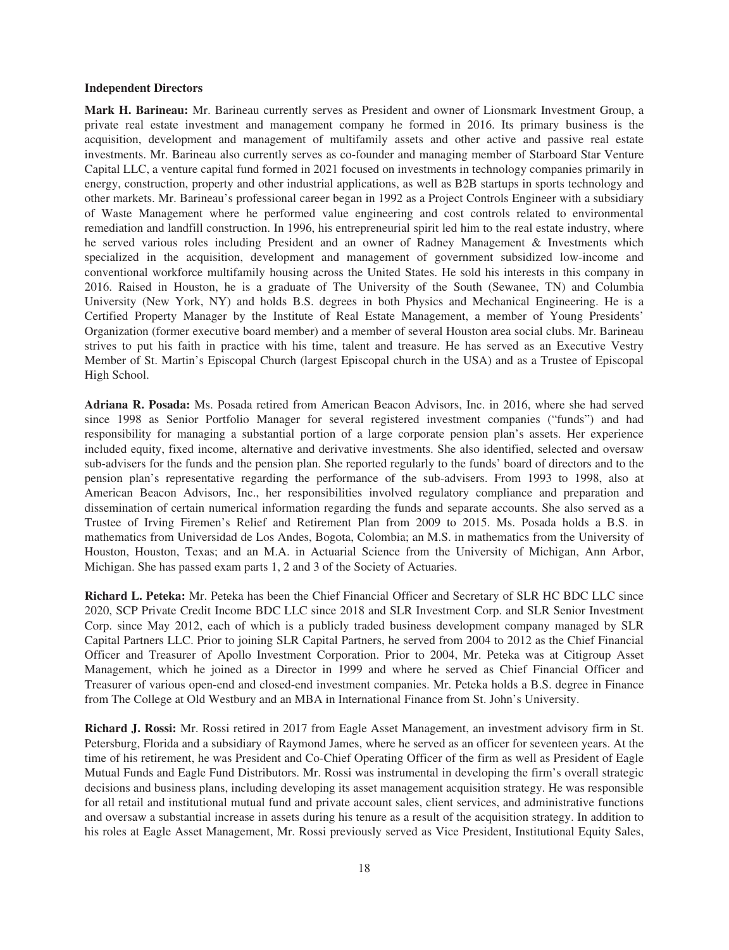#### **Independent Directors**

**Mark H. Barineau:** Mr. Barineau currently serves as President and owner of Lionsmark Investment Group, a private real estate investment and management company he formed in 2016. Its primary business is the acquisition, development and management of multifamily assets and other active and passive real estate investments. Mr. Barineau also currently serves as co-founder and managing member of Starboard Star Venture Capital LLC, a venture capital fund formed in 2021 focused on investments in technology companies primarily in energy, construction, property and other industrial applications, as well as B2B startups in sports technology and other markets. Mr. Barineau's professional career began in 1992 as a Project Controls Engineer with a subsidiary of Waste Management where he performed value engineering and cost controls related to environmental remediation and landfill construction. In 1996, his entrepreneurial spirit led him to the real estate industry, where he served various roles including President and an owner of Radney Management & Investments which specialized in the acquisition, development and management of government subsidized low-income and conventional workforce multifamily housing across the United States. He sold his interests in this company in 2016. Raised in Houston, he is a graduate of The University of the South (Sewanee, TN) and Columbia University (New York, NY) and holds B.S. degrees in both Physics and Mechanical Engineering. He is a Certified Property Manager by the Institute of Real Estate Management, a member of Young Presidents' Organization (former executive board member) and a member of several Houston area social clubs. Mr. Barineau strives to put his faith in practice with his time, talent and treasure. He has served as an Executive Vestry Member of St. Martin's Episcopal Church (largest Episcopal church in the USA) and as a Trustee of Episcopal High School.

**Adriana R. Posada:** Ms. Posada retired from American Beacon Advisors, Inc. in 2016, where she had served since 1998 as Senior Portfolio Manager for several registered investment companies ("funds") and had responsibility for managing a substantial portion of a large corporate pension plan's assets. Her experience included equity, fixed income, alternative and derivative investments. She also identified, selected and oversaw sub-advisers for the funds and the pension plan. She reported regularly to the funds' board of directors and to the pension plan's representative regarding the performance of the sub-advisers. From 1993 to 1998, also at American Beacon Advisors, Inc., her responsibilities involved regulatory compliance and preparation and dissemination of certain numerical information regarding the funds and separate accounts. She also served as a Trustee of Irving Firemen's Relief and Retirement Plan from 2009 to 2015. Ms. Posada holds a B.S. in mathematics from Universidad de Los Andes, Bogota, Colombia; an M.S. in mathematics from the University of Houston, Houston, Texas; and an M.A. in Actuarial Science from the University of Michigan, Ann Arbor, Michigan. She has passed exam parts 1, 2 and 3 of the Society of Actuaries.

**Richard L. Peteka:** Mr. Peteka has been the Chief Financial Officer and Secretary of SLR HC BDC LLC since 2020, SCP Private Credit Income BDC LLC since 2018 and SLR Investment Corp. and SLR Senior Investment Corp. since May 2012, each of which is a publicly traded business development company managed by SLR Capital Partners LLC. Prior to joining SLR Capital Partners, he served from 2004 to 2012 as the Chief Financial Officer and Treasurer of Apollo Investment Corporation. Prior to 2004, Mr. Peteka was at Citigroup Asset Management, which he joined as a Director in 1999 and where he served as Chief Financial Officer and Treasurer of various open-end and closed-end investment companies. Mr. Peteka holds a B.S. degree in Finance from The College at Old Westbury and an MBA in International Finance from St. John's University.

**Richard J. Rossi:** Mr. Rossi retired in 2017 from Eagle Asset Management, an investment advisory firm in St. Petersburg, Florida and a subsidiary of Raymond James, where he served as an officer for seventeen years. At the time of his retirement, he was President and Co-Chief Operating Officer of the firm as well as President of Eagle Mutual Funds and Eagle Fund Distributors. Mr. Rossi was instrumental in developing the firm's overall strategic decisions and business plans, including developing its asset management acquisition strategy. He was responsible for all retail and institutional mutual fund and private account sales, client services, and administrative functions and oversaw a substantial increase in assets during his tenure as a result of the acquisition strategy. In addition to his roles at Eagle Asset Management, Mr. Rossi previously served as Vice President, Institutional Equity Sales,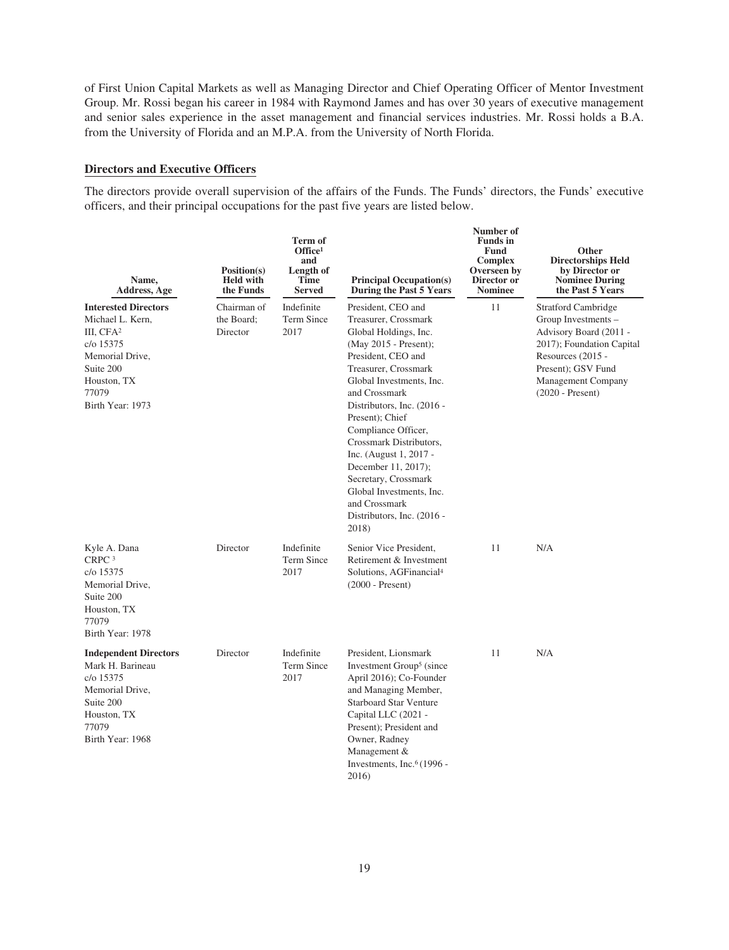of First Union Capital Markets as well as Managing Director and Chief Operating Officer of Mentor Investment Group. Mr. Rossi began his career in 1984 with Raymond James and has over 30 years of executive management and senior sales experience in the asset management and financial services industries. Mr. Rossi holds a B.A. from the University of Florida and an M.P.A. from the University of North Florida.

# **Directors and Executive Officers**

The directors provide overall supervision of the affairs of the Funds. The Funds' directors, the Funds' executive officers, and their principal occupations for the past five years are listed below.

| Name,<br>Address, Age                                                                                                                                             | Position(s)<br><b>Held with</b><br>the Funds | Term of<br>Office <sup>1</sup><br>and<br>Length of<br><b>Time</b><br><b>Served</b> | <b>Principal Occupation(s)</b><br>During the Past 5 Years                                                                                                                                                                                                                                                                                                                                                                                               | Number of<br><b>Funds</b> in<br><b>Fund</b><br>Complex<br>Overseen by<br>Director or<br><b>Nominee</b> | Other<br><b>Directorships Held</b><br>by Director or<br><b>Nominee During</b><br>the Past 5 Years                                                                                                             |
|-------------------------------------------------------------------------------------------------------------------------------------------------------------------|----------------------------------------------|------------------------------------------------------------------------------------|---------------------------------------------------------------------------------------------------------------------------------------------------------------------------------------------------------------------------------------------------------------------------------------------------------------------------------------------------------------------------------------------------------------------------------------------------------|--------------------------------------------------------------------------------------------------------|---------------------------------------------------------------------------------------------------------------------------------------------------------------------------------------------------------------|
| <b>Interested Directors</b><br>Michael L. Kern.<br>III, CFA <sup>2</sup><br>c/o 15375<br>Memorial Drive,<br>Suite 200<br>Houston, TX<br>77079<br>Birth Year: 1973 | Chairman of<br>the Board:<br>Director        | Indefinite<br>Term Since<br>2017                                                   | President, CEO and<br>Treasurer, Crossmark<br>Global Holdings, Inc.<br>(May 2015 - Present);<br>President, CEO and<br>Treasurer, Crossmark<br>Global Investments, Inc.<br>and Crossmark<br>Distributors, Inc. (2016 -<br>Present); Chief<br>Compliance Officer,<br>Crossmark Distributors,<br>Inc. (August 1, 2017 -<br>December 11, 2017);<br>Secretary, Crossmark<br>Global Investments, Inc.<br>and Crossmark<br>Distributors, Inc. (2016 -<br>2018) | 11                                                                                                     | <b>Stratford Cambridge</b><br>Group Investments -<br>Advisory Board (2011 -<br>2017); Foundation Capital<br>Resources (2015 -<br>Present); GSV Fund<br><b>Management Company</b><br>$(2020 - \text{Present})$ |
| Kyle A. Dana<br>CRPC <sup>3</sup><br>c/o 15375<br>Memorial Drive,<br>Suite 200<br>Houston, TX<br>77079<br>Birth Year: 1978                                        | Director                                     | Indefinite<br>Term Since<br>2017                                                   | Senior Vice President,<br>Retirement & Investment<br>Solutions, AGFinancial <sup>4</sup><br>$(2000 - Present)$                                                                                                                                                                                                                                                                                                                                          | 11                                                                                                     | N/A                                                                                                                                                                                                           |
| <b>Independent Directors</b><br>Mark H. Barineau<br>c/o 15375<br>Memorial Drive,<br>Suite 200<br>Houston, TX<br>77079<br>Birth Year: 1968                         | Director                                     | Indefinite<br>Term Since<br>2017                                                   | President, Lionsmark<br>Investment Group <sup>5</sup> (since<br>April 2016); Co-Founder<br>and Managing Member,<br><b>Starboard Star Venture</b><br>Capital LLC (2021 -<br>Present); President and<br>Owner, Radney<br>Management &<br>Investments, Inc. $6(1996 -$<br>2016)                                                                                                                                                                            | 11                                                                                                     | N/A                                                                                                                                                                                                           |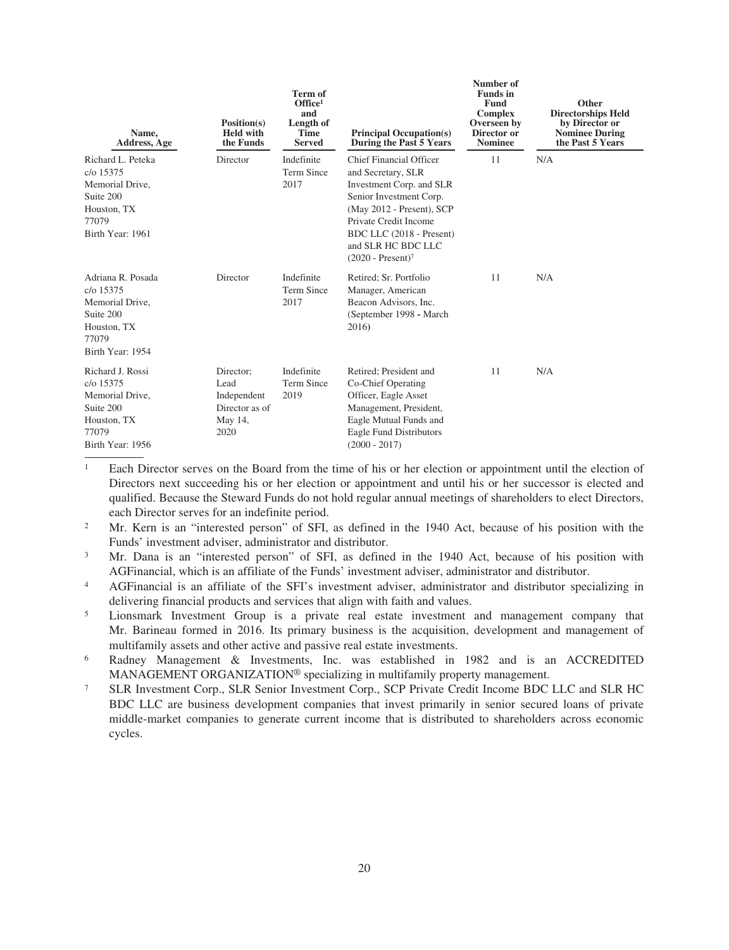| Name,<br>Address, Age                                                                                             | Position(s)<br><b>Held with</b><br>the Funds                          | <b>Term of</b><br>Office <sup>1</sup><br>and<br>Length of<br><b>Time</b><br><b>Served</b> | <b>Principal Occupation(s)</b><br>During the Past 5 Years                                                                                                                                                                            | Number of<br><b>Funds</b> in<br><b>Fund</b><br><b>Complex</b><br>Overseen by<br>Director or<br><b>Nominee</b> | Other<br><b>Directorships Held</b><br>by Director or<br><b>Nominee During</b><br>the Past 5 Years |
|-------------------------------------------------------------------------------------------------------------------|-----------------------------------------------------------------------|-------------------------------------------------------------------------------------------|--------------------------------------------------------------------------------------------------------------------------------------------------------------------------------------------------------------------------------------|---------------------------------------------------------------------------------------------------------------|---------------------------------------------------------------------------------------------------|
| Richard L. Peteka<br>$c/\sigma$ 15375<br>Memorial Drive,<br>Suite 200<br>Houston, TX<br>77079<br>Birth Year: 1961 | Director                                                              | Indefinite<br>Term Since<br>2017                                                          | Chief Financial Officer<br>and Secretary, SLR<br>Investment Corp. and SLR<br>Senior Investment Corp.<br>(May 2012 - Present), SCP<br>Private Credit Income<br>BDC LLC (2018 - Present)<br>and SLR HC BDC LLC<br>$(2020 - Present)^7$ | 11                                                                                                            | N/A                                                                                               |
| Adriana R. Posada<br>c/o 15375<br>Memorial Drive,<br>Suite 200<br>Houston, TX<br>77079<br>Birth Year: 1954        | Director                                                              | Indefinite<br>Term Since<br>2017                                                          | Retired; Sr. Portfolio<br>Manager, American<br>Beacon Advisors, Inc.<br>(September 1998 - March<br>2016)                                                                                                                             | 11                                                                                                            | N/A                                                                                               |
| Richard J. Rossi<br>$c/\sigma$ 15375<br>Memorial Drive,<br>Suite 200<br>Houston, TX<br>77079<br>Birth Year: 1956  | Director;<br>Lead<br>Independent<br>Director as of<br>May 14,<br>2020 | Indefinite<br>Term Since<br>2019                                                          | Retired; President and<br>Co-Chief Operating<br>Officer, Eagle Asset<br>Management, President,<br>Eagle Mutual Funds and<br>Eagle Fund Distributors<br>$(2000 - 2017)$                                                               | 11                                                                                                            | N/A                                                                                               |

<sup>1</sup> Each Director serves on the Board from the time of his or her election or appointment until the election of Directors next succeeding his or her election or appointment and until his or her successor is elected and qualified. Because the Steward Funds do not hold regular annual meetings of shareholders to elect Directors, each Director serves for an indefinite period.

<sup>2</sup> Mr. Kern is an "interested person" of SFI, as defined in the 1940 Act, because of his position with the Funds' investment adviser, administrator and distributor.

<sup>3</sup> Mr. Dana is an "interested person" of SFI, as defined in the 1940 Act, because of his position with AGFinancial, which is an affiliate of the Funds' investment adviser, administrator and distributor.

<sup>4</sup> AGFinancial is an affiliate of the SFI's investment adviser, administrator and distributor specializing in delivering financial products and services that align with faith and values.

<sup>5</sup> Lionsmark Investment Group is a private real estate investment and management company that Mr. Barineau formed in 2016. Its primary business is the acquisition, development and management of multifamily assets and other active and passive real estate investments.

- <sup>6</sup> Radney Management & Investments, Inc. was established in 1982 and is an ACCREDITED MANAGEMENT ORGANIZATION® specializing in multifamily property management.
- <sup>7</sup> SLR Investment Corp., SLR Senior Investment Corp., SCP Private Credit Income BDC LLC and SLR HC BDC LLC are business development companies that invest primarily in senior secured loans of private middle-market companies to generate current income that is distributed to shareholders across economic cycles.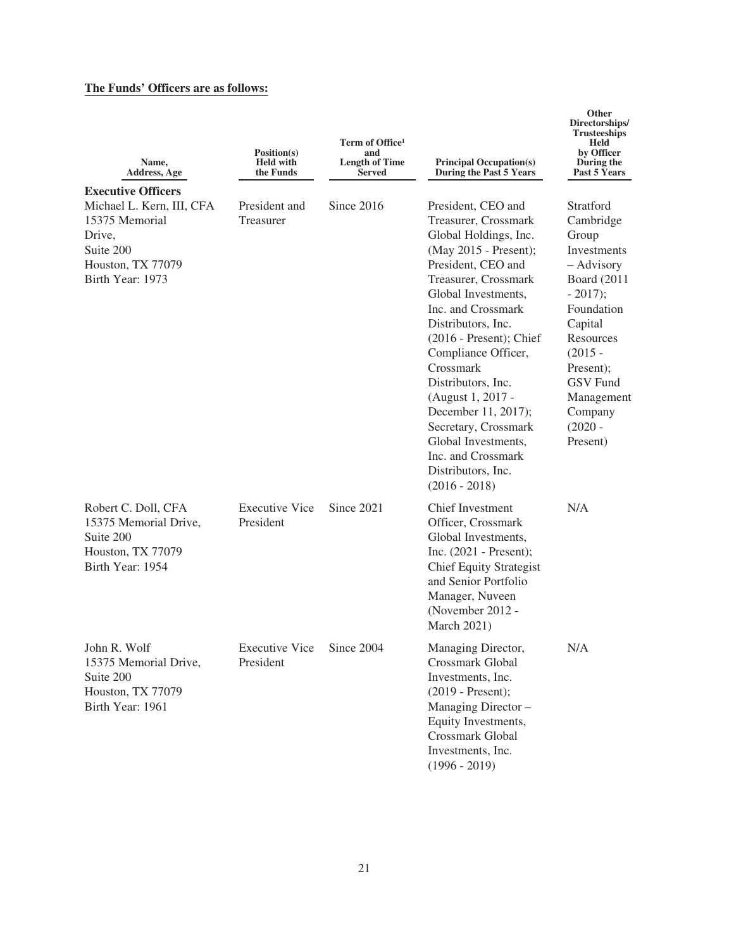# **The Funds' Officers are as follows:**

| Name,<br>Address, Age                                                                                                                    | Position(s)<br><b>Held with</b><br>the Funds | Term of Office <sup>1</sup><br>and<br><b>Length of Time</b><br>Served | <b>Principal Occupation(s)</b><br>During the Past 5 Years                                                                                                                                                                                                                                                                                                                                                                                                       | Directorships/<br><b>Trusteeships</b><br>Held<br>by Officer<br>During the<br>Past 5 Years                                                                                                                                                   |
|------------------------------------------------------------------------------------------------------------------------------------------|----------------------------------------------|-----------------------------------------------------------------------|-----------------------------------------------------------------------------------------------------------------------------------------------------------------------------------------------------------------------------------------------------------------------------------------------------------------------------------------------------------------------------------------------------------------------------------------------------------------|---------------------------------------------------------------------------------------------------------------------------------------------------------------------------------------------------------------------------------------------|
|                                                                                                                                          |                                              |                                                                       |                                                                                                                                                                                                                                                                                                                                                                                                                                                                 |                                                                                                                                                                                                                                             |
| <b>Executive Officers</b><br>Michael L. Kern, III, CFA<br>15375 Memorial<br>Drive,<br>Suite 200<br>Houston, TX 77079<br>Birth Year: 1973 | President and<br>Treasurer                   | Since 2016                                                            | President, CEO and<br>Treasurer, Crossmark<br>Global Holdings, Inc.<br>(May 2015 - Present);<br>President, CEO and<br>Treasurer, Crossmark<br>Global Investments,<br>Inc. and Crossmark<br>Distributors, Inc.<br>$(2016 - Present)$ ; Chief<br>Compliance Officer,<br>Crossmark<br>Distributors, Inc.<br>(August 1, 2017 -<br>December 11, 2017);<br>Secretary, Crossmark<br>Global Investments,<br>Inc. and Crossmark<br>Distributors, Inc.<br>$(2016 - 2018)$ | Stratford<br>Cambridge<br>Group<br><b>Investments</b><br>- Advisory<br><b>Board</b> (2011<br>$-2017$ ;<br>Foundation<br>Capital<br>Resources<br>$(2015 -$<br>Present);<br><b>GSV</b> Fund<br>Management<br>Company<br>$(2020 -$<br>Present) |
| Robert C. Doll, CFA<br>15375 Memorial Drive,<br>Suite 200<br>Houston, TX 77079<br>Birth Year: 1954                                       | <b>Executive Vice</b><br>President           | Since 2021                                                            | <b>Chief Investment</b><br>Officer, Crossmark<br>Global Investments,<br>Inc. $(2021 - \text{Present})$ ;<br><b>Chief Equity Strategist</b><br>and Senior Portfolio<br>Manager, Nuveen<br>(November 2012 -<br><b>March 2021)</b>                                                                                                                                                                                                                                 | N/A                                                                                                                                                                                                                                         |
| John R. Wolf<br>15375 Memorial Drive,<br>Suite 200<br>Houston, TX 77079<br>Birth Year: 1961                                              | <b>Executive Vice</b><br>President           | Since 2004                                                            | Managing Director,<br>Crossmark Global<br>Investments, Inc.<br>$(2019 - Present);$<br>Managing Director -<br>Equity Investments,<br>Crossmark Global<br>Investments, Inc.<br>$(1996 - 2019)$                                                                                                                                                                                                                                                                    | N/A                                                                                                                                                                                                                                         |

**Other**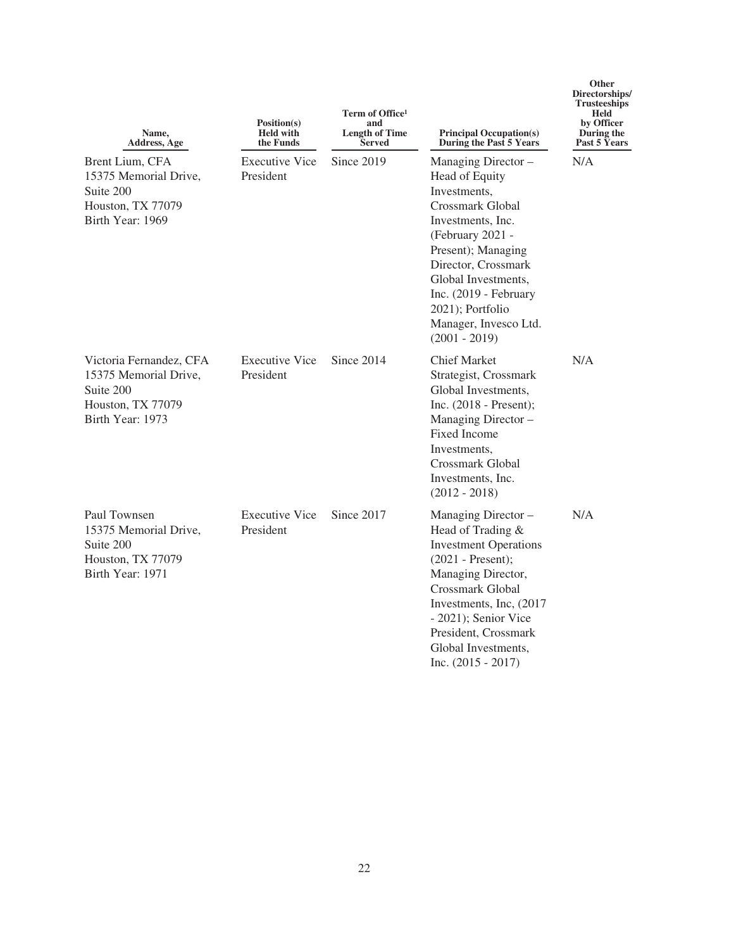| Name,<br><b>Address, Age</b>                                                                           | Position(s)<br><b>Held with</b><br>the Funds | Term of Office <sup>1</sup><br>and<br><b>Length of Time</b><br><b>Served</b> | <b>Principal Occupation(s)</b><br>During the Past 5 Years                                                                                                                                                                                                                       | Directorships/<br><b>Trusteeships</b><br>Held<br>by Officer<br>During the<br>Past 5 Years |
|--------------------------------------------------------------------------------------------------------|----------------------------------------------|------------------------------------------------------------------------------|---------------------------------------------------------------------------------------------------------------------------------------------------------------------------------------------------------------------------------------------------------------------------------|-------------------------------------------------------------------------------------------|
| Brent Lium, CFA<br>15375 Memorial Drive,<br>Suite 200<br>Houston, TX 77079<br>Birth Year: 1969         | <b>Executive Vice</b><br>President           | Since 2019                                                                   | Managing Director -<br>Head of Equity<br>Investments,<br>Crossmark Global<br>Investments, Inc.<br>(February 2021 -<br>Present); Managing<br>Director, Crossmark<br>Global Investments,<br>Inc. (2019 - February<br>2021); Portfolio<br>Manager, Invesco Ltd.<br>$(2001 - 2019)$ | N/A                                                                                       |
| Victoria Fernandez, CFA<br>15375 Memorial Drive,<br>Suite 200<br>Houston, TX 77079<br>Birth Year: 1973 | <b>Executive Vice</b><br>President           | Since 2014                                                                   | <b>Chief Market</b><br>Strategist, Crossmark<br>Global Investments,<br>Inc. $(2018 - Present)$ ;<br>Managing Director -<br><b>Fixed Income</b><br>Investments.<br>Crossmark Global<br>Investments, Inc.<br>$(2012 - 2018)$                                                      | N/A                                                                                       |
| Paul Townsen<br>15375 Memorial Drive,<br>Suite 200<br>Houston, TX 77079<br>Birth Year: 1971            | <b>Executive Vice</b><br>President           | Since 2017                                                                   | Managing Director -<br>Head of Trading &<br><b>Investment Operations</b><br>$(2021 - Present);$<br>Managing Director,<br>Crossmark Global<br>Investments, Inc, (2017)<br>- 2021); Senior Vice<br>President, Crossmark<br>Global Investments,<br>Inc. $(2015 - 2017)$            | N/A                                                                                       |

**Other**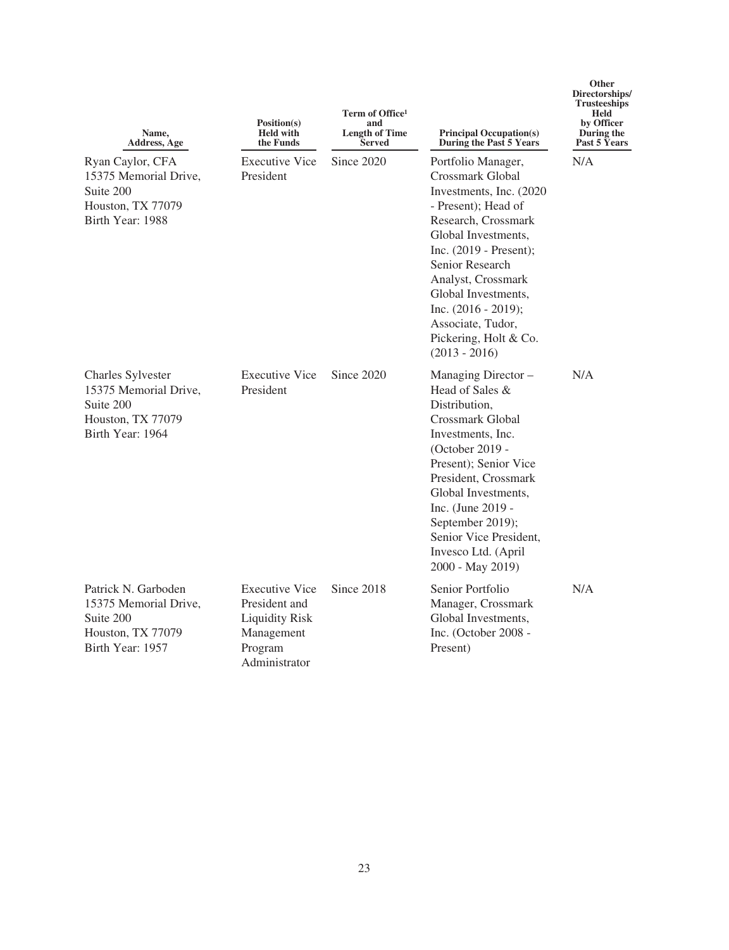| Name.<br>Address, Age                                                                                   | Position(s)<br><b>Held with</b><br>the Funds                                                              | Term of Office <sup>1</sup><br>and<br><b>Length of Time</b><br><b>Served</b> | <b>Principal Occupation(s)</b><br>During the Past 5 Years                                                                                                                                                                                                                                                                       | Directorships/<br><b>Trusteeships</b><br><b>Held</b><br>by Officer<br>During the<br>Past 5 Years |
|---------------------------------------------------------------------------------------------------------|-----------------------------------------------------------------------------------------------------------|------------------------------------------------------------------------------|---------------------------------------------------------------------------------------------------------------------------------------------------------------------------------------------------------------------------------------------------------------------------------------------------------------------------------|--------------------------------------------------------------------------------------------------|
| Ryan Caylor, CFA<br>15375 Memorial Drive,<br>Suite 200<br>Houston, TX 77079<br>Birth Year: 1988         | <b>Executive Vice</b><br>President                                                                        | Since $2020$                                                                 | Portfolio Manager,<br>Crossmark Global<br>Investments, Inc. (2020)<br>- Present); Head of<br>Research, Crossmark<br>Global Investments,<br>Inc. $(2019 - Present)$ ;<br>Senior Research<br>Analyst, Crossmark<br>Global Investments,<br>Inc. $(2016 - 2019)$ ;<br>Associate, Tudor,<br>Pickering, Holt & Co.<br>$(2013 - 2016)$ | N/A                                                                                              |
| <b>Charles Sylvester</b><br>15375 Memorial Drive,<br>Suite 200<br>Houston, TX 77079<br>Birth Year: 1964 | <b>Executive Vice</b><br>President                                                                        | Since 2020                                                                   | Managing Director -<br>Head of Sales &<br>Distribution,<br>Crossmark Global<br>Investments, Inc.<br>(October 2019 -<br>Present); Senior Vice<br>President, Crossmark<br>Global Investments,<br>Inc. (June 2019 -<br>September 2019);<br>Senior Vice President,<br>Invesco Ltd. (April<br>2000 - May 2019)                       | N/A                                                                                              |
| Patrick N. Garboden<br>15375 Memorial Drive,<br>Suite 200<br>Houston, TX 77079<br>Birth Year: 1957      | <b>Executive Vice</b><br>President and<br><b>Liquidity Risk</b><br>Management<br>Program<br>Administrator | Since 2018                                                                   | Senior Portfolio<br>Manager, Crossmark<br>Global Investments,<br>Inc. (October 2008 -<br>Present)                                                                                                                                                                                                                               | N/A                                                                                              |

**Other**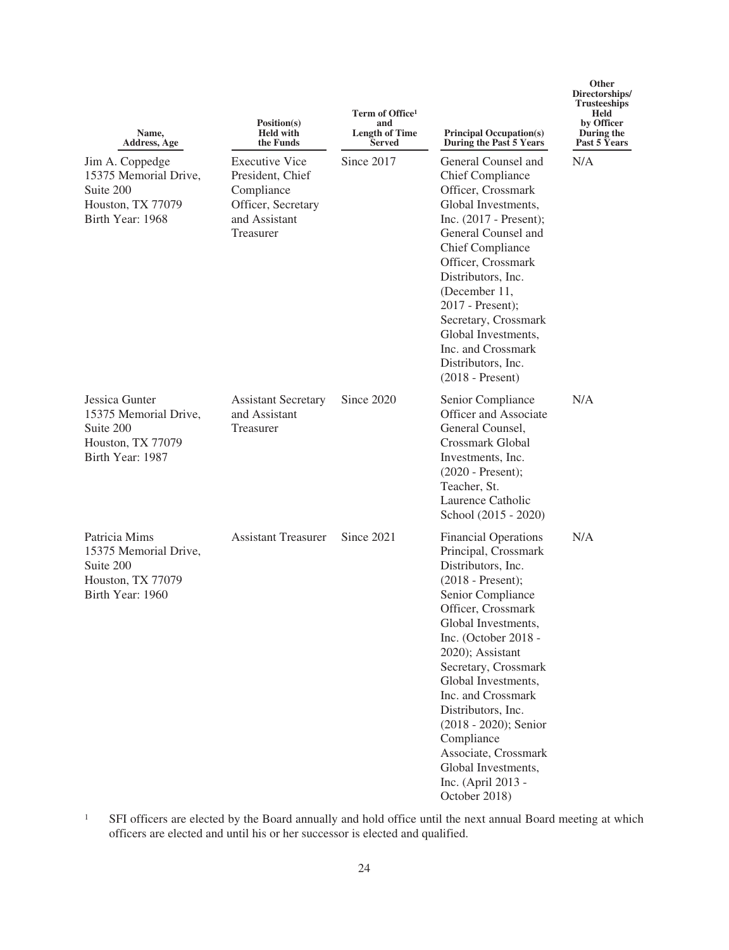| Name,<br>Address, Age                                                                          | Position(s)<br><b>Held with</b><br>the Funds                                                                | Term of Office <sup>1</sup><br>and<br><b>Length of Time</b><br><b>Served</b> | <b>Principal Occupation(s)</b><br>During the Past 5 Years                                                                                                                                                                                                                                                                                                                                                                              | Directorships/<br><b>Trusteeships</b><br>Held<br>by Officer<br>During the<br>Past 5 Years |
|------------------------------------------------------------------------------------------------|-------------------------------------------------------------------------------------------------------------|------------------------------------------------------------------------------|----------------------------------------------------------------------------------------------------------------------------------------------------------------------------------------------------------------------------------------------------------------------------------------------------------------------------------------------------------------------------------------------------------------------------------------|-------------------------------------------------------------------------------------------|
| Jim A. Coppedge<br>15375 Memorial Drive,<br>Suite 200<br>Houston, TX 77079<br>Birth Year: 1968 | <b>Executive Vice</b><br>President, Chief<br>Compliance<br>Officer, Secretary<br>and Assistant<br>Treasurer | Since 2017                                                                   | General Counsel and<br><b>Chief Compliance</b><br>Officer, Crossmark<br>Global Investments,<br>Inc. (2017 - Present);<br>General Counsel and<br><b>Chief Compliance</b><br>Officer, Crossmark<br>Distributors, Inc.<br>(December 11,<br>2017 - Present);<br>Secretary, Crossmark<br>Global Investments,<br>Inc. and Crossmark<br>Distributors, Inc.<br>$(2018 - Present)$                                                              | N/A                                                                                       |
| Jessica Gunter<br>15375 Memorial Drive,<br>Suite 200<br>Houston, TX 77079<br>Birth Year: 1987  | <b>Assistant Secretary</b><br>and Assistant<br>Treasurer                                                    | Since 2020                                                                   | Senior Compliance<br><b>Officer and Associate</b><br>General Counsel,<br>Crossmark Global<br>Investments, Inc.<br>(2020 - Present);<br>Teacher, St.<br>Laurence Catholic<br>School (2015 - 2020)                                                                                                                                                                                                                                       | N/A                                                                                       |
| Patricia Mims<br>15375 Memorial Drive,<br>Suite 200<br>Houston, TX 77079<br>Birth Year: 1960   | <b>Assistant Treasurer</b>                                                                                  | Since 2021                                                                   | <b>Financial Operations</b><br>Principal, Crossmark<br>Distributors, Inc.<br>$(2018 - Present);$<br>Senior Compliance<br>Officer, Crossmark<br>Global Investments,<br>Inc. (October 2018 -<br>2020); Assistant<br>Secretary, Crossmark<br>Global Investments,<br>Inc. and Crossmark<br>Distributors, Inc.<br>(2018 - 2020); Senior<br>Compliance<br>Associate, Crossmark<br>Global Investments,<br>Inc. (April 2013 -<br>October 2018) | N/A                                                                                       |

**Other**

<sup>1</sup> SFI officers are elected by the Board annually and hold office until the next annual Board meeting at which officers are elected and until his or her successor is elected and qualified.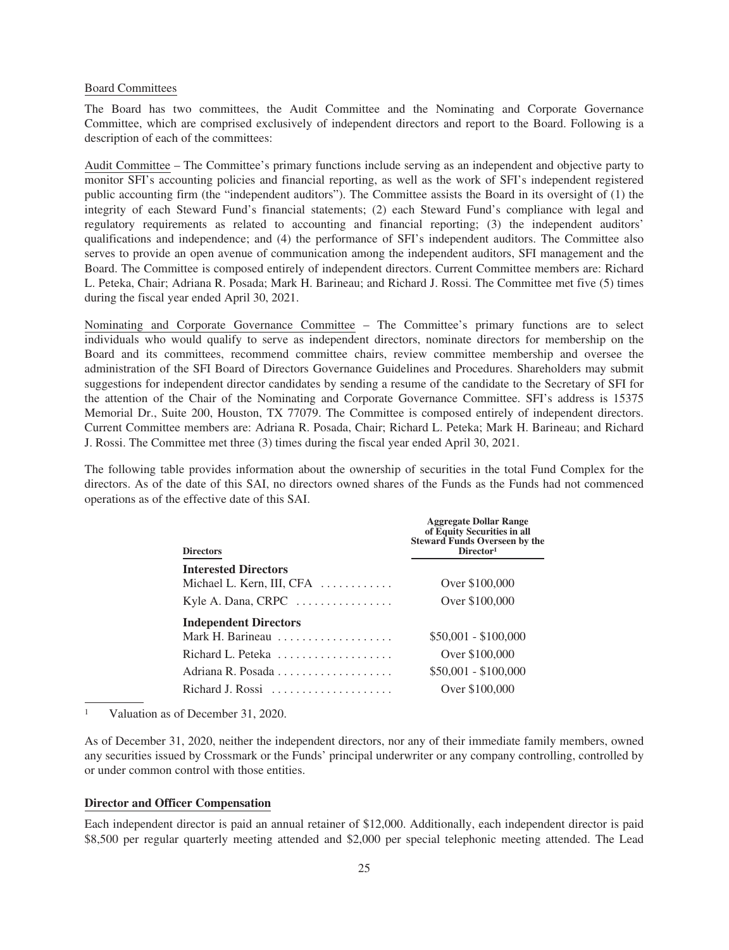#### Board Committees

The Board has two committees, the Audit Committee and the Nominating and Corporate Governance Committee, which are comprised exclusively of independent directors and report to the Board. Following is a description of each of the committees:

Audit Committee – The Committee's primary functions include serving as an independent and objective party to monitor SFI's accounting policies and financial reporting, as well as the work of SFI's independent registered public accounting firm (the "independent auditors"). The Committee assists the Board in its oversight of (1) the integrity of each Steward Fund's financial statements; (2) each Steward Fund's compliance with legal and regulatory requirements as related to accounting and financial reporting; (3) the independent auditors' qualifications and independence; and (4) the performance of SFI's independent auditors. The Committee also serves to provide an open avenue of communication among the independent auditors, SFI management and the Board. The Committee is composed entirely of independent directors. Current Committee members are: Richard L. Peteka, Chair; Adriana R. Posada; Mark H. Barineau; and Richard J. Rossi. The Committee met five (5) times during the fiscal year ended April 30, 2021.

Nominating and Corporate Governance Committee – The Committee's primary functions are to select individuals who would qualify to serve as independent directors, nominate directors for membership on the Board and its committees, recommend committee chairs, review committee membership and oversee the administration of the SFI Board of Directors Governance Guidelines and Procedures. Shareholders may submit suggestions for independent director candidates by sending a resume of the candidate to the Secretary of SFI for the attention of the Chair of the Nominating and Corporate Governance Committee. SFI's address is 15375 Memorial Dr., Suite 200, Houston, TX 77079. The Committee is composed entirely of independent directors. Current Committee members are: Adriana R. Posada, Chair; Richard L. Peteka; Mark H. Barineau; and Richard J. Rossi. The Committee met three (3) times during the fiscal year ended April 30, 2021.

The following table provides information about the ownership of securities in the total Fund Complex for the directors. As of the date of this SAI, no directors owned shares of the Funds as the Funds had not commenced operations as of the effective date of this SAI.

| <b>Directors</b>                                      | <b>Aggregate Dollar Range</b><br>of Equity Securities in all<br>Steward Funds Overseen by the<br>Director <sup>1</sup> |
|-------------------------------------------------------|------------------------------------------------------------------------------------------------------------------------|
| <b>Interested Directors</b>                           |                                                                                                                        |
| Michael L. Kern, III, CFA $\dots\dots\dots\dots$      | Over \$100,000                                                                                                         |
| Kyle A. Dana, CRPC                                    | Over \$100,000                                                                                                         |
| <b>Independent Directors</b>                          |                                                                                                                        |
| Mark H. Barineau $\ldots \ldots \ldots \ldots \ldots$ | $$50,001 - $100,000$                                                                                                   |
| Richard L. Peteka                                     | Over \$100,000                                                                                                         |
|                                                       | $$50,001 - $100,000$                                                                                                   |
| Richard J. Rossi $\ldots, \ldots, \ldots, \ldots$     | Over \$100,000                                                                                                         |

<sup>1</sup> Valuation as of December 31, 2020.

As of December 31, 2020, neither the independent directors, nor any of their immediate family members, owned any securities issued by Crossmark or the Funds' principal underwriter or any company controlling, controlled by or under common control with those entities.

# **Director and Officer Compensation**

Each independent director is paid an annual retainer of \$12,000. Additionally, each independent director is paid \$8,500 per regular quarterly meeting attended and \$2,000 per special telephonic meeting attended. The Lead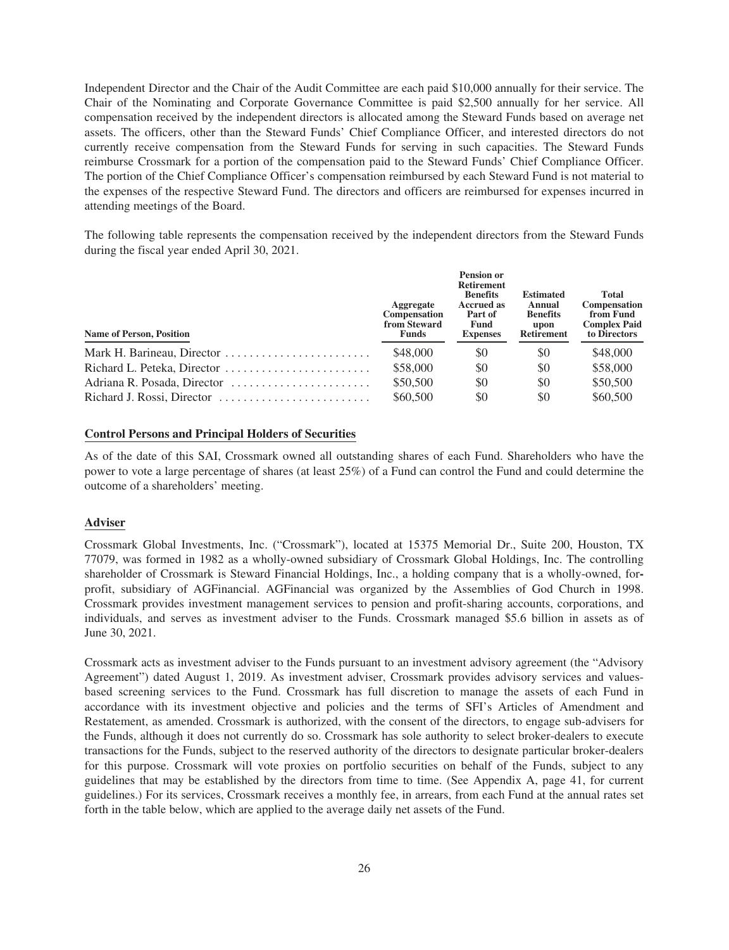Independent Director and the Chair of the Audit Committee are each paid \$10,000 annually for their service. The Chair of the Nominating and Corporate Governance Committee is paid \$2,500 annually for her service. All compensation received by the independent directors is allocated among the Steward Funds based on average net assets. The officers, other than the Steward Funds' Chief Compliance Officer, and interested directors do not currently receive compensation from the Steward Funds for serving in such capacities. The Steward Funds reimburse Crossmark for a portion of the compensation paid to the Steward Funds' Chief Compliance Officer. The portion of the Chief Compliance Officer's compensation reimbursed by each Steward Fund is not material to the expenses of the respective Steward Fund. The directors and officers are reimbursed for expenses incurred in attending meetings of the Board.

The following table represents the compensation received by the independent directors from the Steward Funds during the fiscal year ended April 30, 2021.

| <b>Name of Person, Position</b> | <b>Aggregate</b><br><b>Compensation</b><br>from Steward<br><b>Funds</b> | <b>Pension or</b><br><b>Retirement</b><br><b>Benefits</b><br><b>Accrued as</b><br>Part of<br>Fund<br><b>Expenses</b> | <b>Estimated</b><br>Annual<br><b>Benefits</b><br>upon<br><b>Retirement</b> | Total<br>Compensation<br>from Fund<br><b>Complex Paid</b><br>to Directors |
|---------------------------------|-------------------------------------------------------------------------|----------------------------------------------------------------------------------------------------------------------|----------------------------------------------------------------------------|---------------------------------------------------------------------------|
| Mark H. Barineau, Director      | \$48,000                                                                | \$0                                                                                                                  | \$0                                                                        | \$48,000                                                                  |
| Richard L. Peteka, Director     | \$58,000                                                                | \$0                                                                                                                  | \$0                                                                        | \$58,000                                                                  |
| Adriana R. Posada, Director     | \$50,500                                                                | \$0                                                                                                                  | \$0                                                                        | \$50,500                                                                  |
| Richard J. Rossi, Director      | \$60,500                                                                | \$0                                                                                                                  | \$0                                                                        | \$60,500                                                                  |

# **Control Persons and Principal Holders of Securities**

As of the date of this SAI, Crossmark owned all outstanding shares of each Fund. Shareholders who have the power to vote a large percentage of shares (at least 25%) of a Fund can control the Fund and could determine the outcome of a shareholders' meeting.

# **Adviser**

Crossmark Global Investments, Inc. ("Crossmark"), located at 15375 Memorial Dr., Suite 200, Houston, TX 77079, was formed in 1982 as a wholly-owned subsidiary of Crossmark Global Holdings, Inc. The controlling shareholder of Crossmark is Steward Financial Holdings, Inc., a holding company that is a wholly-owned, forprofit, subsidiary of AGFinancial. AGFinancial was organized by the Assemblies of God Church in 1998. Crossmark provides investment management services to pension and profit-sharing accounts, corporations, and individuals, and serves as investment adviser to the Funds. Crossmark managed \$5.6 billion in assets as of June 30, 2021.

Crossmark acts as investment adviser to the Funds pursuant to an investment advisory agreement (the "Advisory Agreement") dated August 1, 2019. As investment adviser, Crossmark provides advisory services and valuesbased screening services to the Fund. Crossmark has full discretion to manage the assets of each Fund in accordance with its investment objective and policies and the terms of SFI's Articles of Amendment and Restatement, as amended. Crossmark is authorized, with the consent of the directors, to engage sub-advisers for the Funds, although it does not currently do so. Crossmark has sole authority to select broker-dealers to execute transactions for the Funds, subject to the reserved authority of the directors to designate particular broker-dealers for this purpose. Crossmark will vote proxies on portfolio securities on behalf of the Funds, subject to any guidelines that may be established by the directors from time to time. (See Appendix A, page 41, for current guidelines.) For its services, Crossmark receives a monthly fee, in arrears, from each Fund at the annual rates set forth in the table below, which are applied to the average daily net assets of the Fund.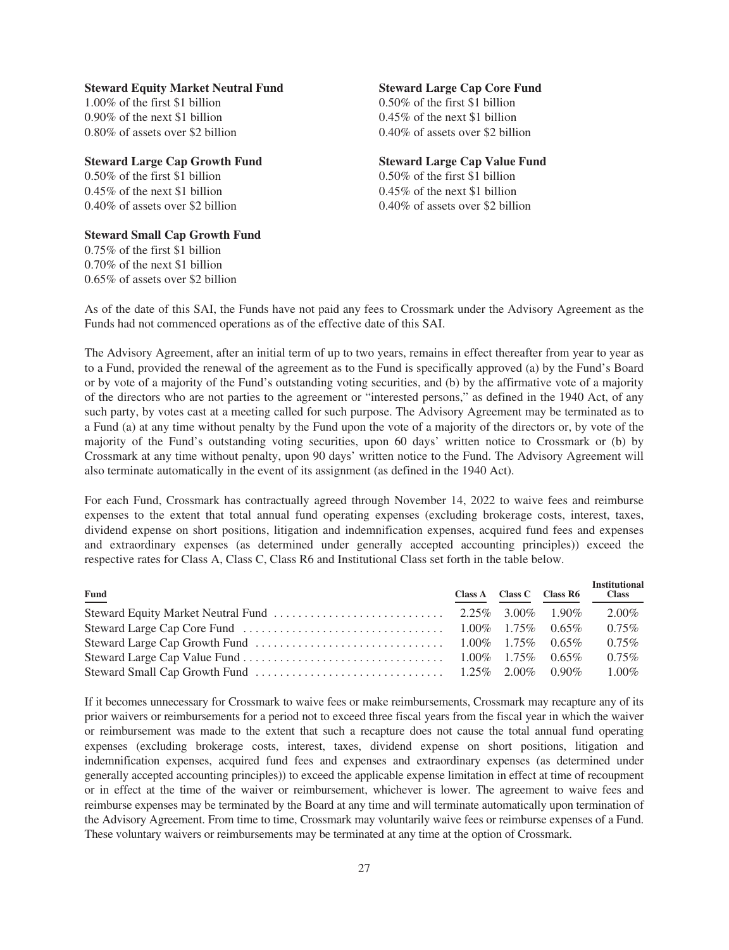# **Steward Equity Market Neutral Fund Steward Large Cap Core Fund**

1.00% of the first \$1 billion 0.50% of the first \$1 billion 0.90% of the next \$1 billion 0.45% of the next \$1 billion 0.80% of assets over \$2 billion 0.40% of assets over \$2 billion

# **Steward Large Cap Growth Fund** Steward Large Cap Value Fund<br>0.50% of the first \$1 billion 0.50% of the first \$1 billion

 $0.50\%$  of the first \$1 billion  $0.45\%$  of the next \$1 billion 0.45% of the next \$1 billion 0.40% of assets over \$2 billion 0.40% of assets over \$2 billion

# **Steward Small Cap Growth Fund**

0.75% of the first \$1 billion 0.70% of the next \$1 billion 0.65% of assets over \$2 billion

As of the date of this SAI, the Funds have not paid any fees to Crossmark under the Advisory Agreement as the Funds had not commenced operations as of the effective date of this SAI.

The Advisory Agreement, after an initial term of up to two years, remains in effect thereafter from year to year as to a Fund, provided the renewal of the agreement as to the Fund is specifically approved (a) by the Fund's Board or by vote of a majority of the Fund's outstanding voting securities, and (b) by the affirmative vote of a majority of the directors who are not parties to the agreement or "interested persons," as defined in the 1940 Act, of any such party, by votes cast at a meeting called for such purpose. The Advisory Agreement may be terminated as to a Fund (a) at any time without penalty by the Fund upon the vote of a majority of the directors or, by vote of the majority of the Fund's outstanding voting securities, upon 60 days' written notice to Crossmark or (b) by Crossmark at any time without penalty, upon 90 days' written notice to the Fund. The Advisory Agreement will also terminate automatically in the event of its assignment (as defined in the 1940 Act).

For each Fund, Crossmark has contractually agreed through November 14, 2022 to waive fees and reimburse expenses to the extent that total annual fund operating expenses (excluding brokerage costs, interest, taxes, dividend expense on short positions, litigation and indemnification expenses, acquired fund fees and expenses and extraordinary expenses (as determined under generally accepted accounting principles)) exceed the respective rates for Class A, Class C, Class R6 and Institutional Class set forth in the table below.

| $Fund$                                                                                                                               |  | Class A Class C Class R6 | <b>Institutional</b><br><b>Class</b> |
|--------------------------------------------------------------------------------------------------------------------------------------|--|--------------------------|--------------------------------------|
| Steward Equity Market Neutral Fund $\ldots \ldots \ldots \ldots \ldots \ldots \ldots \ldots$ 2.25% 3.00% 1.90%                       |  |                          | 2.00%                                |
| Steward Large Cap Core Fund $\ldots \ldots \ldots \ldots \ldots \ldots \ldots \ldots \ldots \ldots \ldots \ldots 1.00\%$ 1.75% 0.65% |  |                          | $0.75\%$                             |
| Steward Large Cap Growth Fund $\ldots \ldots \ldots \ldots \ldots \ldots \ldots \ldots \ldots \ldots \ldots 1.00\%$ 1.75% 0.65%      |  |                          | $0.75\%$                             |
|                                                                                                                                      |  |                          | $0.75\%$                             |
| Steward Small Cap Growth Fund $\ldots \ldots \ldots \ldots \ldots \ldots \ldots \ldots \ldots \ldots \ldots 1.25\%$ 2.00% 0.90%      |  |                          | $1.00\%$                             |

If it becomes unnecessary for Crossmark to waive fees or make reimbursements, Crossmark may recapture any of its prior waivers or reimbursements for a period not to exceed three fiscal years from the fiscal year in which the waiver or reimbursement was made to the extent that such a recapture does not cause the total annual fund operating expenses (excluding brokerage costs, interest, taxes, dividend expense on short positions, litigation and indemnification expenses, acquired fund fees and expenses and extraordinary expenses (as determined under generally accepted accounting principles)) to exceed the applicable expense limitation in effect at time of recoupment or in effect at the time of the waiver or reimbursement, whichever is lower. The agreement to waive fees and reimburse expenses may be terminated by the Board at any time and will terminate automatically upon termination of the Advisory Agreement. From time to time, Crossmark may voluntarily waive fees or reimburse expenses of a Fund. These voluntary waivers or reimbursements may be terminated at any time at the option of Crossmark.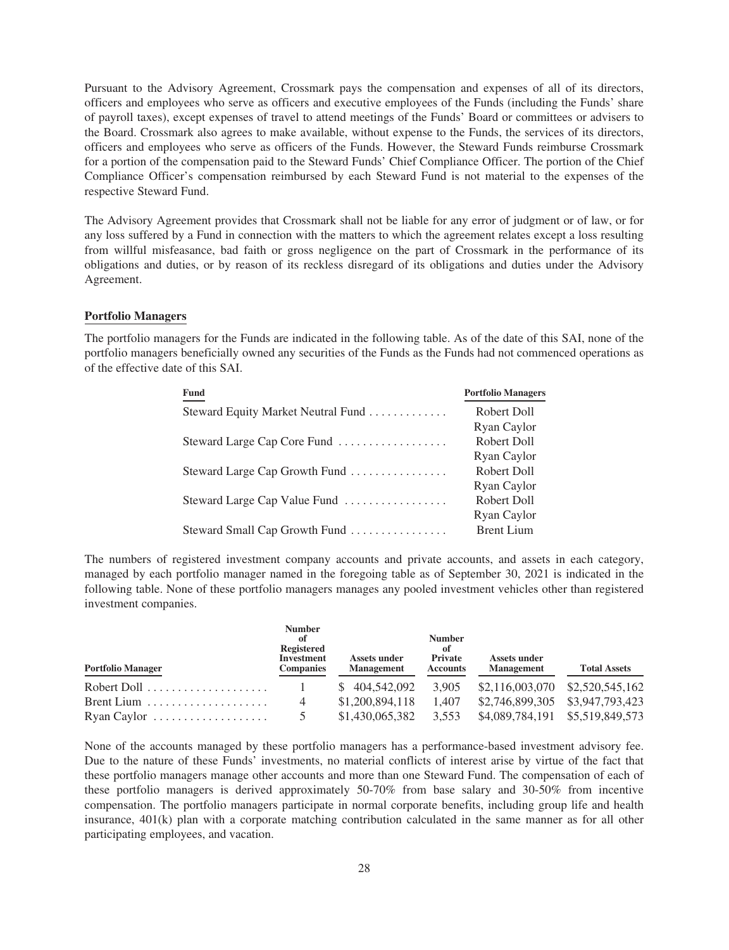Pursuant to the Advisory Agreement, Crossmark pays the compensation and expenses of all of its directors, officers and employees who serve as officers and executive employees of the Funds (including the Funds' share of payroll taxes), except expenses of travel to attend meetings of the Funds' Board or committees or advisers to the Board. Crossmark also agrees to make available, without expense to the Funds, the services of its directors, officers and employees who serve as officers of the Funds. However, the Steward Funds reimburse Crossmark for a portion of the compensation paid to the Steward Funds' Chief Compliance Officer. The portion of the Chief Compliance Officer's compensation reimbursed by each Steward Fund is not material to the expenses of the respective Steward Fund.

The Advisory Agreement provides that Crossmark shall not be liable for any error of judgment or of law, or for any loss suffered by a Fund in connection with the matters to which the agreement relates except a loss resulting from willful misfeasance, bad faith or gross negligence on the part of Crossmark in the performance of its obligations and duties, or by reason of its reckless disregard of its obligations and duties under the Advisory Agreement.

# **Portfolio Managers**

The portfolio managers for the Funds are indicated in the following table. As of the date of this SAI, none of the portfolio managers beneficially owned any securities of the Funds as the Funds had not commenced operations as of the effective date of this SAI.

| <b>Fund</b>                        | <b>Portfolio Managers</b> |
|------------------------------------|---------------------------|
| Steward Equity Market Neutral Fund | Robert Doll               |
|                                    | Ryan Caylor               |
| Steward Large Cap Core Fund        | Robert Doll               |
|                                    | Ryan Caylor               |
| Steward Large Cap Growth Fund      | Robert Doll               |
|                                    | Ryan Caylor               |
| Steward Large Cap Value Fund       | Robert Doll               |
|                                    | Ryan Caylor               |
| Steward Small Cap Growth Fund      | <b>Brent Lium</b>         |

The numbers of registered investment company accounts and private accounts, and assets in each category, managed by each portfolio manager named in the foregoing table as of September 30, 2021 is indicated in the following table. None of these portfolio managers manages any pooled investment vehicles other than registered investment companies.

| <b>Portfolio Manager</b>                                  | <b>Number</b><br>of<br><b>Registered</b><br><b>Investment</b><br><b>Companies</b> | <b>Assets under</b><br><b>Management</b> | <b>Number</b><br>of<br><b>Private</b><br><b>Accounts</b> | Assets under<br><b>Management</b> | <b>Total Assets</b> |
|-----------------------------------------------------------|-----------------------------------------------------------------------------------|------------------------------------------|----------------------------------------------------------|-----------------------------------|---------------------|
| Robert Doll $\dots\dots\dots\dots\dots\dots\dots$         |                                                                                   | \$404,542,092                            | 3.905                                                    | \$2,116,003,070                   | \$2,520,545,162     |
| Brent Lium $\dots\dots\dots\dots\dots\dots\dots$          | 4                                                                                 | \$1,200,894,118                          | 1.407                                                    | \$2,746,899,305 \$3,947,793,423   |                     |
| $\Gamma$ Ryan Caylor $\ldots \ldots \ldots \ldots \ldots$ |                                                                                   | \$1,430,065,382                          | 3,553                                                    | \$4,089,784,191 \$5,519,849,573   |                     |

None of the accounts managed by these portfolio managers has a performance-based investment advisory fee. Due to the nature of these Funds' investments, no material conflicts of interest arise by virtue of the fact that these portfolio managers manage other accounts and more than one Steward Fund. The compensation of each of these portfolio managers is derived approximately 50-70% from base salary and 30-50% from incentive compensation. The portfolio managers participate in normal corporate benefits, including group life and health insurance, 401(k) plan with a corporate matching contribution calculated in the same manner as for all other participating employees, and vacation.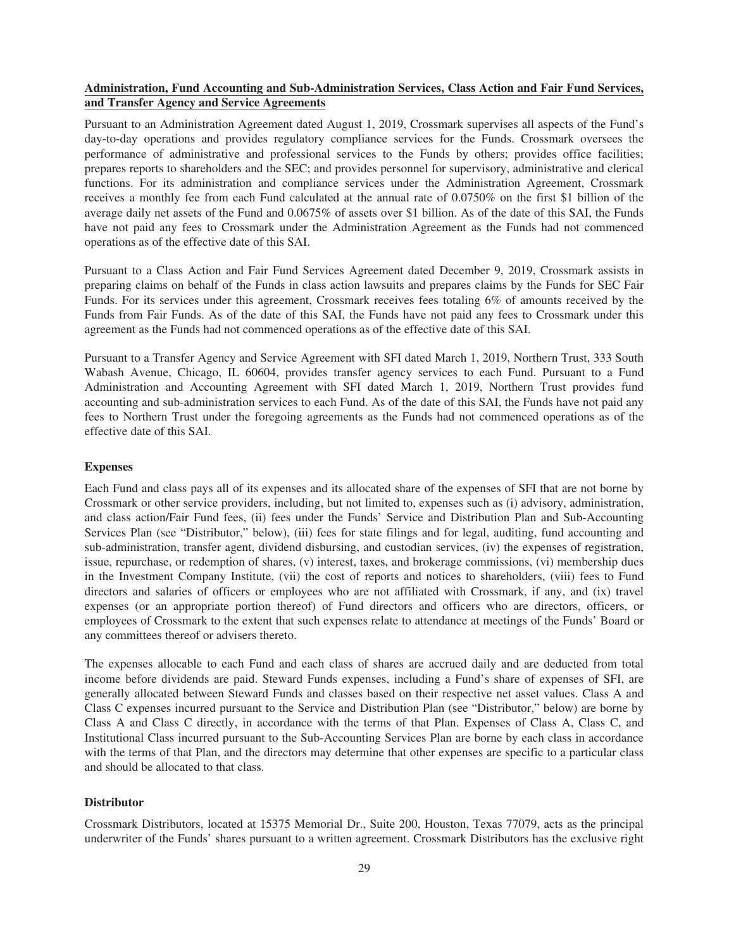# **Administration, Fund Accounting and Sub-Administration Services, Class Action and Fair Fund Services, and Transfer Agency and Service Agreements**

Pursuant to an Administration Agreement dated August 1, 2019, Crossmark supervises all aspects of the Fund's day-to-day operations and provides regulatory compliance services for the Funds. Crossmark oversees the performance of administrative and professional services to the Funds by others; provides office facilities; prepares reports to shareholders and the SEC; and provides personnel for supervisory, administrative and clerical functions. For its administration and compliance services under the Administration Agreement, Crossmark receives a monthly fee from each Fund calculated at the annual rate of 0.0750% on the first \$1 billion of the average daily net assets of the Fund and 0.0675% of assets over \$1 billion. As of the date of this SAI, the Funds have not paid any fees to Crossmark under the Administration Agreement as the Funds had not commenced operations as of the effective date of this SAI.

Pursuant to a Class Action and Fair Fund Services Agreement dated December 9, 2019, Crossmark assists in preparing claims on behalf of the Funds in class action lawsuits and prepares claims by the Funds for SEC Fair Funds. For its services under this agreement, Crossmark receives fees totaling 6% of amounts received by the Funds from Fair Funds. As of the date of this SAI, the Funds have not paid any fees to Crossmark under this agreement as the Funds had not commenced operations as of the effective date of this SAI.

Pursuant to a Transfer Agency and Service Agreement with SFI dated March 1, 2019, Northern Trust, 333 South Wabash Avenue, Chicago, IL 60604, provides transfer agency services to each Fund. Pursuant to a Fund Administration and Accounting Agreement with SFI dated March 1, 2019, Northern Trust provides fund accounting and sub-administration services to each Fund. As of the date of this SAI, the Funds have not paid any fees to Northern Trust under the foregoing agreements as the Funds had not commenced operations as of the effective date of this SAI.

# **Expenses**

Each Fund and class pays all of its expenses and its allocated share of the expenses of SFI that are not borne by Crossmark or other service providers, including, but not limited to, expenses such as (i) advisory, administration, and class action/Fair Fund fees, (ii) fees under the Funds' Service and Distribution Plan and Sub-Accounting Services Plan (see "Distributor," below), (iii) fees for state filings and for legal, auditing, fund accounting and sub-administration, transfer agent, dividend disbursing, and custodian services, (iv) the expenses of registration, issue, repurchase, or redemption of shares, (v) interest, taxes, and brokerage commissions, (vi) membership dues in the Investment Company Institute, (vii) the cost of reports and notices to shareholders, (viii) fees to Fund directors and salaries of officers or employees who are not affiliated with Crossmark, if any, and (ix) travel expenses (or an appropriate portion thereof) of Fund directors and officers who are directors, officers, or employees of Crossmark to the extent that such expenses relate to attendance at meetings of the Funds' Board or any committees thereof or advisers thereto.

The expenses allocable to each Fund and each class of shares are accrued daily and are deducted from total income before dividends are paid. Steward Funds expenses, including a Fund's share of expenses of SFI, are generally allocated between Steward Funds and classes based on their respective net asset values. Class A and Class C expenses incurred pursuant to the Service and Distribution Plan (see "Distributor," below) are borne by Class A and Class C directly, in accordance with the terms of that Plan. Expenses of Class A, Class C, and Institutional Class incurred pursuant to the Sub-Accounting Services Plan are borne by each class in accordance with the terms of that Plan, and the directors may determine that other expenses are specific to a particular class and should be allocated to that class.

# **Distributor**

Crossmark Distributors, located at 15375 Memorial Dr., Suite 200, Houston, Texas 77079, acts as the principal underwriter of the Funds' shares pursuant to a written agreement. Crossmark Distributors has the exclusive right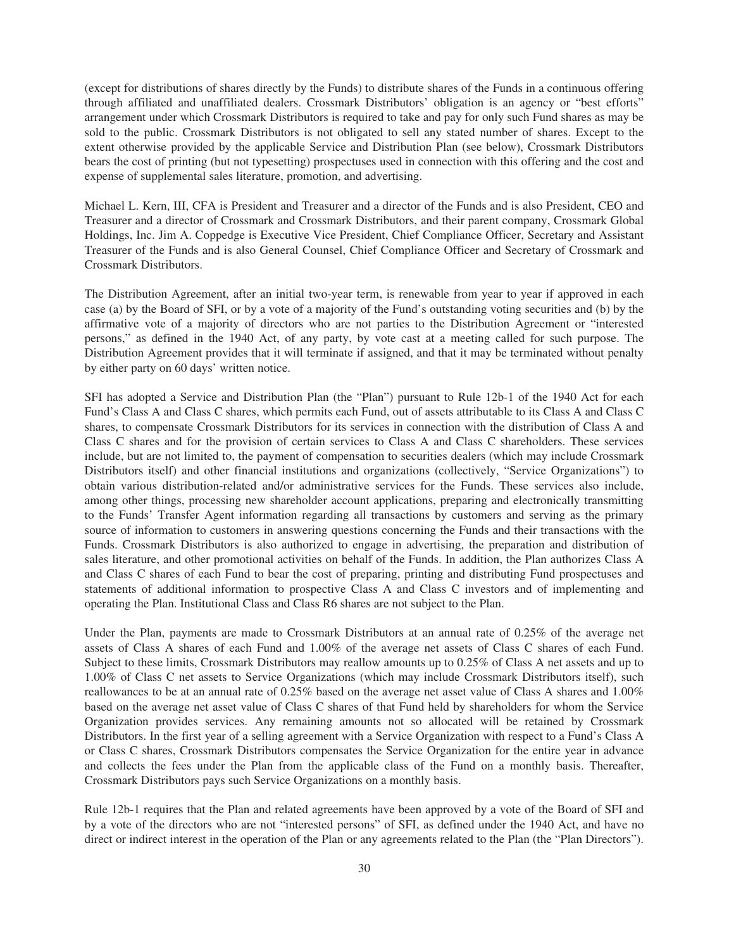(except for distributions of shares directly by the Funds) to distribute shares of the Funds in a continuous offering through affiliated and unaffiliated dealers. Crossmark Distributors' obligation is an agency or "best efforts" arrangement under which Crossmark Distributors is required to take and pay for only such Fund shares as may be sold to the public. Crossmark Distributors is not obligated to sell any stated number of shares. Except to the extent otherwise provided by the applicable Service and Distribution Plan (see below), Crossmark Distributors bears the cost of printing (but not typesetting) prospectuses used in connection with this offering and the cost and expense of supplemental sales literature, promotion, and advertising.

Michael L. Kern, III, CFA is President and Treasurer and a director of the Funds and is also President, CEO and Treasurer and a director of Crossmark and Crossmark Distributors, and their parent company, Crossmark Global Holdings, Inc. Jim A. Coppedge is Executive Vice President, Chief Compliance Officer, Secretary and Assistant Treasurer of the Funds and is also General Counsel, Chief Compliance Officer and Secretary of Crossmark and Crossmark Distributors.

The Distribution Agreement, after an initial two-year term, is renewable from year to year if approved in each case (a) by the Board of SFI, or by a vote of a majority of the Fund's outstanding voting securities and (b) by the affirmative vote of a majority of directors who are not parties to the Distribution Agreement or "interested persons," as defined in the 1940 Act, of any party, by vote cast at a meeting called for such purpose. The Distribution Agreement provides that it will terminate if assigned, and that it may be terminated without penalty by either party on 60 days' written notice.

SFI has adopted a Service and Distribution Plan (the "Plan") pursuant to Rule 12b-1 of the 1940 Act for each Fund's Class A and Class C shares, which permits each Fund, out of assets attributable to its Class A and Class C shares, to compensate Crossmark Distributors for its services in connection with the distribution of Class A and Class C shares and for the provision of certain services to Class A and Class C shareholders. These services include, but are not limited to, the payment of compensation to securities dealers (which may include Crossmark Distributors itself) and other financial institutions and organizations (collectively, "Service Organizations") to obtain various distribution-related and/or administrative services for the Funds. These services also include, among other things, processing new shareholder account applications, preparing and electronically transmitting to the Funds' Transfer Agent information regarding all transactions by customers and serving as the primary source of information to customers in answering questions concerning the Funds and their transactions with the Funds. Crossmark Distributors is also authorized to engage in advertising, the preparation and distribution of sales literature, and other promotional activities on behalf of the Funds. In addition, the Plan authorizes Class A and Class C shares of each Fund to bear the cost of preparing, printing and distributing Fund prospectuses and statements of additional information to prospective Class A and Class C investors and of implementing and operating the Plan. Institutional Class and Class R6 shares are not subject to the Plan.

Under the Plan, payments are made to Crossmark Distributors at an annual rate of 0.25% of the average net assets of Class A shares of each Fund and 1.00% of the average net assets of Class C shares of each Fund. Subject to these limits, Crossmark Distributors may reallow amounts up to 0.25% of Class A net assets and up to 1.00% of Class C net assets to Service Organizations (which may include Crossmark Distributors itself), such reallowances to be at an annual rate of 0.25% based on the average net asset value of Class A shares and 1.00% based on the average net asset value of Class C shares of that Fund held by shareholders for whom the Service Organization provides services. Any remaining amounts not so allocated will be retained by Crossmark Distributors. In the first year of a selling agreement with a Service Organization with respect to a Fund's Class A or Class C shares, Crossmark Distributors compensates the Service Organization for the entire year in advance and collects the fees under the Plan from the applicable class of the Fund on a monthly basis. Thereafter, Crossmark Distributors pays such Service Organizations on a monthly basis.

Rule 12b-1 requires that the Plan and related agreements have been approved by a vote of the Board of SFI and by a vote of the directors who are not "interested persons" of SFI, as defined under the 1940 Act, and have no direct or indirect interest in the operation of the Plan or any agreements related to the Plan (the "Plan Directors").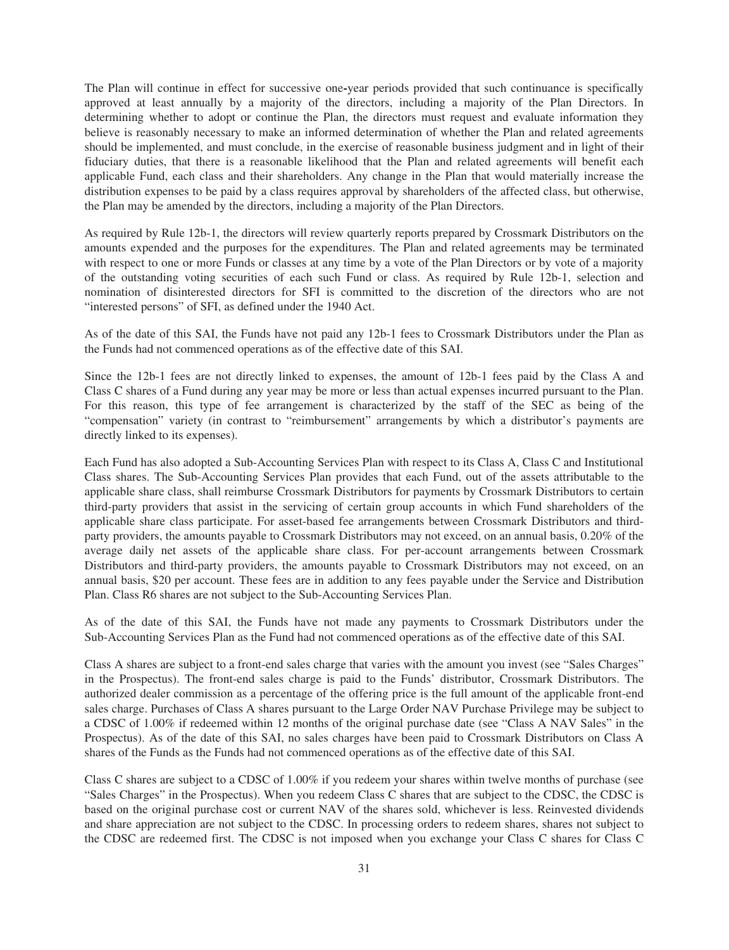The Plan will continue in effect for successive one**-**year periods provided that such continuance is specifically approved at least annually by a majority of the directors, including a majority of the Plan Directors. In determining whether to adopt or continue the Plan, the directors must request and evaluate information they believe is reasonably necessary to make an informed determination of whether the Plan and related agreements should be implemented, and must conclude, in the exercise of reasonable business judgment and in light of their fiduciary duties, that there is a reasonable likelihood that the Plan and related agreements will benefit each applicable Fund, each class and their shareholders. Any change in the Plan that would materially increase the distribution expenses to be paid by a class requires approval by shareholders of the affected class, but otherwise, the Plan may be amended by the directors, including a majority of the Plan Directors.

As required by Rule 12b-1, the directors will review quarterly reports prepared by Crossmark Distributors on the amounts expended and the purposes for the expenditures. The Plan and related agreements may be terminated with respect to one or more Funds or classes at any time by a vote of the Plan Directors or by vote of a majority of the outstanding voting securities of each such Fund or class. As required by Rule 12b-1, selection and nomination of disinterested directors for SFI is committed to the discretion of the directors who are not "interested persons" of SFI, as defined under the 1940 Act.

As of the date of this SAI, the Funds have not paid any 12b-1 fees to Crossmark Distributors under the Plan as the Funds had not commenced operations as of the effective date of this SAI.

Since the 12b-1 fees are not directly linked to expenses, the amount of 12b-1 fees paid by the Class A and Class C shares of a Fund during any year may be more or less than actual expenses incurred pursuant to the Plan. For this reason, this type of fee arrangement is characterized by the staff of the SEC as being of the "compensation" variety (in contrast to "reimbursement" arrangements by which a distributor's payments are directly linked to its expenses).

Each Fund has also adopted a Sub-Accounting Services Plan with respect to its Class A, Class C and Institutional Class shares. The Sub-Accounting Services Plan provides that each Fund, out of the assets attributable to the applicable share class, shall reimburse Crossmark Distributors for payments by Crossmark Distributors to certain third-party providers that assist in the servicing of certain group accounts in which Fund shareholders of the applicable share class participate. For asset-based fee arrangements between Crossmark Distributors and thirdparty providers, the amounts payable to Crossmark Distributors may not exceed, on an annual basis, 0.20% of the average daily net assets of the applicable share class. For per-account arrangements between Crossmark Distributors and third-party providers, the amounts payable to Crossmark Distributors may not exceed, on an annual basis, \$20 per account. These fees are in addition to any fees payable under the Service and Distribution Plan. Class R6 shares are not subject to the Sub-Accounting Services Plan.

As of the date of this SAI, the Funds have not made any payments to Crossmark Distributors under the Sub-Accounting Services Plan as the Fund had not commenced operations as of the effective date of this SAI.

Class A shares are subject to a front-end sales charge that varies with the amount you invest (see "Sales Charges" in the Prospectus). The front-end sales charge is paid to the Funds' distributor, Crossmark Distributors. The authorized dealer commission as a percentage of the offering price is the full amount of the applicable front-end sales charge. Purchases of Class A shares pursuant to the Large Order NAV Purchase Privilege may be subject to a CDSC of 1.00% if redeemed within 12 months of the original purchase date (see "Class A NAV Sales" in the Prospectus). As of the date of this SAI, no sales charges have been paid to Crossmark Distributors on Class A shares of the Funds as the Funds had not commenced operations as of the effective date of this SAI.

Class C shares are subject to a CDSC of 1.00% if you redeem your shares within twelve months of purchase (see "Sales Charges" in the Prospectus). When you redeem Class C shares that are subject to the CDSC, the CDSC is based on the original purchase cost or current NAV of the shares sold, whichever is less. Reinvested dividends and share appreciation are not subject to the CDSC. In processing orders to redeem shares, shares not subject to the CDSC are redeemed first. The CDSC is not imposed when you exchange your Class C shares for Class C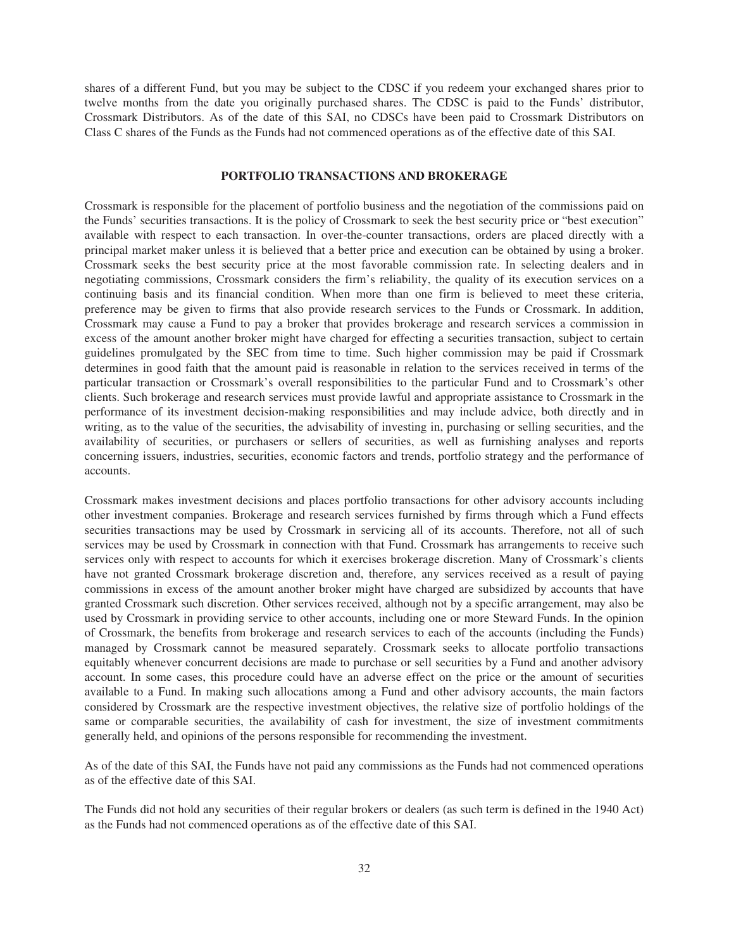shares of a different Fund, but you may be subject to the CDSC if you redeem your exchanged shares prior to twelve months from the date you originally purchased shares. The CDSC is paid to the Funds' distributor, Crossmark Distributors. As of the date of this SAI, no CDSCs have been paid to Crossmark Distributors on Class C shares of the Funds as the Funds had not commenced operations as of the effective date of this SAI.

# **PORTFOLIO TRANSACTIONS AND BROKERAGE**

<span id="page-34-0"></span>Crossmark is responsible for the placement of portfolio business and the negotiation of the commissions paid on the Funds' securities transactions. It is the policy of Crossmark to seek the best security price or "best execution" available with respect to each transaction. In over-the-counter transactions, orders are placed directly with a principal market maker unless it is believed that a better price and execution can be obtained by using a broker. Crossmark seeks the best security price at the most favorable commission rate. In selecting dealers and in negotiating commissions, Crossmark considers the firm's reliability, the quality of its execution services on a continuing basis and its financial condition. When more than one firm is believed to meet these criteria, preference may be given to firms that also provide research services to the Funds or Crossmark. In addition, Crossmark may cause a Fund to pay a broker that provides brokerage and research services a commission in excess of the amount another broker might have charged for effecting a securities transaction, subject to certain guidelines promulgated by the SEC from time to time. Such higher commission may be paid if Crossmark determines in good faith that the amount paid is reasonable in relation to the services received in terms of the particular transaction or Crossmark's overall responsibilities to the particular Fund and to Crossmark's other clients. Such brokerage and research services must provide lawful and appropriate assistance to Crossmark in the performance of its investment decision-making responsibilities and may include advice, both directly and in writing, as to the value of the securities, the advisability of investing in, purchasing or selling securities, and the availability of securities, or purchasers or sellers of securities, as well as furnishing analyses and reports concerning issuers, industries, securities, economic factors and trends, portfolio strategy and the performance of accounts.

Crossmark makes investment decisions and places portfolio transactions for other advisory accounts including other investment companies. Brokerage and research services furnished by firms through which a Fund effects securities transactions may be used by Crossmark in servicing all of its accounts. Therefore, not all of such services may be used by Crossmark in connection with that Fund. Crossmark has arrangements to receive such services only with respect to accounts for which it exercises brokerage discretion. Many of Crossmark's clients have not granted Crossmark brokerage discretion and, therefore, any services received as a result of paying commissions in excess of the amount another broker might have charged are subsidized by accounts that have granted Crossmark such discretion. Other services received, although not by a specific arrangement, may also be used by Crossmark in providing service to other accounts, including one or more Steward Funds. In the opinion of Crossmark, the benefits from brokerage and research services to each of the accounts (including the Funds) managed by Crossmark cannot be measured separately. Crossmark seeks to allocate portfolio transactions equitably whenever concurrent decisions are made to purchase or sell securities by a Fund and another advisory account. In some cases, this procedure could have an adverse effect on the price or the amount of securities available to a Fund. In making such allocations among a Fund and other advisory accounts, the main factors considered by Crossmark are the respective investment objectives, the relative size of portfolio holdings of the same or comparable securities, the availability of cash for investment, the size of investment commitments generally held, and opinions of the persons responsible for recommending the investment.

As of the date of this SAI, the Funds have not paid any commissions as the Funds had not commenced operations as of the effective date of this SAI.

The Funds did not hold any securities of their regular brokers or dealers (as such term is defined in the 1940 Act) as the Funds had not commenced operations as of the effective date of this SAI.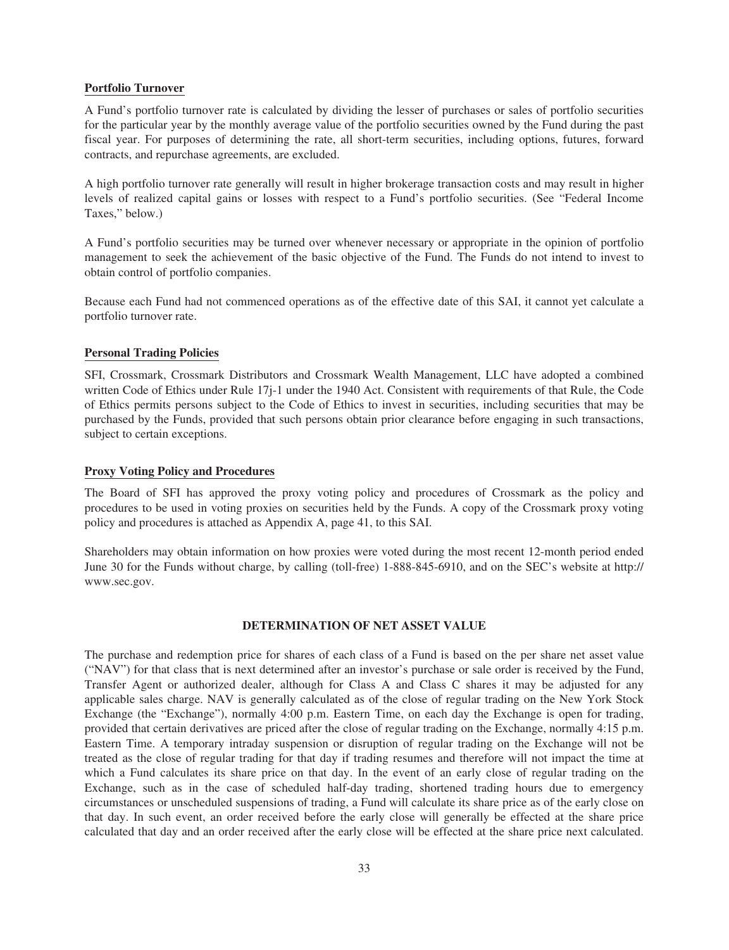# **Portfolio Turnover**

A Fund's portfolio turnover rate is calculated by dividing the lesser of purchases or sales of portfolio securities for the particular year by the monthly average value of the portfolio securities owned by the Fund during the past fiscal year. For purposes of determining the rate, all short-term securities, including options, futures, forward contracts, and repurchase agreements, are excluded.

A high portfolio turnover rate generally will result in higher brokerage transaction costs and may result in higher levels of realized capital gains or losses with respect to a Fund's portfolio securities. (See "Federal Income Taxes," below.)

A Fund's portfolio securities may be turned over whenever necessary or appropriate in the opinion of portfolio management to seek the achievement of the basic objective of the Fund. The Funds do not intend to invest to obtain control of portfolio companies.

Because each Fund had not commenced operations as of the effective date of this SAI, it cannot yet calculate a portfolio turnover rate.

# **Personal Trading Policies**

SFI, Crossmark, Crossmark Distributors and Crossmark Wealth Management, LLC have adopted a combined written Code of Ethics under Rule 17j-1 under the 1940 Act. Consistent with requirements of that Rule, the Code of Ethics permits persons subject to the Code of Ethics to invest in securities, including securities that may be purchased by the Funds, provided that such persons obtain prior clearance before engaging in such transactions, subject to certain exceptions.

# **Proxy Voting Policy and Procedures**

The Board of SFI has approved the proxy voting policy and procedures of Crossmark as the policy and procedures to be used in voting proxies on securities held by the Funds. A copy of the Crossmark proxy voting policy and procedures is attached as Appendix A, page 41, to this SAI.

Shareholders may obtain information on how proxies were voted during the most recent 12-month period ended June 30 for the Funds without charge, by calling (toll-free) 1-888-845-6910, and on the SEC's website at http:// www.sec.gov.

# **DETERMINATION OF NET ASSET VALUE**

<span id="page-35-0"></span>The purchase and redemption price for shares of each class of a Fund is based on the per share net asset value ("NAV") for that class that is next determined after an investor's purchase or sale order is received by the Fund, Transfer Agent or authorized dealer, although for Class A and Class C shares it may be adjusted for any applicable sales charge. NAV is generally calculated as of the close of regular trading on the New York Stock Exchange (the "Exchange"), normally 4:00 p.m. Eastern Time, on each day the Exchange is open for trading, provided that certain derivatives are priced after the close of regular trading on the Exchange, normally 4:15 p.m. Eastern Time. A temporary intraday suspension or disruption of regular trading on the Exchange will not be treated as the close of regular trading for that day if trading resumes and therefore will not impact the time at which a Fund calculates its share price on that day. In the event of an early close of regular trading on the Exchange, such as in the case of scheduled half-day trading, shortened trading hours due to emergency circumstances or unscheduled suspensions of trading, a Fund will calculate its share price as of the early close on that day. In such event, an order received before the early close will generally be effected at the share price calculated that day and an order received after the early close will be effected at the share price next calculated.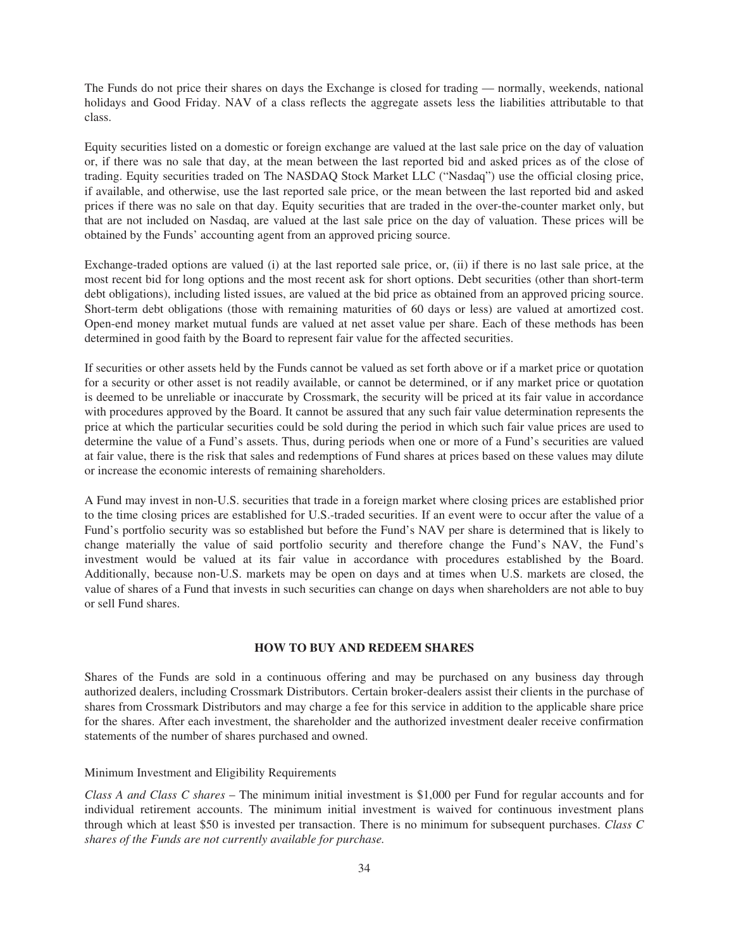The Funds do not price their shares on days the Exchange is closed for trading — normally, weekends, national holidays and Good Friday. NAV of a class reflects the aggregate assets less the liabilities attributable to that class.

Equity securities listed on a domestic or foreign exchange are valued at the last sale price on the day of valuation or, if there was no sale that day, at the mean between the last reported bid and asked prices as of the close of trading. Equity securities traded on The NASDAQ Stock Market LLC ("Nasdaq") use the official closing price, if available, and otherwise, use the last reported sale price, or the mean between the last reported bid and asked prices if there was no sale on that day. Equity securities that are traded in the over-the-counter market only, but that are not included on Nasdaq, are valued at the last sale price on the day of valuation. These prices will be obtained by the Funds' accounting agent from an approved pricing source.

Exchange-traded options are valued (i) at the last reported sale price, or, (ii) if there is no last sale price, at the most recent bid for long options and the most recent ask for short options. Debt securities (other than short-term debt obligations), including listed issues, are valued at the bid price as obtained from an approved pricing source. Short-term debt obligations (those with remaining maturities of 60 days or less) are valued at amortized cost. Open-end money market mutual funds are valued at net asset value per share. Each of these methods has been determined in good faith by the Board to represent fair value for the affected securities.

If securities or other assets held by the Funds cannot be valued as set forth above or if a market price or quotation for a security or other asset is not readily available, or cannot be determined, or if any market price or quotation is deemed to be unreliable or inaccurate by Crossmark, the security will be priced at its fair value in accordance with procedures approved by the Board. It cannot be assured that any such fair value determination represents the price at which the particular securities could be sold during the period in which such fair value prices are used to determine the value of a Fund's assets. Thus, during periods when one or more of a Fund's securities are valued at fair value, there is the risk that sales and redemptions of Fund shares at prices based on these values may dilute or increase the economic interests of remaining shareholders.

A Fund may invest in non-U.S. securities that trade in a foreign market where closing prices are established prior to the time closing prices are established for U.S.-traded securities. If an event were to occur after the value of a Fund's portfolio security was so established but before the Fund's NAV per share is determined that is likely to change materially the value of said portfolio security and therefore change the Fund's NAV, the Fund's investment would be valued at its fair value in accordance with procedures established by the Board. Additionally, because non-U.S. markets may be open on days and at times when U.S. markets are closed, the value of shares of a Fund that invests in such securities can change on days when shareholders are not able to buy or sell Fund shares.

# **HOW TO BUY AND REDEEM SHARES**

<span id="page-36-0"></span>Shares of the Funds are sold in a continuous offering and may be purchased on any business day through authorized dealers, including Crossmark Distributors. Certain broker-dealers assist their clients in the purchase of shares from Crossmark Distributors and may charge a fee for this service in addition to the applicable share price for the shares. After each investment, the shareholder and the authorized investment dealer receive confirmation statements of the number of shares purchased and owned.

# Minimum Investment and Eligibility Requirements

*Class A and Class C shares* – The minimum initial investment is \$1,000 per Fund for regular accounts and for individual retirement accounts. The minimum initial investment is waived for continuous investment plans through which at least \$50 is invested per transaction. There is no minimum for subsequent purchases. *Class C shares of the Funds are not currently available for purchase.*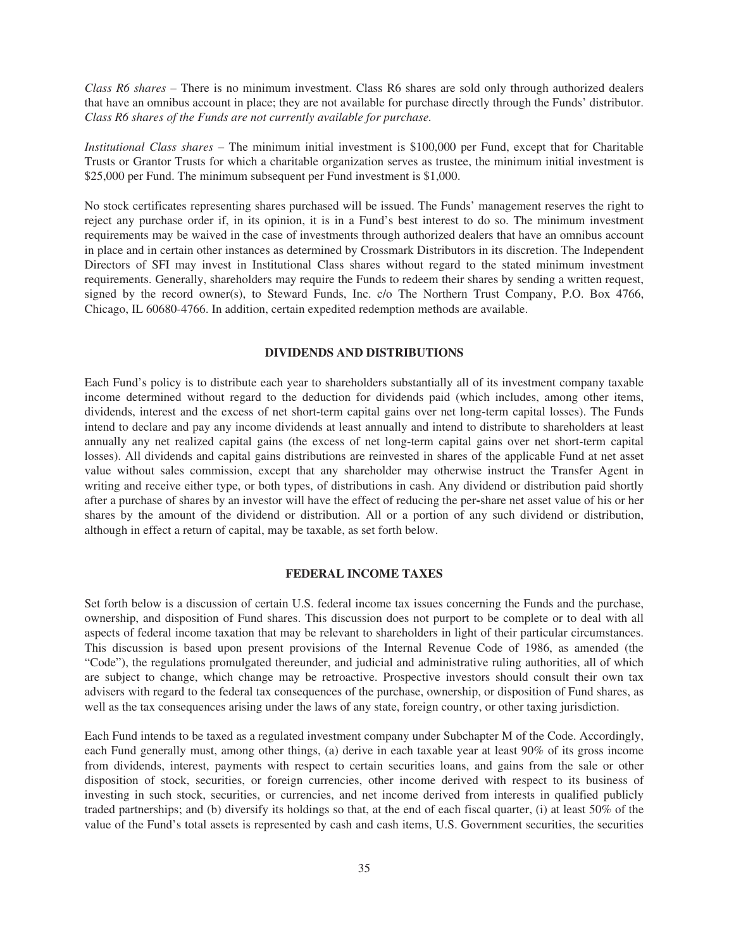*Class R6 shares* – There is no minimum investment. Class R6 shares are sold only through authorized dealers that have an omnibus account in place; they are not available for purchase directly through the Funds' distributor. *Class R6 shares of the Funds are not currently available for purchase.*

*Institutional Class shares* – The minimum initial investment is \$100,000 per Fund, except that for Charitable Trusts or Grantor Trusts for which a charitable organization serves as trustee, the minimum initial investment is \$25,000 per Fund. The minimum subsequent per Fund investment is \$1,000.

No stock certificates representing shares purchased will be issued. The Funds' management reserves the right to reject any purchase order if, in its opinion, it is in a Fund's best interest to do so. The minimum investment requirements may be waived in the case of investments through authorized dealers that have an omnibus account in place and in certain other instances as determined by Crossmark Distributors in its discretion. The Independent Directors of SFI may invest in Institutional Class shares without regard to the stated minimum investment requirements. Generally, shareholders may require the Funds to redeem their shares by sending a written request, signed by the record owner(s), to Steward Funds, Inc. c/o The Northern Trust Company, P.O. Box 4766, Chicago, IL 60680-4766. In addition, certain expedited redemption methods are available.

# **DIVIDENDS AND DISTRIBUTIONS**

<span id="page-37-0"></span>Each Fund's policy is to distribute each year to shareholders substantially all of its investment company taxable income determined without regard to the deduction for dividends paid (which includes, among other items, dividends, interest and the excess of net short-term capital gains over net long-term capital losses). The Funds intend to declare and pay any income dividends at least annually and intend to distribute to shareholders at least annually any net realized capital gains (the excess of net long-term capital gains over net short-term capital losses). All dividends and capital gains distributions are reinvested in shares of the applicable Fund at net asset value without sales commission, except that any shareholder may otherwise instruct the Transfer Agent in writing and receive either type, or both types, of distributions in cash. Any dividend or distribution paid shortly after a purchase of shares by an investor will have the effect of reducing the per**-**share net asset value of his or her shares by the amount of the dividend or distribution. All or a portion of any such dividend or distribution, although in effect a return of capital, may be taxable, as set forth below.

# **FEDERAL INCOME TAXES**

<span id="page-37-1"></span>Set forth below is a discussion of certain U.S. federal income tax issues concerning the Funds and the purchase, ownership, and disposition of Fund shares. This discussion does not purport to be complete or to deal with all aspects of federal income taxation that may be relevant to shareholders in light of their particular circumstances. This discussion is based upon present provisions of the Internal Revenue Code of 1986, as amended (the "Code"), the regulations promulgated thereunder, and judicial and administrative ruling authorities, all of which are subject to change, which change may be retroactive. Prospective investors should consult their own tax advisers with regard to the federal tax consequences of the purchase, ownership, or disposition of Fund shares, as well as the tax consequences arising under the laws of any state, foreign country, or other taxing jurisdiction.

Each Fund intends to be taxed as a regulated investment company under Subchapter M of the Code. Accordingly, each Fund generally must, among other things, (a) derive in each taxable year at least 90% of its gross income from dividends, interest, payments with respect to certain securities loans, and gains from the sale or other disposition of stock, securities, or foreign currencies, other income derived with respect to its business of investing in such stock, securities, or currencies, and net income derived from interests in qualified publicly traded partnerships; and (b) diversify its holdings so that, at the end of each fiscal quarter, (i) at least 50% of the value of the Fund's total assets is represented by cash and cash items, U.S. Government securities, the securities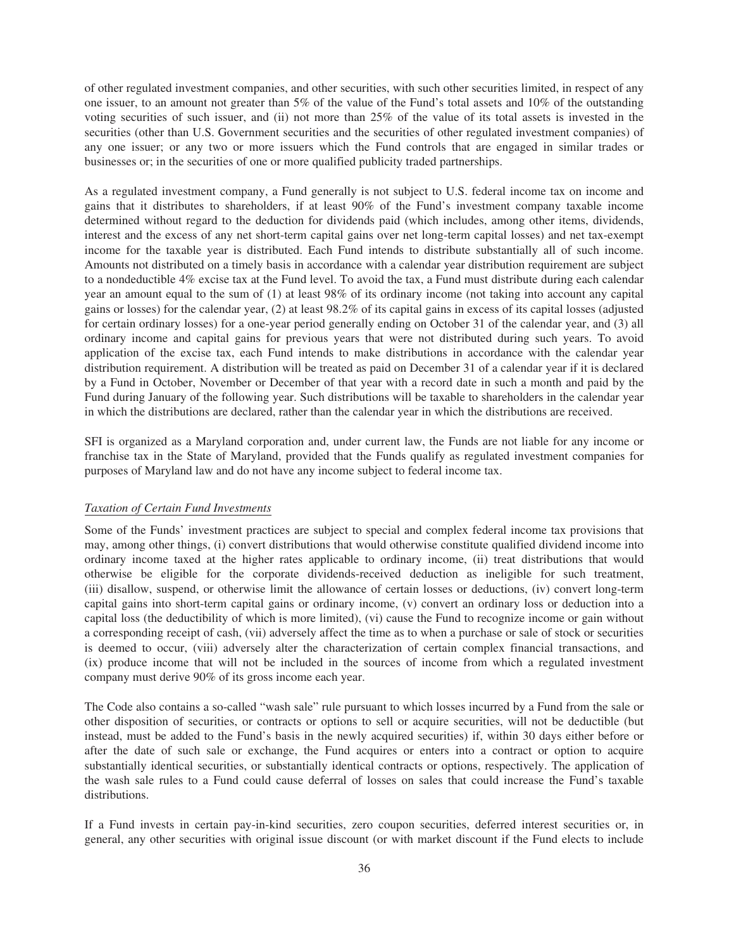of other regulated investment companies, and other securities, with such other securities limited, in respect of any one issuer, to an amount not greater than 5% of the value of the Fund's total assets and 10% of the outstanding voting securities of such issuer, and (ii) not more than 25% of the value of its total assets is invested in the securities (other than U.S. Government securities and the securities of other regulated investment companies) of any one issuer; or any two or more issuers which the Fund controls that are engaged in similar trades or businesses or; in the securities of one or more qualified publicity traded partnerships.

As a regulated investment company, a Fund generally is not subject to U.S. federal income tax on income and gains that it distributes to shareholders, if at least 90% of the Fund's investment company taxable income determined without regard to the deduction for dividends paid (which includes, among other items, dividends, interest and the excess of any net short-term capital gains over net long-term capital losses) and net tax-exempt income for the taxable year is distributed. Each Fund intends to distribute substantially all of such income. Amounts not distributed on a timely basis in accordance with a calendar year distribution requirement are subject to a nondeductible 4% excise tax at the Fund level. To avoid the tax, a Fund must distribute during each calendar year an amount equal to the sum of (1) at least 98% of its ordinary income (not taking into account any capital gains or losses) for the calendar year, (2) at least 98.2% of its capital gains in excess of its capital losses (adjusted for certain ordinary losses) for a one-year period generally ending on October 31 of the calendar year, and (3) all ordinary income and capital gains for previous years that were not distributed during such years. To avoid application of the excise tax, each Fund intends to make distributions in accordance with the calendar year distribution requirement. A distribution will be treated as paid on December 31 of a calendar year if it is declared by a Fund in October, November or December of that year with a record date in such a month and paid by the Fund during January of the following year. Such distributions will be taxable to shareholders in the calendar year in which the distributions are declared, rather than the calendar year in which the distributions are received.

SFI is organized as a Maryland corporation and, under current law, the Funds are not liable for any income or franchise tax in the State of Maryland, provided that the Funds qualify as regulated investment companies for purposes of Maryland law and do not have any income subject to federal income tax.

# *Taxation of Certain Fund Investments*

Some of the Funds' investment practices are subject to special and complex federal income tax provisions that may, among other things, (i) convert distributions that would otherwise constitute qualified dividend income into ordinary income taxed at the higher rates applicable to ordinary income, (ii) treat distributions that would otherwise be eligible for the corporate dividends-received deduction as ineligible for such treatment, (iii) disallow, suspend, or otherwise limit the allowance of certain losses or deductions, (iv) convert long-term capital gains into short-term capital gains or ordinary income, (v) convert an ordinary loss or deduction into a capital loss (the deductibility of which is more limited), (vi) cause the Fund to recognize income or gain without a corresponding receipt of cash, (vii) adversely affect the time as to when a purchase or sale of stock or securities is deemed to occur, (viii) adversely alter the characterization of certain complex financial transactions, and (ix) produce income that will not be included in the sources of income from which a regulated investment company must derive 90% of its gross income each year.

The Code also contains a so-called "wash sale" rule pursuant to which losses incurred by a Fund from the sale or other disposition of securities, or contracts or options to sell or acquire securities, will not be deductible (but instead, must be added to the Fund's basis in the newly acquired securities) if, within 30 days either before or after the date of such sale or exchange, the Fund acquires or enters into a contract or option to acquire substantially identical securities, or substantially identical contracts or options, respectively. The application of the wash sale rules to a Fund could cause deferral of losses on sales that could increase the Fund's taxable distributions.

If a Fund invests in certain pay-in-kind securities, zero coupon securities, deferred interest securities or, in general, any other securities with original issue discount (or with market discount if the Fund elects to include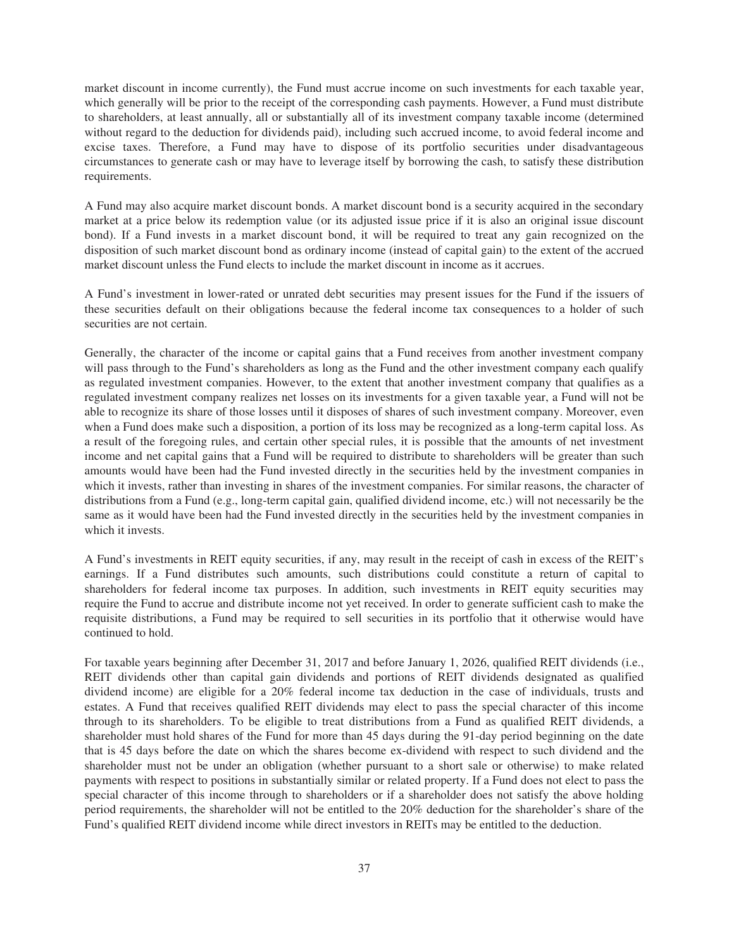market discount in income currently), the Fund must accrue income on such investments for each taxable year, which generally will be prior to the receipt of the corresponding cash payments. However, a Fund must distribute to shareholders, at least annually, all or substantially all of its investment company taxable income (determined without regard to the deduction for dividends paid), including such accrued income, to avoid federal income and excise taxes. Therefore, a Fund may have to dispose of its portfolio securities under disadvantageous circumstances to generate cash or may have to leverage itself by borrowing the cash, to satisfy these distribution requirements.

A Fund may also acquire market discount bonds. A market discount bond is a security acquired in the secondary market at a price below its redemption value (or its adjusted issue price if it is also an original issue discount bond). If a Fund invests in a market discount bond, it will be required to treat any gain recognized on the disposition of such market discount bond as ordinary income (instead of capital gain) to the extent of the accrued market discount unless the Fund elects to include the market discount in income as it accrues.

A Fund's investment in lower-rated or unrated debt securities may present issues for the Fund if the issuers of these securities default on their obligations because the federal income tax consequences to a holder of such securities are not certain.

Generally, the character of the income or capital gains that a Fund receives from another investment company will pass through to the Fund's shareholders as long as the Fund and the other investment company each qualify as regulated investment companies. However, to the extent that another investment company that qualifies as a regulated investment company realizes net losses on its investments for a given taxable year, a Fund will not be able to recognize its share of those losses until it disposes of shares of such investment company. Moreover, even when a Fund does make such a disposition, a portion of its loss may be recognized as a long-term capital loss. As a result of the foregoing rules, and certain other special rules, it is possible that the amounts of net investment income and net capital gains that a Fund will be required to distribute to shareholders will be greater than such amounts would have been had the Fund invested directly in the securities held by the investment companies in which it invests, rather than investing in shares of the investment companies. For similar reasons, the character of distributions from a Fund (e.g., long-term capital gain, qualified dividend income, etc.) will not necessarily be the same as it would have been had the Fund invested directly in the securities held by the investment companies in which it invests.

A Fund's investments in REIT equity securities, if any, may result in the receipt of cash in excess of the REIT's earnings. If a Fund distributes such amounts, such distributions could constitute a return of capital to shareholders for federal income tax purposes. In addition, such investments in REIT equity securities may require the Fund to accrue and distribute income not yet received. In order to generate sufficient cash to make the requisite distributions, a Fund may be required to sell securities in its portfolio that it otherwise would have continued to hold.

For taxable years beginning after December 31, 2017 and before January 1, 2026, qualified REIT dividends (i.e., REIT dividends other than capital gain dividends and portions of REIT dividends designated as qualified dividend income) are eligible for a 20% federal income tax deduction in the case of individuals, trusts and estates. A Fund that receives qualified REIT dividends may elect to pass the special character of this income through to its shareholders. To be eligible to treat distributions from a Fund as qualified REIT dividends, a shareholder must hold shares of the Fund for more than 45 days during the 91-day period beginning on the date that is 45 days before the date on which the shares become ex-dividend with respect to such dividend and the shareholder must not be under an obligation (whether pursuant to a short sale or otherwise) to make related payments with respect to positions in substantially similar or related property. If a Fund does not elect to pass the special character of this income through to shareholders or if a shareholder does not satisfy the above holding period requirements, the shareholder will not be entitled to the 20% deduction for the shareholder's share of the Fund's qualified REIT dividend income while direct investors in REITs may be entitled to the deduction.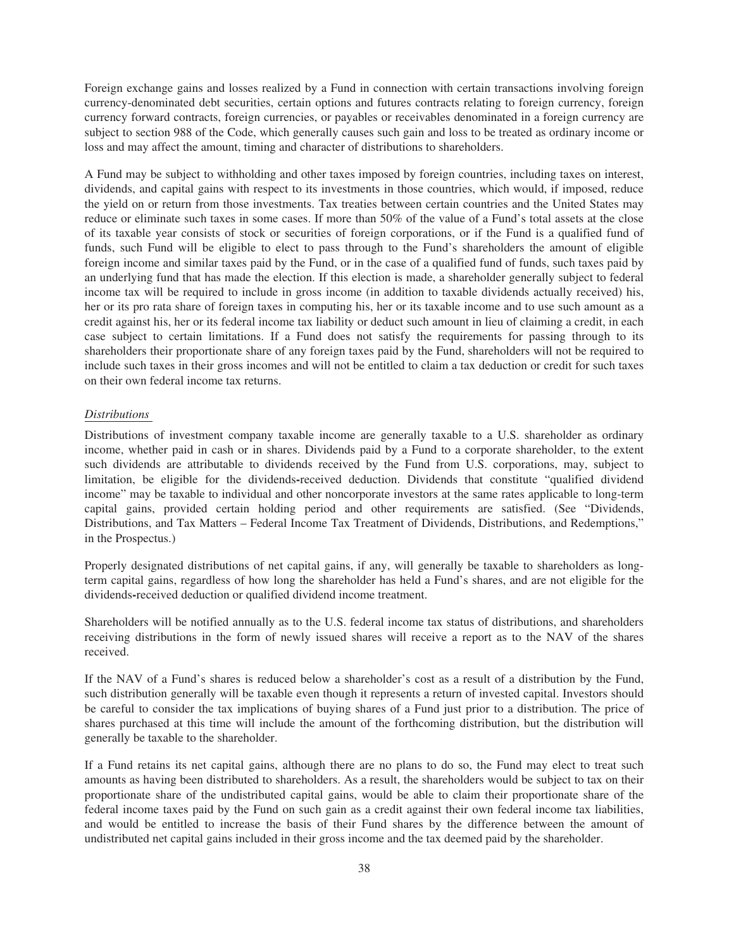Foreign exchange gains and losses realized by a Fund in connection with certain transactions involving foreign currency-denominated debt securities, certain options and futures contracts relating to foreign currency, foreign currency forward contracts, foreign currencies, or payables or receivables denominated in a foreign currency are subject to section 988 of the Code, which generally causes such gain and loss to be treated as ordinary income or loss and may affect the amount, timing and character of distributions to shareholders.

A Fund may be subject to withholding and other taxes imposed by foreign countries, including taxes on interest, dividends, and capital gains with respect to its investments in those countries, which would, if imposed, reduce the yield on or return from those investments. Tax treaties between certain countries and the United States may reduce or eliminate such taxes in some cases. If more than 50% of the value of a Fund's total assets at the close of its taxable year consists of stock or securities of foreign corporations, or if the Fund is a qualified fund of funds, such Fund will be eligible to elect to pass through to the Fund's shareholders the amount of eligible foreign income and similar taxes paid by the Fund, or in the case of a qualified fund of funds, such taxes paid by an underlying fund that has made the election. If this election is made, a shareholder generally subject to federal income tax will be required to include in gross income (in addition to taxable dividends actually received) his, her or its pro rata share of foreign taxes in computing his, her or its taxable income and to use such amount as a credit against his, her or its federal income tax liability or deduct such amount in lieu of claiming a credit, in each case subject to certain limitations. If a Fund does not satisfy the requirements for passing through to its shareholders their proportionate share of any foreign taxes paid by the Fund, shareholders will not be required to include such taxes in their gross incomes and will not be entitled to claim a tax deduction or credit for such taxes on their own federal income tax returns.

# *Distributions*

Distributions of investment company taxable income are generally taxable to a U.S. shareholder as ordinary income, whether paid in cash or in shares. Dividends paid by a Fund to a corporate shareholder, to the extent such dividends are attributable to dividends received by the Fund from U.S. corporations, may, subject to limitation, be eligible for the dividends**-**received deduction. Dividends that constitute "qualified dividend income" may be taxable to individual and other noncorporate investors at the same rates applicable to long-term capital gains, provided certain holding period and other requirements are satisfied. (See "Dividends, Distributions, and Tax Matters – Federal Income Tax Treatment of Dividends, Distributions, and Redemptions," in the Prospectus.)

Properly designated distributions of net capital gains, if any, will generally be taxable to shareholders as longterm capital gains, regardless of how long the shareholder has held a Fund's shares, and are not eligible for the dividends**-**received deduction or qualified dividend income treatment.

Shareholders will be notified annually as to the U.S. federal income tax status of distributions, and shareholders receiving distributions in the form of newly issued shares will receive a report as to the NAV of the shares received.

If the NAV of a Fund's shares is reduced below a shareholder's cost as a result of a distribution by the Fund, such distribution generally will be taxable even though it represents a return of invested capital. Investors should be careful to consider the tax implications of buying shares of a Fund just prior to a distribution. The price of shares purchased at this time will include the amount of the forthcoming distribution, but the distribution will generally be taxable to the shareholder.

If a Fund retains its net capital gains, although there are no plans to do so, the Fund may elect to treat such amounts as having been distributed to shareholders. As a result, the shareholders would be subject to tax on their proportionate share of the undistributed capital gains, would be able to claim their proportionate share of the federal income taxes paid by the Fund on such gain as a credit against their own federal income tax liabilities, and would be entitled to increase the basis of their Fund shares by the difference between the amount of undistributed net capital gains included in their gross income and the tax deemed paid by the shareholder.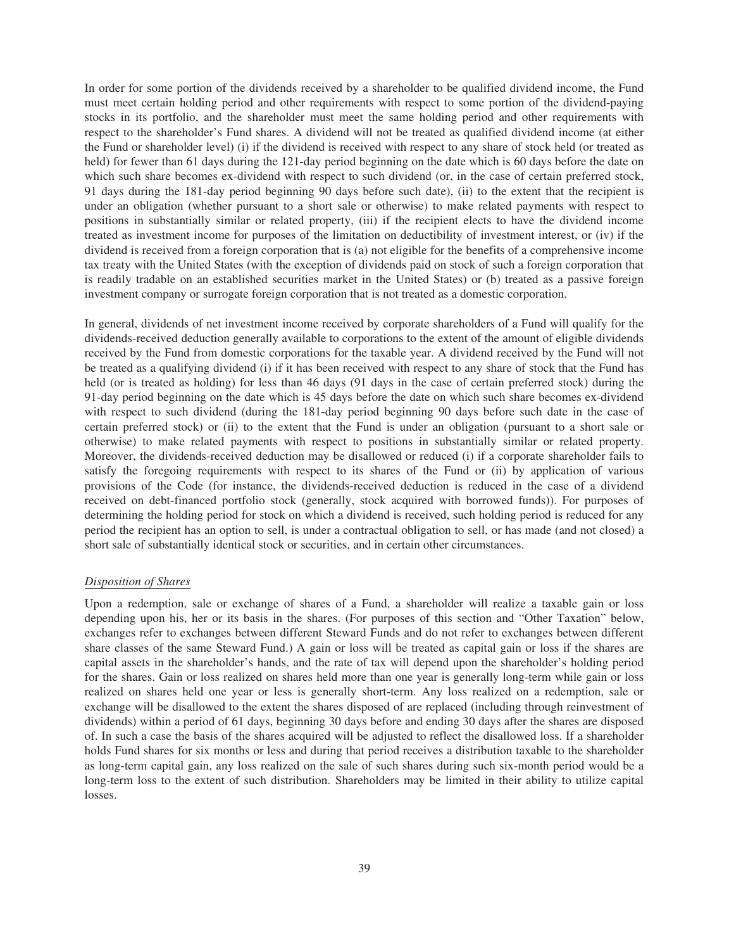In order for some portion of the dividends received by a shareholder to be qualified dividend income, the Fund must meet certain holding period and other requirements with respect to some portion of the dividend-paying stocks in its portfolio, and the shareholder must meet the same holding period and other requirements with respect to the shareholder's Fund shares. A dividend will not be treated as qualified dividend income (at either the Fund or shareholder level) (i) if the dividend is received with respect to any share of stock held (or treated as held) for fewer than 61 days during the 121-day period beginning on the date which is 60 days before the date on which such share becomes ex-dividend with respect to such dividend (or, in the case of certain preferred stock, 91 days during the 181-day period beginning 90 days before such date), (ii) to the extent that the recipient is under an obligation (whether pursuant to a short sale or otherwise) to make related payments with respect to positions in substantially similar or related property, (iii) if the recipient elects to have the dividend income treated as investment income for purposes of the limitation on deductibility of investment interest, or (iv) if the dividend is received from a foreign corporation that is (a) not eligible for the benefits of a comprehensive income tax treaty with the United States (with the exception of dividends paid on stock of such a foreign corporation that is readily tradable on an established securities market in the United States) or (b) treated as a passive foreign investment company or surrogate foreign corporation that is not treated as a domestic corporation.

In general, dividends of net investment income received by corporate shareholders of a Fund will qualify for the dividends-received deduction generally available to corporations to the extent of the amount of eligible dividends received by the Fund from domestic corporations for the taxable year. A dividend received by the Fund will not be treated as a qualifying dividend (i) if it has been received with respect to any share of stock that the Fund has held (or is treated as holding) for less than 46 days (91 days in the case of certain preferred stock) during the 91-day period beginning on the date which is 45 days before the date on which such share becomes ex-dividend with respect to such dividend (during the 181-day period beginning 90 days before such date in the case of certain preferred stock) or (ii) to the extent that the Fund is under an obligation (pursuant to a short sale or otherwise) to make related payments with respect to positions in substantially similar or related property. Moreover, the dividends-received deduction may be disallowed or reduced (i) if a corporate shareholder fails to satisfy the foregoing requirements with respect to its shares of the Fund or (ii) by application of various provisions of the Code (for instance, the dividends-received deduction is reduced in the case of a dividend received on debt-financed portfolio stock (generally, stock acquired with borrowed funds)). For purposes of determining the holding period for stock on which a dividend is received, such holding period is reduced for any period the recipient has an option to sell, is under a contractual obligation to sell, or has made (and not closed) a short sale of substantially identical stock or securities, and in certain other circumstances.

# *Disposition of Shares*

Upon a redemption, sale or exchange of shares of a Fund, a shareholder will realize a taxable gain or loss depending upon his, her or its basis in the shares. (For purposes of this section and "Other Taxation" below, exchanges refer to exchanges between different Steward Funds and do not refer to exchanges between different share classes of the same Steward Fund.) A gain or loss will be treated as capital gain or loss if the shares are capital assets in the shareholder's hands, and the rate of tax will depend upon the shareholder's holding period for the shares. Gain or loss realized on shares held more than one year is generally long-term while gain or loss realized on shares held one year or less is generally short-term. Any loss realized on a redemption, sale or exchange will be disallowed to the extent the shares disposed of are replaced (including through reinvestment of dividends) within a period of 61 days, beginning 30 days before and ending 30 days after the shares are disposed of. In such a case the basis of the shares acquired will be adjusted to reflect the disallowed loss. If a shareholder holds Fund shares for six months or less and during that period receives a distribution taxable to the shareholder as long-term capital gain, any loss realized on the sale of such shares during such six-month period would be a long-term loss to the extent of such distribution. Shareholders may be limited in their ability to utilize capital losses.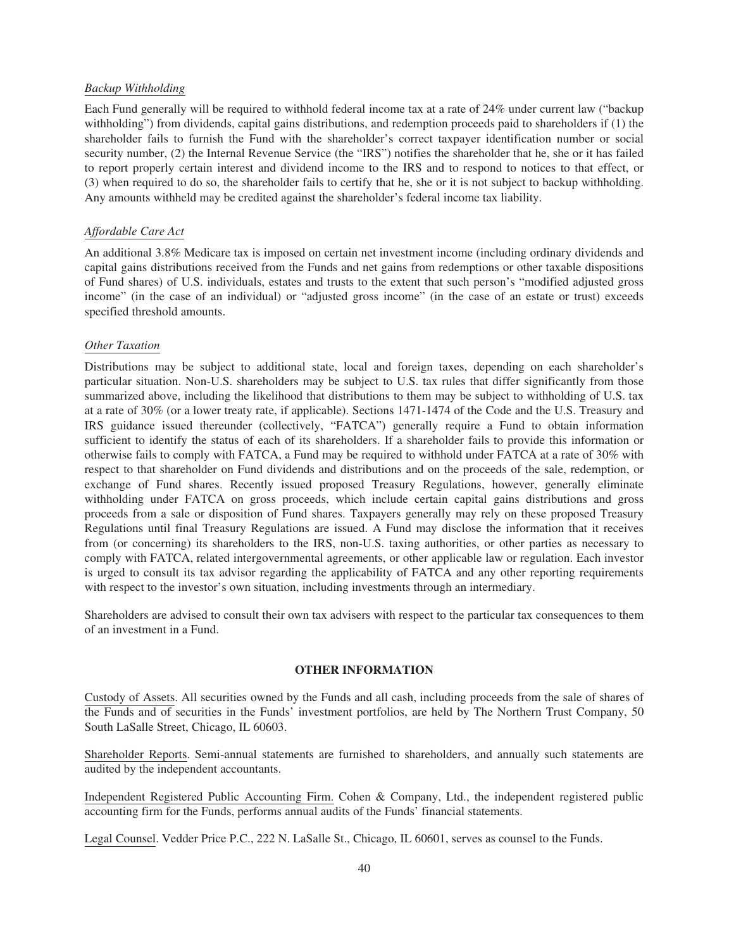# *Backup Withholding*

Each Fund generally will be required to withhold federal income tax at a rate of 24% under current law ("backup withholding") from dividends, capital gains distributions, and redemption proceeds paid to shareholders if (1) the shareholder fails to furnish the Fund with the shareholder's correct taxpayer identification number or social security number, (2) the Internal Revenue Service (the "IRS") notifies the shareholder that he, she or it has failed to report properly certain interest and dividend income to the IRS and to respond to notices to that effect, or (3) when required to do so, the shareholder fails to certify that he, she or it is not subject to backup withholding. Any amounts withheld may be credited against the shareholder's federal income tax liability.

# *Affordable Care Act*

An additional 3.8% Medicare tax is imposed on certain net investment income (including ordinary dividends and capital gains distributions received from the Funds and net gains from redemptions or other taxable dispositions of Fund shares) of U.S. individuals, estates and trusts to the extent that such person's "modified adjusted gross income" (in the case of an individual) or "adjusted gross income" (in the case of an estate or trust) exceeds specified threshold amounts.

# *Other Taxation*

Distributions may be subject to additional state, local and foreign taxes, depending on each shareholder's particular situation. Non-U.S. shareholders may be subject to U.S. tax rules that differ significantly from those summarized above, including the likelihood that distributions to them may be subject to withholding of U.S. tax at a rate of 30% (or a lower treaty rate, if applicable). Sections 1471-1474 of the Code and the U.S. Treasury and IRS guidance issued thereunder (collectively, "FATCA") generally require a Fund to obtain information sufficient to identify the status of each of its shareholders. If a shareholder fails to provide this information or otherwise fails to comply with FATCA, a Fund may be required to withhold under FATCA at a rate of 30% with respect to that shareholder on Fund dividends and distributions and on the proceeds of the sale, redemption, or exchange of Fund shares. Recently issued proposed Treasury Regulations, however, generally eliminate withholding under FATCA on gross proceeds, which include certain capital gains distributions and gross proceeds from a sale or disposition of Fund shares. Taxpayers generally may rely on these proposed Treasury Regulations until final Treasury Regulations are issued. A Fund may disclose the information that it receives from (or concerning) its shareholders to the IRS, non-U.S. taxing authorities, or other parties as necessary to comply with FATCA, related intergovernmental agreements, or other applicable law or regulation. Each investor is urged to consult its tax advisor regarding the applicability of FATCA and any other reporting requirements with respect to the investor's own situation, including investments through an intermediary.

Shareholders are advised to consult their own tax advisers with respect to the particular tax consequences to them of an investment in a Fund.

# **OTHER INFORMATION**

<span id="page-42-0"></span>Custody of Assets. All securities owned by the Funds and all cash, including proceeds from the sale of shares of the Funds and of securities in the Funds' investment portfolios, are held by The Northern Trust Company, 50 South LaSalle Street, Chicago, IL 60603.

Shareholder Reports. Semi-annual statements are furnished to shareholders, and annually such statements are audited by the independent accountants.

Independent Registered Public Accounting Firm. Cohen & Company, Ltd., the independent registered public accounting firm for the Funds, performs annual audits of the Funds' financial statements.

Legal Counsel. Vedder Price P.C., 222 N. LaSalle St., Chicago, IL 60601, serves as counsel to the Funds.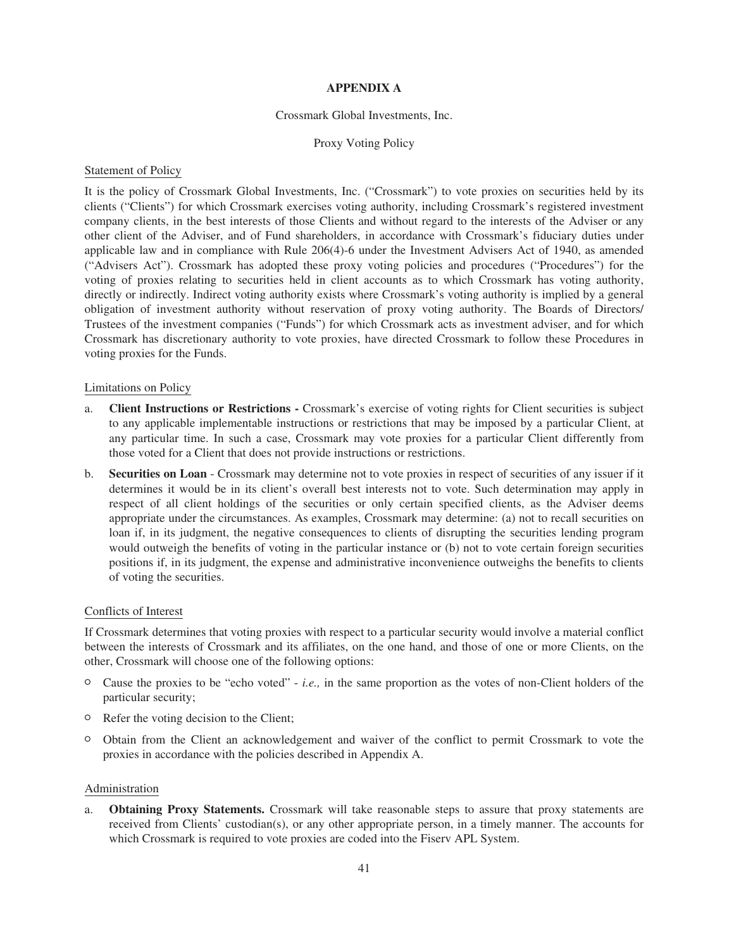# **APPENDIX A**

# Crossmark Global Investments, Inc.

# Proxy Voting Policy

# <span id="page-43-0"></span>Statement of Policy

It is the policy of Crossmark Global Investments, Inc. ("Crossmark") to vote proxies on securities held by its clients ("Clients") for which Crossmark exercises voting authority, including Crossmark's registered investment company clients, in the best interests of those Clients and without regard to the interests of the Adviser or any other client of the Adviser, and of Fund shareholders, in accordance with Crossmark's fiduciary duties under applicable law and in compliance with Rule 206(4)-6 under the Investment Advisers Act of 1940, as amended ("Advisers Act"). Crossmark has adopted these proxy voting policies and procedures ("Procedures") for the voting of proxies relating to securities held in client accounts as to which Crossmark has voting authority, directly or indirectly. Indirect voting authority exists where Crossmark's voting authority is implied by a general obligation of investment authority without reservation of proxy voting authority. The Boards of Directors/ Trustees of the investment companies ("Funds") for which Crossmark acts as investment adviser, and for which Crossmark has discretionary authority to vote proxies, have directed Crossmark to follow these Procedures in voting proxies for the Funds.

# Limitations on Policy

- a. **Client Instructions or Restrictions -** Crossmark's exercise of voting rights for Client securities is subject to any applicable implementable instructions or restrictions that may be imposed by a particular Client, at any particular time. In such a case, Crossmark may vote proxies for a particular Client differently from those voted for a Client that does not provide instructions or restrictions.
- b. **Securities on Loan** Crossmark may determine not to vote proxies in respect of securities of any issuer if it determines it would be in its client's overall best interests not to vote. Such determination may apply in respect of all client holdings of the securities or only certain specified clients, as the Adviser deems appropriate under the circumstances. As examples, Crossmark may determine: (a) not to recall securities on loan if, in its judgment, the negative consequences to clients of disrupting the securities lending program would outweigh the benefits of voting in the particular instance or (b) not to vote certain foreign securities positions if, in its judgment, the expense and administrative inconvenience outweighs the benefits to clients of voting the securities.

# Conflicts of Interest

If Crossmark determines that voting proxies with respect to a particular security would involve a material conflict between the interests of Crossmark and its affiliates, on the one hand, and those of one or more Clients, on the other, Crossmark will choose one of the following options:

- $\circ$  Cause the proxies to be "echo voted" *i.e.*, in the same proportion as the votes of non-Client holders of the particular security;
- <sup>O</sup> Refer the voting decision to the Client;
- <sup>O</sup> Obtain from the Client an acknowledgement and waiver of the conflict to permit Crossmark to vote the proxies in accordance with the policies described in Appendix A.

# Administration

a. **Obtaining Proxy Statements.** Crossmark will take reasonable steps to assure that proxy statements are received from Clients' custodian(s), or any other appropriate person, in a timely manner. The accounts for which Crossmark is required to vote proxies are coded into the Fiserv APL System.